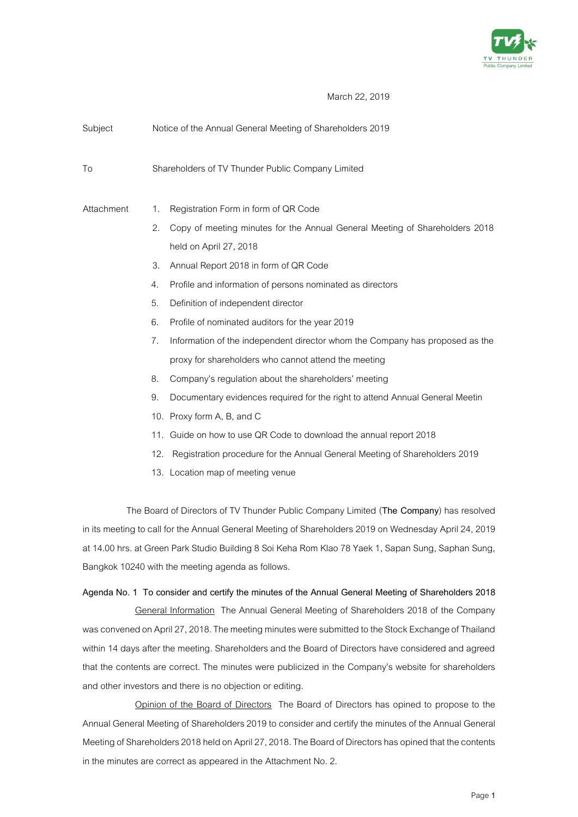

March 22, 2019

| Subject    | Notice of the Annual General Meeting of Shareholders 2019 |                                                                              |  |
|------------|-----------------------------------------------------------|------------------------------------------------------------------------------|--|
| To         |                                                           | Shareholders of TV Thunder Public Company Limited                            |  |
| Attachment | 1.                                                        | Registration Form in form of QR Code                                         |  |
|            | 2.                                                        | Copy of meeting minutes for the Annual General Meeting of Shareholders 2018  |  |
|            |                                                           | held on April 27, 2018                                                       |  |
|            | 3.                                                        | Annual Report 2018 in form of QR Code                                        |  |
|            | $\mathcal{A}_{\cdot}$                                     | Profile and information of persons nominated as directors                    |  |
|            | 5.                                                        | Definition of independent director                                           |  |
|            | 6.                                                        | Profile of nominated auditors for the year 2019                              |  |
|            | 7.                                                        | Information of the independent director whom the Company has proposed as the |  |
|            |                                                           | proxy for shareholders who cannot attend the meeting                         |  |
|            | 8.                                                        | Company's regulation about the shareholders' meeting                         |  |
|            | 9.                                                        | Documentary evidences required for the right to attend Annual General Meetin |  |
|            |                                                           | 10. Proxy form A, B, and C                                                   |  |
|            | 11.                                                       | Guide on how to use QR Code to download the annual report 2018               |  |
|            | 12.                                                       | Registration procedure for the Annual General Meeting of Shareholders 2019   |  |
|            |                                                           | 13. Location map of meeting venue                                            |  |
|            |                                                           |                                                                              |  |

The Board of Directors of TV Thunder Public Company Limited (**The Company**) has resolved in its meeting to call for the Annual General Meeting of Shareholders 2019 on Wednesday April 24, 2019 at 14.00 hrs. at Green Park Studio Building 8 Soi Keha Rom Klao 78 Yaek 1, Sapan Sung, Saphan Sung, Bangkok 10240 with the meeting agenda as follows.

### **Agenda No. 1 To consider and certify the minutes of the Annual General Meeting of Shareholders 2018**

General Information The Annual General Meeting of Shareholders 2018 of the Company was convened on April 27, 2018. The meeting minutes were submitted to the Stock Exchange of Thailand within 14 days after the meeting. Shareholders and the Board of Directors have considered and agreed that the contents are correct. The minutes were publicized in the Company's website for shareholders and other investors and there is no objection or editing.

Opinion of the Board of Directors The Board of Directors has opined to propose to the Annual General Meeting of Shareholders 2019 to consider and certify the minutes of the Annual General Meeting of Shareholders 2018 held on April 27, 2018. The Board of Directors has opined that the contents in the minutes are correct as appeared in the Attachment No. 2.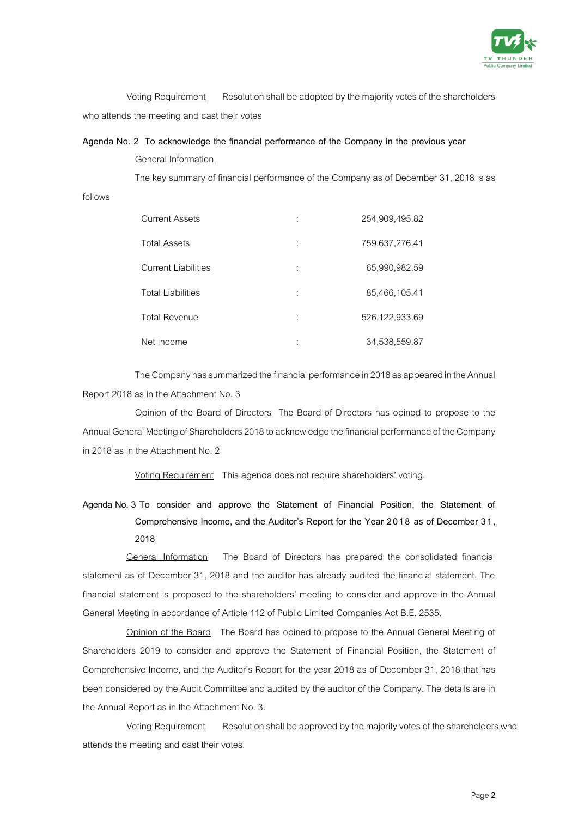

Voting Requirement Resolution shall be adopted by the majority votes of the shareholders who attends the meeting and cast their votes

### **Agenda No. 2 To acknowledge the financial performance of the Company in the previous year** General Information

The key summary of financial performance of the Company as of December 31, 2018 is as

follows

| <b>Current Assets</b>      | 254,909,495.82 |
|----------------------------|----------------|
| <b>Total Assets</b>        | 759,637,276.41 |
| <b>Current Liabilities</b> | 65,990,982.59  |
| <b>Total Liabilities</b>   | 85,466,105.41  |
| <b>Total Revenue</b>       | 526,122,933.69 |
| Net Income                 | 34,538,559.87  |

The Company has summarized the financial performance in 2018as appeared in the Annual Report 2018 as in the Attachment No. 3

Opinion of the Board of Directors The Board of Directors has opined to propose to the Annual General Meeting of Shareholders 2018 to acknowledge the financial performance of the Company in 2018 as in the Attachment No. 2

Voting Requirement This agenda does not require shareholders' voting.

# **Agenda No. 3 To consider and approve the Statement of Financial Position, the Statement of Comprehensive Income, and the Auditor's Report for the Year 2018 as of December 31, 2018**

General Information The Board of Directors has prepared the consolidated financial statement as of December 31, 2018 and the auditor has already audited the financial statement. The financial statement is proposed to the shareholders' meeting to consider and approve in the Annual General Meeting in accordance of Article 112 of Public Limited Companies Act B.E. 2535.

Opinion of the Board The Board has opined to propose to the Annual General Meeting of Shareholders 2019 to consider and approve the Statement of Financial Position, the Statement of Comprehensive Income, and the Auditor's Report for the year 2018 as of December 31, 2018 that has been considered by the Audit Committee and audited by the auditor of the Company. The details are in the Annual Report as in the Attachment No. 3.

Voting Requirement Resolution shall be approved by the majority votes of the shareholders who attends the meeting and cast their votes.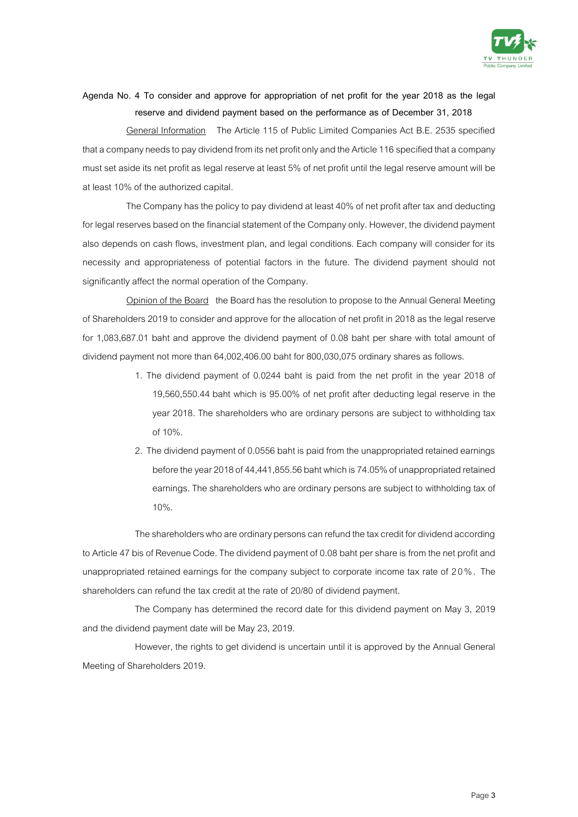

### **Agenda No. 4 To consider and approve for appropriation of net profit for the year 2018 as the legal reserve and dividend payment based on the performance as of December 31, 2018**

General Information The Article 115 of Public Limited Companies Act B.E. 2535 specified that a company needs to pay dividend from its net profit only and the Article 116 specified that a company must set aside its net profit as legal reserve at least 5% of net profit until the legal reserve amount will be at least 10% of the authorized capital.

The Company has the policy to pay dividend at least 40% of net profit after tax and deducting for legal reserves based on the financial statement of the Company only. However, the dividend payment also depends on cash flows, investment plan, and legal conditions. Each company will consider for its necessity and appropriateness of potential factors in the future. The dividend payment should not significantly affect the normal operation of the Company.

Opinion of the Board the Board has the resolution to propose to the Annual General Meeting of Shareholders 2019 to consider and approve for the allocation of net profit in 2018 as the legal reserve for 1,083,687.01 baht and approve the dividend payment of 0.08 baht per share with total amount of dividend payment not more than 64,002,406.00 baht for 800,030,075 ordinary shares as follows.

- 1. The dividend payment of 0.0244 baht is paid from the net profit in the year 2018 of 19,560,550.44 baht which is 95.00% of net profit after deducting legal reserve in the year 2018. The shareholders who are ordinary persons are subject to withholding tax of 10%.
- 2. The dividend payment of 0.0556 baht is paid from the unappropriated retained earnings before the year 2018 of 44,441,855.56 baht which is 74.05% of unappropriated retained earnings. The shareholders who are ordinary personsare subject to withholding tax of 10%.

The shareholders who are ordinary persons can refund the tax credit for dividend according to Article 47 bis of Revenue Code. The dividend payment of 0.08 baht per share is from the net profit and unappropriated retained earnings for the company subject to corporate income tax rate of 2 0 % . The shareholders can refund the tax credit at the rate of 20/80 of dividend payment.

The Company has determined the record date for this dividend payment on May 3, 2019 and the dividend payment date will be May 23, 2019.

However, the rights to get dividend is uncertain until it is approved by the Annual General Meeting of Shareholders 2019.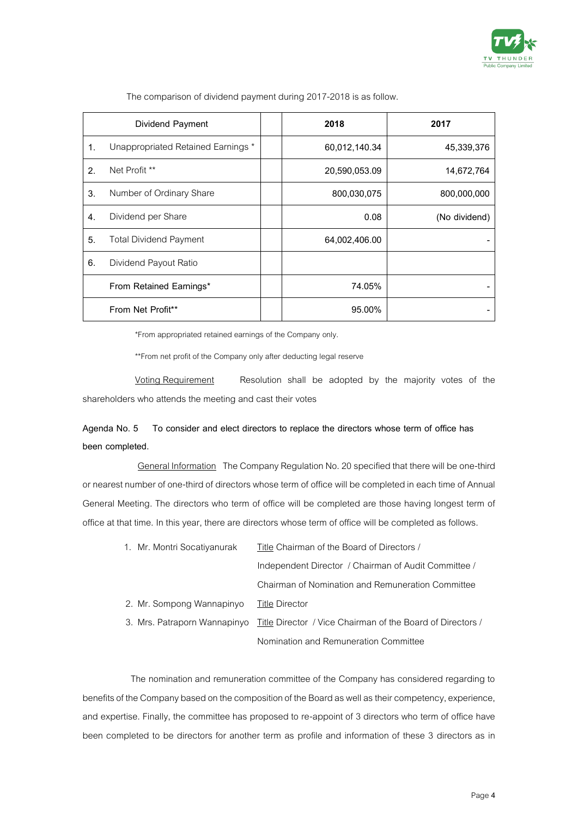

|    | Dividend Payment                   | 2018          | 2017          |
|----|------------------------------------|---------------|---------------|
| 1. | Unappropriated Retained Earnings * | 60,012,140.34 | 45.339.376    |
| 2. | Net Profit **                      | 20,590,053.09 | 14,672,764    |
| 3. | Number of Ordinary Share           | 800,030,075   | 800,000,000   |
| 4. | Dividend per Share                 | 0.08          | (No dividend) |
| 5. | <b>Total Dividend Payment</b>      | 64,002,406.00 |               |
| 6. | Dividend Payout Ratio              |               |               |
|    | From Retained Earnings*            | 74.05%        |               |
|    | From Net Profit**                  | 95.00%        |               |

The comparison of dividend payment during 2017-2018 is as follow.

\*From appropriated retained earnings of the Company only.

\*\*From net profit of the Company only after deducting legal reserve

Voting Requirement Resolution shall be adopted by the majority votes of the shareholders who attends the meeting and cast their votes

## **Agenda No. 5 To consider and elect directors to replace the directors whose term of office has been completed.**

General Information The Company Regulation No. 20 specified that there will be one-third or nearest number of one-third of directors whose term of office will be completed in each time of Annual General Meeting. The directors who term of office will be completed are those having longest term of office at that time. In this year, there are directors whose term of office will be completed as follows.

| 1. Mr. Montri Socatiyanurak | Title Chairman of the Board of Directors /                                              |  |  |
|-----------------------------|-----------------------------------------------------------------------------------------|--|--|
|                             | Independent Director / Chairman of Audit Committee /                                    |  |  |
|                             | Chairman of Nomination and Remuneration Committee                                       |  |  |
| 2. Mr. Sompong Wannapinyo   | Title Director                                                                          |  |  |
|                             | 3. Mrs. Patraporn Wannapinyo Title Director / Vice Chairman of the Board of Directors / |  |  |
|                             | Nomination and Remuneration Committee                                                   |  |  |

The nomination and remuneration committee of the Company has considered regarding to benefits of the Company based on the composition of the Board as well as their competency, experience, and expertise. Finally, the committee has proposed to re-appoint of 3 directors who term of office have been completed to be directors for another term as profile and information of these 3 directors as in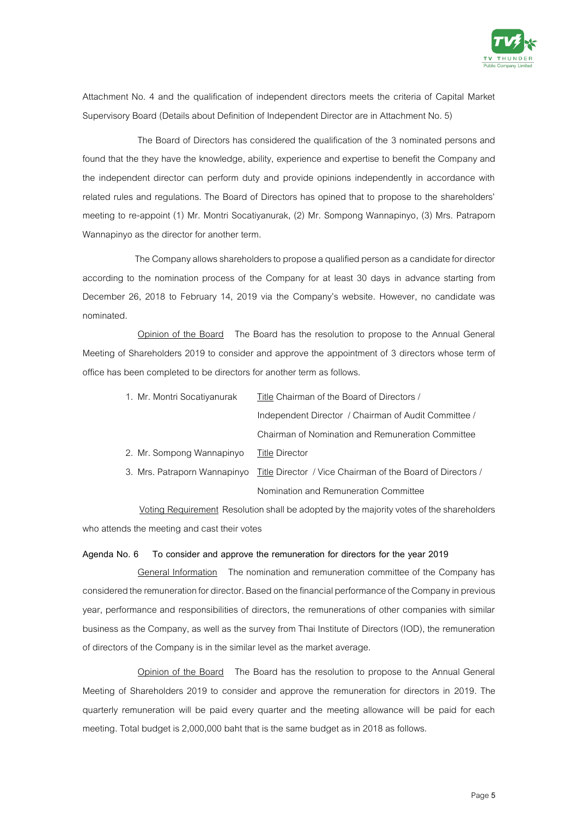

Attachment No. 4 and the qualification of independent directors meets the criteria of Capital Market Supervisory Board (Details about Definition of Independent Director are in Attachment No. 5)

The Board of Directors has considered the qualification of the 3 nominated persons and found that the they have the knowledge, ability, experience and expertise to benefit the Company and the independent director can perform duty and provide opinions independently in accordance with related rules and regulations. The Board of Directors has opined that to propose to the shareholders' meeting to re-appoint (1) Mr. Montri Socatiyanurak, (2) Mr. Sompong Wannapinyo, (3) Mrs. Patraporn Wannapinyo as the director for another term.

The Company allows shareholders to propose a qualified person as a candidate for director according to the nomination process of the Company for at least 30 days in advance starting from December 26, 2018 to February 14, 2019 via the Company's website. However, no candidate was nominated.

Opinion of the Board The Board has the resolution to propose to the Annual General Meeting of Shareholders 2019 to consider and approve the appointment of 3 directors whose term of office has been completed to be directors for another term as follows.

| 1. Mr. Montri Socatiyanurak |                           | Title Chairman of the Board of Directors /                                              |  |  |
|-----------------------------|---------------------------|-----------------------------------------------------------------------------------------|--|--|
|                             |                           | Independent Director / Chairman of Audit Committee /                                    |  |  |
|                             |                           | Chairman of Nomination and Remuneration Committee                                       |  |  |
|                             | 2. Mr. Sompong Wannapinyo | Title Director                                                                          |  |  |
|                             |                           | 3. Mrs. Patraporn Wannapinyo Title Director / Vice Chairman of the Board of Directors / |  |  |
|                             |                           | Nomination and Remuneration Committee                                                   |  |  |

Voting Requirement Resolution shall be adopted by the majority votes of the shareholders who attends the meeting and cast their votes

#### **Agenda No. 6 To consider and approve the remuneration for directors for the year 2019**

General Information The nomination and remuneration committee of the Company has considered the remuneration for director. Based on the financial performance of the Company in previous year, performance and responsibilities of directors, the remunerations of other companies with similar business as the Company, as well as the survey from Thai Institute of Directors (IOD), the remuneration of directors of the Company is in the similar level as the market average.

Opinion of the Board The Board has the resolution to propose to the Annual General Meeting of Shareholders 2019 to consider and approve the remuneration for directors in 2019. The quarterly remuneration will be paid every quarter and the meeting allowance will be paid for each meeting. Total budget is 2,000,000 baht that is the same budget as in 2018 as follows.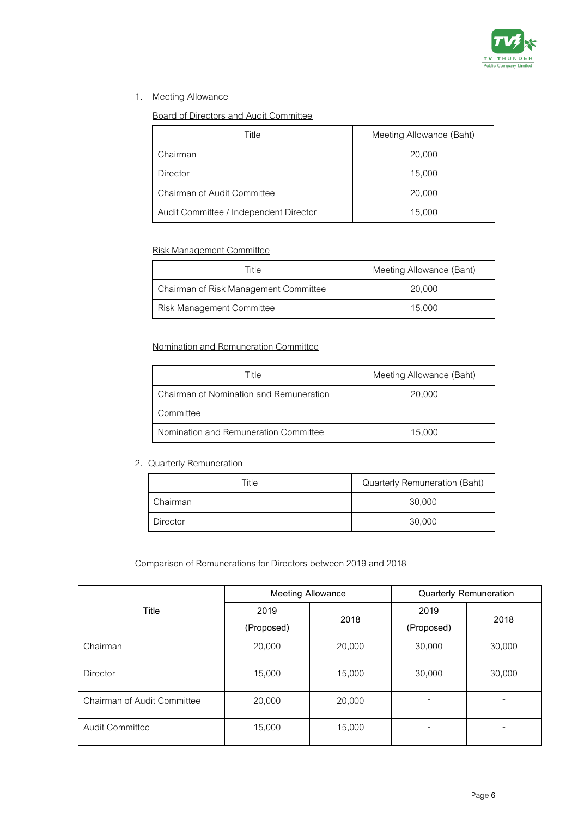

### 1. Meeting Allowance

### Board of Directors and Audit Committee

| Title                                  | Meeting Allowance (Baht) |
|----------------------------------------|--------------------------|
| Chairman                               | 20,000                   |
| <b>Director</b>                        | 15,000                   |
| Chairman of Audit Committee            | 20,000                   |
| Audit Committee / Independent Director | 15,000                   |

### Risk Management Committee

| Title                                 | Meeting Allowance (Baht) |  |
|---------------------------------------|--------------------------|--|
| Chairman of Risk Management Committee | 20,000                   |  |
| Risk Management Committee             | 15,000                   |  |

### Nomination and Remuneration Committee

| Title                                   | Meeting Allowance (Baht) |
|-----------------------------------------|--------------------------|
| Chairman of Nomination and Remuneration | 20,000                   |
| Committee                               |                          |
| Nomination and Remuneration Committee   | 15,000                   |

### 2. Quarterly Remuneration

| Title           | Quarterly Remuneration (Baht) |
|-----------------|-------------------------------|
| Chairman        | 30,000                        |
| <b>Director</b> | 30,000                        |

### Comparison of Remunerations for Directors between 2019 and 2018

|                             | <b>Meeting Allowance</b> |        | <b>Quarterly Remuneration</b> |        |
|-----------------------------|--------------------------|--------|-------------------------------|--------|
| Title                       | 2019                     | 2018   | 2019                          | 2018   |
|                             | (Proposed)               |        | (Proposed)                    |        |
| Chairman                    | 20,000                   | 20,000 | 30,000                        | 30,000 |
| Director                    | 15,000                   | 15,000 | 30,000                        | 30,000 |
| Chairman of Audit Committee | 20,000                   | 20,000 |                               |        |
| <b>Audit Committee</b>      | 15,000                   | 15,000 | -                             |        |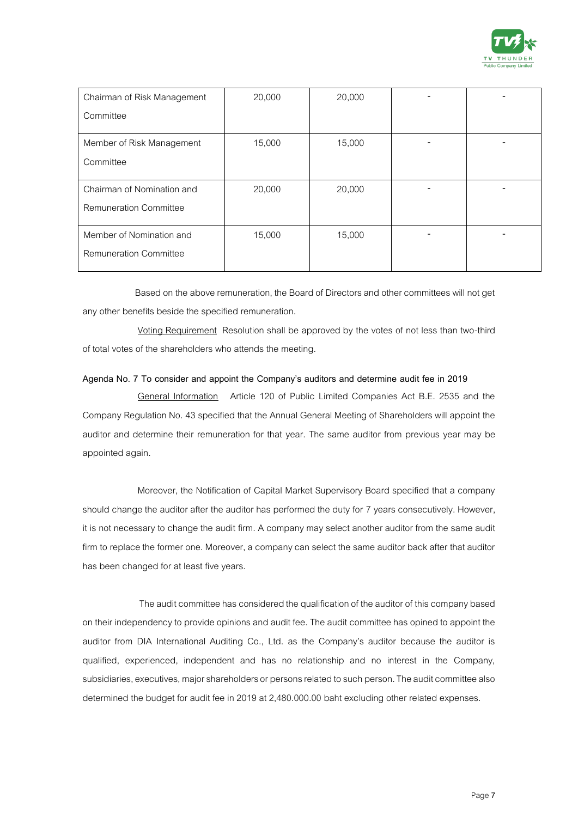

| Chairman of Risk Management   | 20,000 | 20,000 |  |
|-------------------------------|--------|--------|--|
| Committee                     |        |        |  |
| Member of Risk Management     | 15,000 | 15,000 |  |
| Committee                     |        |        |  |
| Chairman of Nomination and    | 20,000 | 20,000 |  |
| <b>Remuneration Committee</b> |        |        |  |
| Member of Nomination and      | 15,000 | 15,000 |  |
| <b>Remuneration Committee</b> |        |        |  |

Based on the above remuneration, the Board of Directors and other committees will not get any other benefits beside the specified remuneration.

Voting Requirement Resolution shall be approved by the votes of not less than two-third of total votes of the shareholders who attends the meeting.

### **Agenda No. 7 To consider and appoint the Company's auditors and determine audit fee in 2019**

General Information Article 120 of Public Limited Companies Act B.E. 2535 and the Company Regulation No. 43 specified that the Annual General Meeting of Shareholders will appoint the auditor and determine their remuneration for that year. The same auditor from previous year may be appointed again.

Moreover, the Notification of Capital Market Supervisory Board specified that a company should change the auditor after the auditor has performed the duty for 7 years consecutively. However, it is not necessary to change the audit firm. A company may select another auditor from the same audit firm to replace the former one. Moreover, a company can select the same auditor back after that auditor has been changed for at least five years.

The audit committee has considered the qualification of the auditor of this company based on their independency to provide opinions and audit fee. The audit committee has opined to appoint the auditor from DIA International Auditing Co., Ltd. as the Company's auditor because the auditor is qualified, experienced, independent and has no relationship and no interest in the Company, subsidiaries, executives, major shareholders or persons related to such person. The audit committee also determined the budget for audit fee in 2019 at 2,480.000.00 baht excluding other related expenses.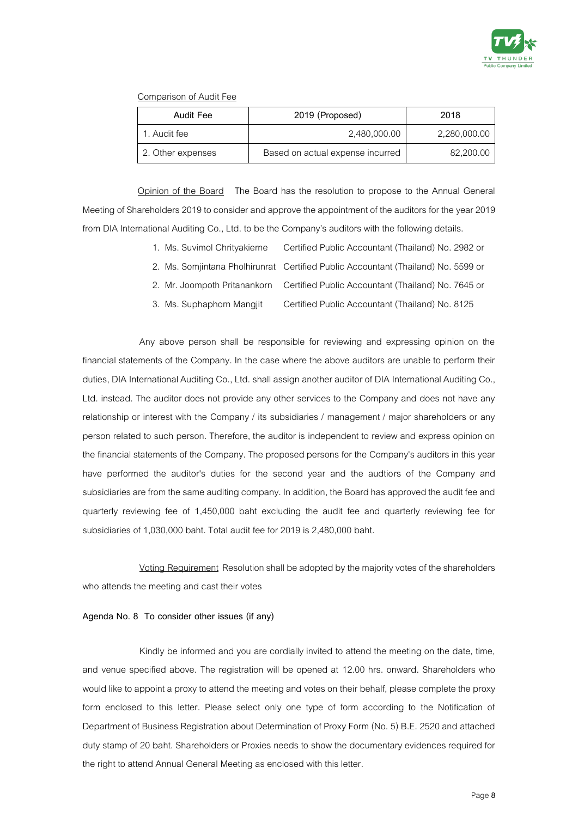

### Comparison of Audit Fee

| Audit Fee         | 2019 (Proposed)                  | 2018         |  |
|-------------------|----------------------------------|--------------|--|
| 1. Audit fee      | 2,480,000.00                     | 2,280,000.00 |  |
| 2. Other expenses | Based on actual expense incurred | 82,200.00    |  |

Opinion of the Board The Board has the resolution to propose to the Annual General Meeting of Shareholders 2019 to consider and approve the appointment of the auditors for the year 2019 from DIA International Auditing Co., Ltd. to be the Company's auditors with the following details.

- 1. Ms. Suvimol Chrityakierne Certified Public Accountant (Thailand) No. 2982 or
- 2. Ms. Somjintana Pholhirunrat Certified Public Accountant (Thailand) No. 5599 or
- 2. Mr. Joompoth Pritanankorn Certified Public Accountant (Thailand) No. 7645 or
- 3. Ms. Suphaphorn Mangjit Certified Public Accountant (Thailand) No. 8125

Any above person shall be responsible for reviewing and expressing opinion on the financial statements of the Company. In the case where the above auditors are unable to perform their duties, DIA International Auditing Co., Ltd. shall assign another auditor of DIA International Auditing Co., Ltd. instead. The auditor does not provide any other services to the Company and does not have any relationship or interest with the Company / its subsidiaries / management / major shareholders or any person related to such person. Therefore, the auditor is independent to review and express opinion on the financial statements of the Company. The proposed persons for the Company's auditors in this year have performed the auditor's duties for the second year and the audtiors of the Company and subsidiaries are from the same auditing company. In addition, the Board has approved the audit fee and quarterly reviewing fee of 1,450,000 baht excluding the audit fee and quarterly reviewing fee for subsidiaries of 1,030,000 baht. Total audit fee for 2019 is 2,480,000 baht.

Voting Requirement Resolution shall be adopted by the majority votes of the shareholders who attends the meeting and cast their votes

#### **Agenda No. 8 To consider other issues (if any)**

Kindly be informed and you are cordially invited to attend the meeting on the date, time, and venue specified above. The registration will be opened at 12.00 hrs. onward. Shareholders who would like to appoint a proxy to attend the meeting and votes on their behalf, please complete the proxy form enclosed to this letter. Please select only one type of form according to the Notification of Department of Business Registration about Determination of Proxy Form (No. 5) B.E. 2520 and attached duty stamp of 20 baht. Shareholders or Proxies needs to show the documentary evidences required for the right to attend Annual General Meeting as enclosed with this letter.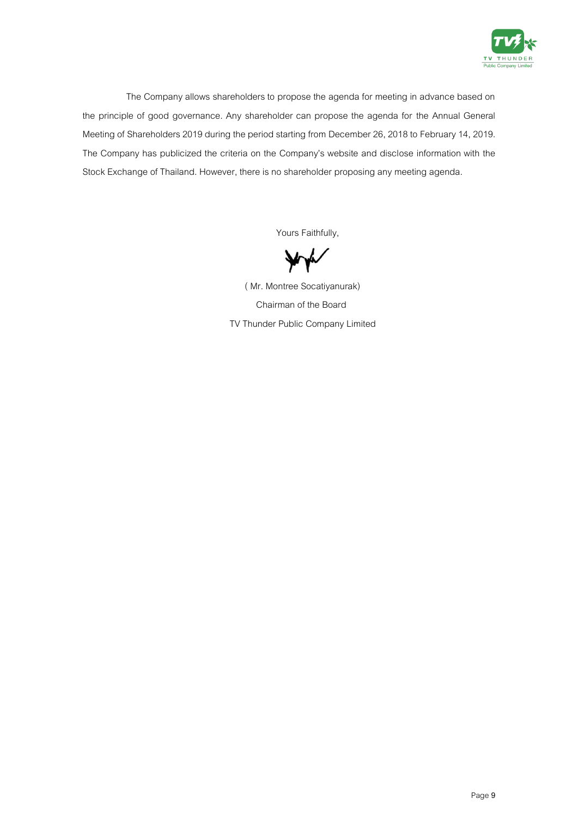

The Company allows shareholders to propose the agenda for meeting in advance based on the principle of good governance. Any shareholder can propose the agenda for the Annual General Meeting of Shareholders 2019 during the period starting from December26, 2018 to February 14, 2019. The Company has publicized the criteria on the Company's website and disclose information with the Stock Exchange of Thailand. However, there is no shareholder proposing any meeting agenda.

Yours Faithfully,

**V** 

 ( Mr. Montree Socatiyanurak) Chairman of the Board TV Thunder Public Company Limited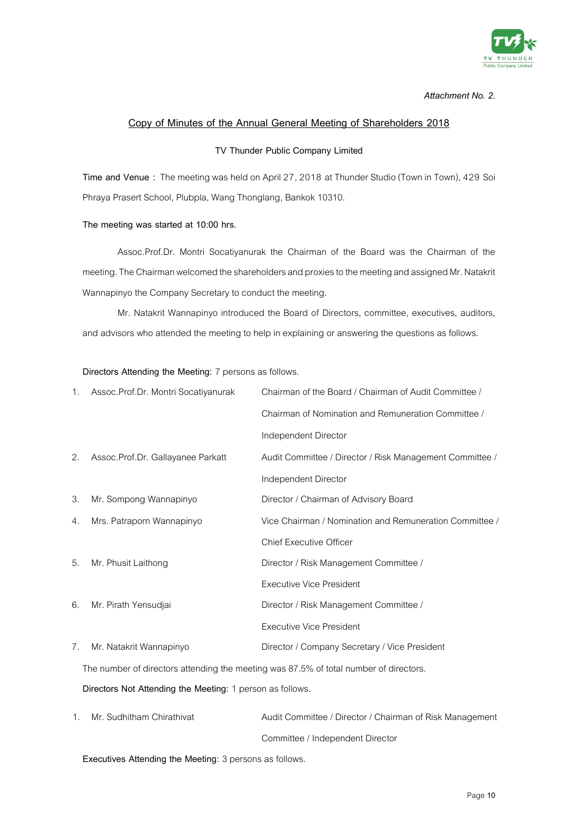

### **Copy of Minutes of the Annual General Meeting of Shareholders 2018**

#### **TV Thunder Public Company Limited**

**Time and Venue :** The meeting was held on April 27, 2018 at Thunder Studio (Town in Town), 429 Soi Phraya Prasert School, Plubpla, Wang Thonglang, Bankok 10310.

#### **The meeting was started at 10:00 hrs.**

Assoc.Prof.Dr. Montri Socatiyanurak the Chairman of the Board was the Chairman of the meeting. The Chairman welcomed the shareholders and proxies to the meeting and assigned Mr. Natakrit Wannapinyo the Company Secretary to conduct the meeting.

Mr. Natakrit Wannapinyo introduced the Board of Directors, committee, executives, auditors, and advisors who attended the meeting to help in explaining or answering the questions as follows.

#### **Directors Attending the Meeting:** 7 persons as follows.

| 1. | Assoc.Prof.Dr. Montri Socatiyanurak                                                   | Chairman of the Board / Chairman of Audit Committee /    |  |
|----|---------------------------------------------------------------------------------------|----------------------------------------------------------|--|
|    |                                                                                       | Chairman of Nomination and Remuneration Committee /      |  |
|    |                                                                                       | Independent Director                                     |  |
| 2. | Assoc.Prof.Dr. Gallayanee Parkatt                                                     | Audit Committee / Director / Risk Management Committee / |  |
|    |                                                                                       | Independent Director                                     |  |
| 3. | Mr. Sompong Wannapinyo                                                                | Director / Chairman of Advisory Board                    |  |
| 4. | Mrs. Patraporn Wannapinyo                                                             | Vice Chairman / Nomination and Remuneration Committee /  |  |
|    |                                                                                       | <b>Chief Executive Officer</b>                           |  |
| 5. | Mr. Phusit Laithong                                                                   | Director / Risk Management Committee /                   |  |
|    |                                                                                       | <b>Executive Vice President</b>                          |  |
| 6. | Mr. Pirath Yensudjai                                                                  | Director / Risk Management Committee /                   |  |
|    |                                                                                       | <b>Executive Vice President</b>                          |  |
| 7. | Mr. Natakrit Wannapinyo                                                               | Director / Company Secretary / Vice President            |  |
|    | The number of directors attending the meeting was 87.5% of total number of directors. |                                                          |  |

**Directors Not Attending the Meeting:** 1 person as follows.

| Mr. Sudhitham Chirathivat | Audit Committee / Director / Chairman of Risk Management |
|---------------------------|----------------------------------------------------------|
|                           | Committee / Independent Director                         |

**Executives Attending the Meeting: 3 persons as follows.**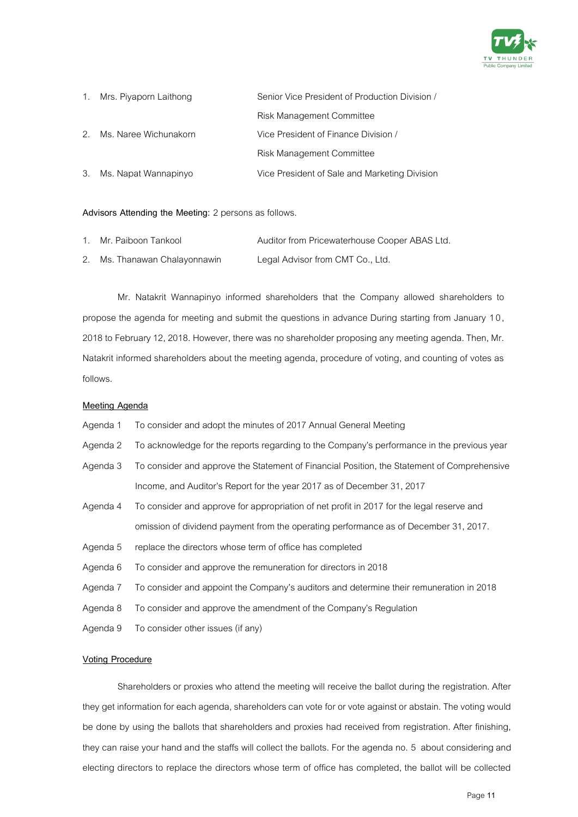

| 1. Mrs. Piyaporn Laithong | Senior Vice President of Production Division / |
|---------------------------|------------------------------------------------|
|                           | Risk Management Committee                      |
| 2. Ms. Naree Wichunakorn  | Vice President of Finance Division /           |
|                           | Risk Management Committee                      |
| 3. Ms. Napat Wannapinyo   | Vice President of Sale and Marketing Division  |

#### Advisors Attending the Meeting: 2 persons as follows.

| 1. Mr. Paiboon Tankool        | Auditor from Pricewaterhouse Cooper ABAS Ltd. |
|-------------------------------|-----------------------------------------------|
| 2. Ms. Thanawan Chalayonnawin | Legal Advisor from CMT Co., Ltd.              |

Mr. Natakrit Wannapinyo informed shareholders that the Company allowed shareholders to propose the agenda for meeting and submit the questions in advance During starting from January 1 0, 2018 to February 12, 2018. However, there was no shareholder proposing any meeting agenda. Then, Mr. Natakrit informed shareholders about the meeting agenda, procedure of voting, and counting of votes as follows.

#### **Meeting Agenda**

- Agenda 1 To consider and adopt the minutes of 2017 Annual General Meeting
- Agenda 2 To acknowledge for the reports regarding to the Company's performance in the previous year
- Agenda 3 To consider and approve the Statement of Financial Position, the Statement of Comprehensive Income, and Auditor's Report for the year 2017 as of December 31, 2017
- Agenda 4 To consider and approve for appropriation of net profit in 2017 for the legal reserve and omission of dividend payment from the operating performance as of December 31, 2017.
- Agenda 5 replace the directors whose term of office has completed
- Agenda 6 To consider and approve the remuneration for directors in 2018
- Agenda 7 To consider and appoint the Company's auditors and determine their remuneration in 2018
- Agenda 8 To consider and approve the amendment of the Company's Regulation
- Agenda 9 To consider other issues (if any)

#### **Voting Procedure**

Shareholders or proxies who attend the meeting will receive the ballot during the registration. After they get information for each agenda, shareholders can vote for or vote against or abstain. The voting would be done by using the ballots that shareholders and proxies had received from registration. After finishing, they can raise your hand and the staffs will collect the ballots. For the agenda no. 5 about considering and electing directors to replace the directors whose term of office has completed, the ballot will be collected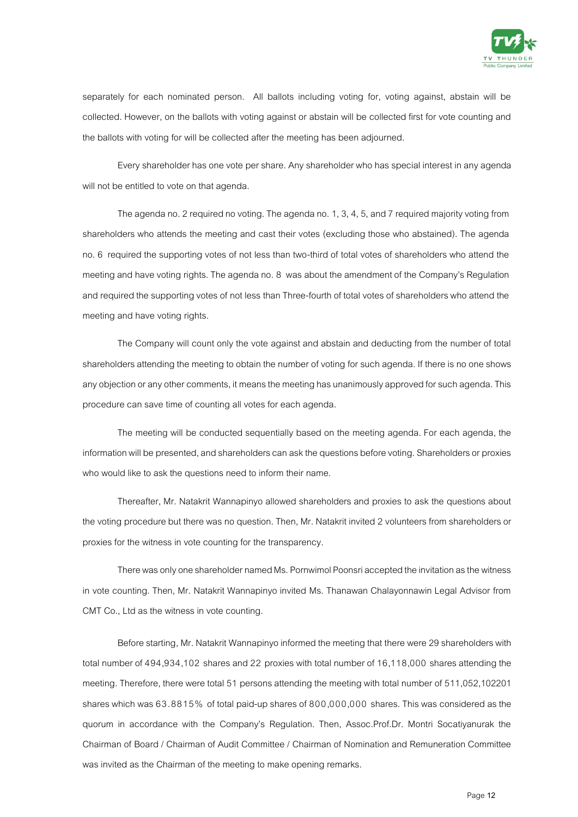

separately for each nominated person. All ballots including voting for, voting against, abstain will be collected. However, on the ballots with voting against or abstain will be collected first for vote counting and the ballots with voting for will be collected after the meeting has been adjourned.

Every shareholder has one vote per share. Any shareholder who has special interest in any agenda will not be entitled to vote on that agenda.

The agenda no. 2 required no voting. The agenda no. 1, 3, 4, 5, and 7 required majority voting from shareholders who attends the meeting and cast their votes (excluding those who abstained). The agenda no. 6 required the supporting votes of not less than two-third of total votes of shareholders who attend the meeting and have voting rights. The agenda no. 8 was about the amendment of the Company's Regulation and required the supporting votes of not less than Three-fourth of total votes of shareholders who attend the meeting and have voting rights.

The Company will count only the vote against and abstain and deducting from the number of total shareholders attending the meeting to obtain the number of voting for such agenda. If there is no one shows any objection or any other comments, it means the meeting has unanimously approved for such agenda. This procedure can save time of counting all votes for each agenda.

The meeting will be conducted sequentially based on the meeting agenda. For each agenda, the information will be presented, and shareholders can ask the questions before voting. Shareholders or proxies who would like to ask the questions need to inform their name.

Thereafter, Mr. Natakrit Wannapinyo allowed shareholders and proxies to ask the questions about the voting procedure but there was no question. Then, Mr. Natakrit invited 2 volunteers from shareholders or proxies for the witness in vote counting for the transparency.

There was only one shareholder named Ms. Pornwimol Poonsri accepted the invitation as the witness in vote counting. Then, Mr. Natakrit Wannapinyo invited Ms. Thanawan Chalayonnawin Legal Advisor from CMT Co., Ltd as the witness in vote counting.

Before starting, Mr. Natakrit Wannapinyo informed the meeting that there were 29 shareholders with total number of 494,934,102 shares and 22 proxies with total number of 16,118,000 shares attending the meeting. Therefore, there were total 51 persons attending the meeting with total number of 511,052,102201 shares which was 63.8815% of total paid-up shares of 800,000,000 shares. This was considered as the quorum in accordance with the Company's Regulation. Then, Assoc.Prof.Dr. Montri Socatiyanurak the Chairman of Board / Chairman of Audit Committee / Chairman of Nomination and Remuneration Committee was invited as the Chairman of the meeting to make opening remarks.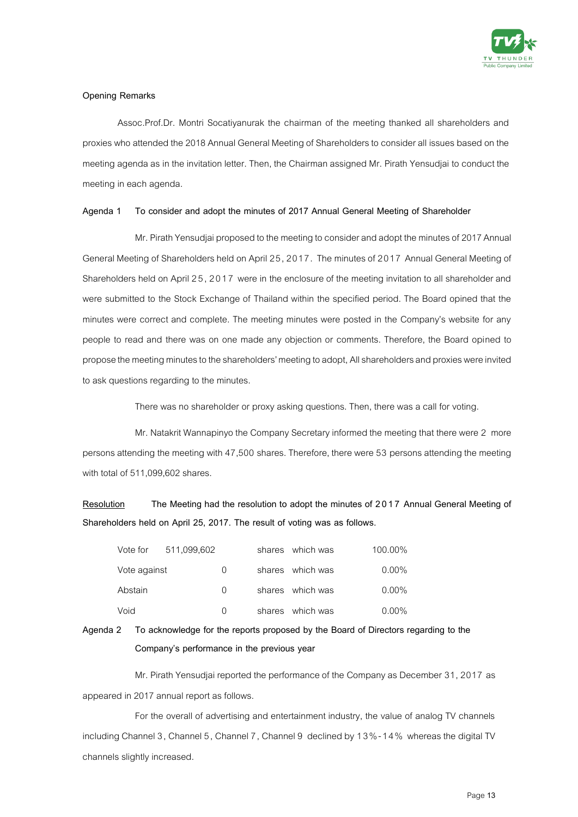

#### **Opening Remarks**

Assoc.Prof.Dr. Montri Socatiyanurak the chairman of the meeting thanked all shareholders and proxies who attended the 2018 Annual General Meeting of Shareholders to consider all issues based on the meeting agenda as in the invitation letter. Then, the Chairman assigned Mr. Pirath Yensudjai to conduct the meeting in each agenda.

#### **Agenda 1 To consider and adopt the minutes of 2017 Annual General Meeting of Shareholder**

Mr. Pirath Yensudjai proposed to the meeting to consider and adopt the minutes of 2017 Annual General Meeting of Shareholders held on April 25, 2017. The minutes of 2017 Annual General Meeting of Shareholders held on April 25, 2017 were in the enclosure of the meeting invitation to all shareholder and were submitted to the Stock Exchange of Thailand within the specified period. The Board opined that the minutes were correct and complete. The meeting minutes were posted in the Company's website for any people to read and there was on one made any objection or comments. Therefore, the Board opined to propose the meeting minutes to the shareholders' meeting to adopt, All shareholders and proxies were invited to ask questions regarding to the minutes.

There was no shareholder or proxy asking questions. Then, there was a call for voting.

Mr. Natakrit Wannapinyo the Company Secretary informed the meeting that there were 2 more persons attending the meeting with 47,500 shares. Therefore, there were 53 persons attending the meeting with total of 511,099,602 shares.

**Resolution The Meeting had the resolution to adopt the minutes of 2017 Annual General Meeting of Shareholders held on April 25, 2017. The result of voting was as follows.**

| Vote for     | 511,099,602 |                  | shares which was | 100.00%  |
|--------------|-------------|------------------|------------------|----------|
| Vote against |             | $\left( \right)$ | shares which was | $0.00\%$ |
| Abstain      |             | $\Omega$         | shares which was | $0.00\%$ |
| Void         |             | <sup>n</sup>     | shares which was | $0.00\%$ |

**Agenda 2 To acknowledge for the reports proposed by the Board of Directors regarding to the Company's performance in the previous year**

Mr. Pirath Yensudjai reported the performance of the Company as December 31, 2017 as appeared in 2017 annual report as follows.

For the overall of advertising and entertainment industry, the value of analog TV channels including Channel 3, Channel 5, Channel 7, Channel 9 declined by 13%-14% whereas the digital TV channels slightly increased.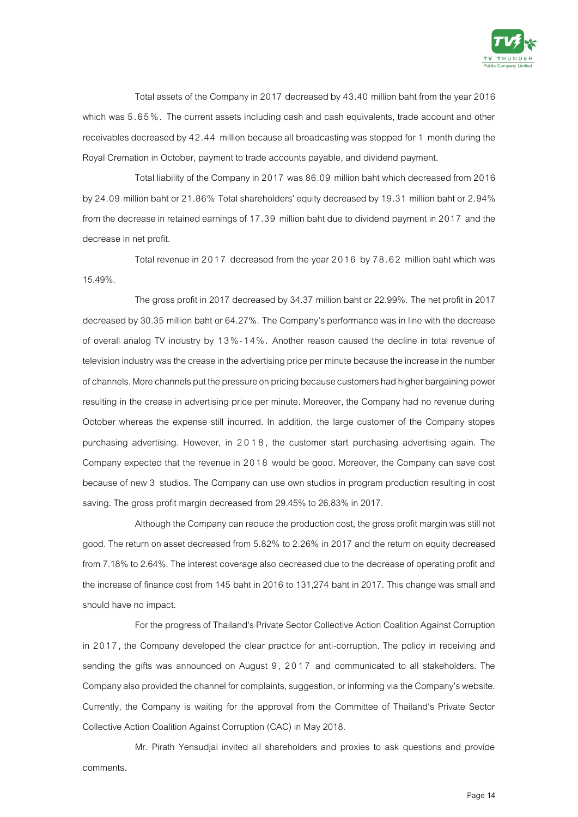

Total assets of the Company in 2017 decreased by 43.40 million baht from the year 2016 which was 5.65%. The current assets including cash and cash equivalents, trade account and other receivables decreased by 42.44 million because all broadcasting was stopped for 1 month during the Royal Cremation in October, payment to trade accounts payable, and dividend payment.

Total liability of the Company in 2017 was 86.09 million baht which decreased from 2016 by 24.09 million baht or 21.86% Total shareholders' equity decreased by 19.31 million baht or 2.94% from the decrease in retained earnings of 17.39 million baht due to dividend payment in 2017 and the decrease in net profit.

Total revenue in 2017 decreased from the year 2016 by 78.62 million baht which was 15.49%.

The gross profit in 2017 decreased by 34.37 million baht or 22.99%. The net profit in 2017 decreased by 30.35 million baht or 64.27%. The Company's performance was in line with the decrease of overall analog TV industry by 13%-1 4%. Another reason caused the decline in total revenue of television industry was the crease in the advertising price per minute because the increase in the number of channels. More channels put the pressure on pricing because customers had higher bargaining power resulting in the crease in advertising price per minute. Moreover, the Company had no revenue during October whereas the expense still incurred. In addition, the large customer of the Company stopes purchasing advertising. However, in 2018, the customer start purchasing advertising again. The Company expected that the revenue in 2018 would be good. Moreover, the Company can save cost because of new 3 studios. The Company can use own studios in program production resulting in cost saving. The gross profit margin decreased from 29.45% to 26.83% in 2017.

Although the Company can reduce the production cost, the gross profit margin was still not good. The return on asset decreased from 5.82% to 2.26% in 2017 and the return on equity decreased from 7.18% to 2.64%. The interest coverage also decreased due to the decrease of operating profit and the increase of finance cost from 145 baht in 2016 to 131,274 baht in 2017. This change was small and should have no impact.

For the progress of Thailand's Private Sector Collective Action Coalition Against Corruption in 2017, the Company developed the clear practice for anti-corruption. The policy in receiving and sending the gifts was announced on August 9, 2017 and communicated to all stakeholders. The Company also provided the channel for complaints, suggestion, or informing via the Company's website. Currently, the Company is waiting for the approval from the Committee of Thailand's Private Sector Collective Action Coalition Against Corruption (CAC) in May 2018.

Mr. Pirath Yensudjai invited all shareholders and proxies to ask questions and provide comments.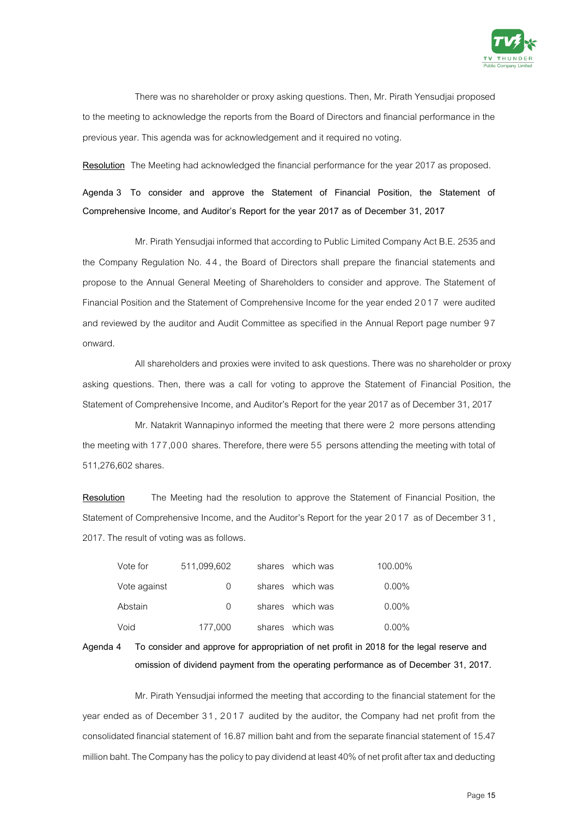

There was no shareholder or proxy asking questions. Then, Mr. Pirath Yensudjai proposed to the meeting to acknowledge the reports from the Board of Directors and financial performance in the previous year. This agenda was for acknowledgement and it required no voting.

**Resolution** The Meeting had acknowledged the financial performance for the year 2017 as proposed.

**Agenda 3 To consider and approve the Statement of Financial Position, the Statement of Comprehensive Income, and Auditor's Report for the year 2017 as of December 31, 2017**

Mr. Pirath Yensudjai informed that according to Public Limited Company Act B.E. 2535 and the Company Regulation No. 4 4, the Board of Directors shall prepare the financial statements and propose to the Annual General Meeting of Shareholders to consider and approve. The Statement of Financial Position and the Statement of Comprehensive Income for the year ended 2017 were audited and reviewed by the auditor and Audit Committee as specified in the Annual Report page number 97 onward.

All shareholders and proxies were invited to ask questions.There was no shareholder or proxy asking questions. Then, there was a call for voting to approve the Statement of Financial Position, the Statement of Comprehensive Income, and Auditor's Report for the year 2017 as of December 31, 2017

Mr. Natakrit Wannapinyo informed the meeting that there were 2 more persons attending the meeting with 177,000 shares. Therefore, there were 55 persons attending the meeting with total of 511,276,602 shares.

**Resolution** The Meeting had the resolution to approve the Statement of Financial Position, the Statement of Comprehensive Income, and the Auditor's Report for the year 2017 as of December 31, 2017. The result of voting was as follows.

| Vote for     | 511,099,602      |        | shares which was | 100.00%  |
|--------------|------------------|--------|------------------|----------|
| Vote against |                  |        | shares which was | $0.00\%$ |
| Abstain      | $\left( \right)$ |        | shares which was | $0.00\%$ |
| Void         | 177,000          | shares | which was        | $0.00\%$ |

**Agenda 4 To consider and approve for appropriation of net profit in 2018 for the legal reserve and omission of dividend payment from the operating performance as of December 31, 2017.**

Mr. Pirath Yensudjai informed the meeting that according to the financial statement for the year ended as of December 31, 2017 audited by the auditor, the Company had net profit from the consolidated financial statement of 16.87 million baht and from the separate financial statement of 15.47 million baht. The Company has the policy to pay dividend at least 40% of net profit after tax and deducting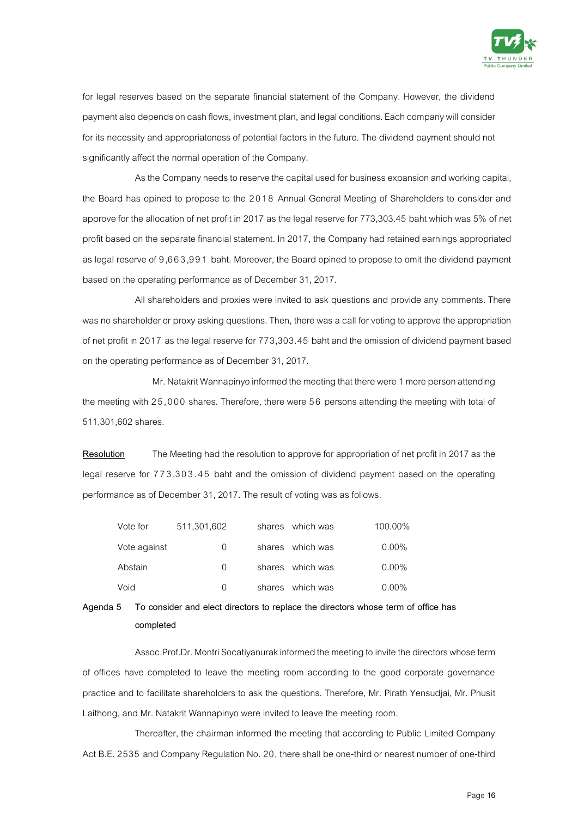

for legal reserves based on the separate financial statement of the Company. However, the dividend payment also depends on cash flows, investment plan, and legal conditions. Each company willconsider for its necessity and appropriateness of potential factors in the future. The dividend payment should not significantly affect the normal operation of the Company.

As the Company needs to reserve the capital used for business expansion and working capital, the Board has opined to propose to the 2018 Annual General Meeting of Shareholders to consider and approve for the allocation of net profit in 2017 as the legal reserve for 773,303.45 baht which was 5% of net profit based on the separate financial statement. In 2017, the Company had retained earnings appropriated as legal reserve of 9,663,99 1 baht. Moreover, the Board opined to propose to omit the dividend payment based on the operating performance as of December 31, 2017.

All shareholders and proxies were invited to ask questions and provide any comments. There was no shareholder or proxy asking questions. Then, there was a call for voting to approve the appropriation of net profit in 2017 as the legal reserve for 773,303.45 baht and the omission of dividend payment based on the operating performance as of December 31, 2017.

Mr. Natakrit Wannapinyo informed the meeting that there were 1 more person attending the meeting with 25,000 shares. Therefore, there were 56 persons attending the meeting with total of 511,301,602 shares.

**Resolution** The Meeting had the resolution to approve for appropriation of net profit in 2017 as the legal reserve for 773,303.45 baht and the omission of dividend payment based on the operating performance as of December 31, 2017. The result of voting was as follows.

| Vote for     | 511,301,602      | shares which was | 100.00%  |
|--------------|------------------|------------------|----------|
| Vote against | $\left( \right)$ | shares which was | $0.00\%$ |
| Abstain      | $\left( \right)$ | shares which was | $0.00\%$ |
| Void         | $\left( \right)$ | shares which was | $0.00\%$ |

### **Agenda 5 To consider and elect directors to replace the directors whose term of office has completed**

Assoc.Prof.Dr. Montri Socatiyanurak informed the meeting to invite the directors whose term of offices have completed to leave the meeting room according to the good corporate governance practice and to facilitate shareholders to ask the questions. Therefore, Mr. Pirath Yensudjai, Mr. Phusit Laithong, and Mr. Natakrit Wannapinyo were invited to leave the meeting room.

Thereafter, the chairman informed the meeting that according to Public Limited Company Act B.E. 2535 and Company Regulation No. 20, there shall be one-third or nearest number of one-third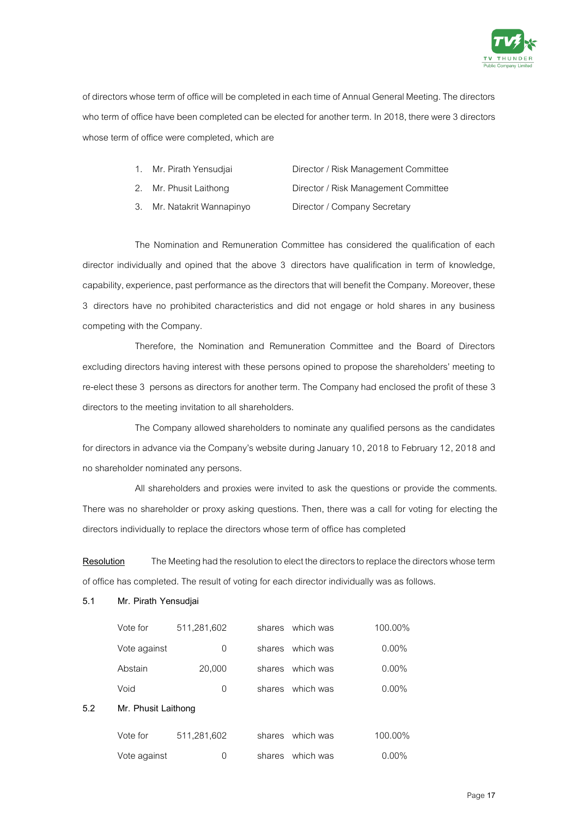

of directors whose term of office will be completed in each time of Annual General Meeting. The directors who term of office have been completed can be elected for another term. In 2018, there were 3 directors whose term of office were completed, which are

| 1. Mr. Pirath Yensudjai | Director / Risk Management Committee |
|-------------------------|--------------------------------------|
| 2. Mr. Phusit Laithong  | Director / Risk Management Committee |

3. Mr. Natakrit Wannapinyo Director / Company Secretary

The Nomination and Remuneration Committee has considered the qualification of each director individually and opined that the above 3 directors have qualification in term of knowledge, capability, experience, past performance as the directors that will benefit the Company. Moreover, these 3 directors have no prohibited characteristics and did not engage or hold shares in any business competing with the Company.

Therefore, the Nomination and Remuneration Committee and the Board of Directors excluding directors having interest with these persons opined to propose the shareholders' meeting to re-elect these 3 persons as directors for another term. The Company had enclosed the profit of these 3 directors to the meeting invitation to all shareholders.

The Company allowed shareholders to nominate any qualified persons as the candidates for directors in advance via the Company's website during January 10, 2018 to February 12, 2018 and no shareholder nominated any persons.

All shareholders and proxies were invited to ask the questions or provide the comments. There was no shareholder or proxy asking questions. Then, there was a call for voting for electing the directors individually to replace the directors whose term of office has completed

**Resolution** The Meeting had the resolution to elect the directors to replace the directors whose term of office has completed. The result of voting for each director individually was as follows.

### **5.1 Mr. Pirath Yensudjai**

|     | Vote for            | 511,281,602 | shares | which was | 100.00%  |
|-----|---------------------|-------------|--------|-----------|----------|
|     | Vote against        | 0           | shares | which was | $0.00\%$ |
|     | Abstain             | 20,000      | shares | which was | $0.00\%$ |
|     | Void                | 0           | shares | which was | $0.00\%$ |
| 5.2 | Mr. Phusit Laithong |             |        |           |          |
|     | Vote for            | 511,281,602 | shares | which was | 100.00%  |
|     | Vote against        | 0           | shares | which was | $0.00\%$ |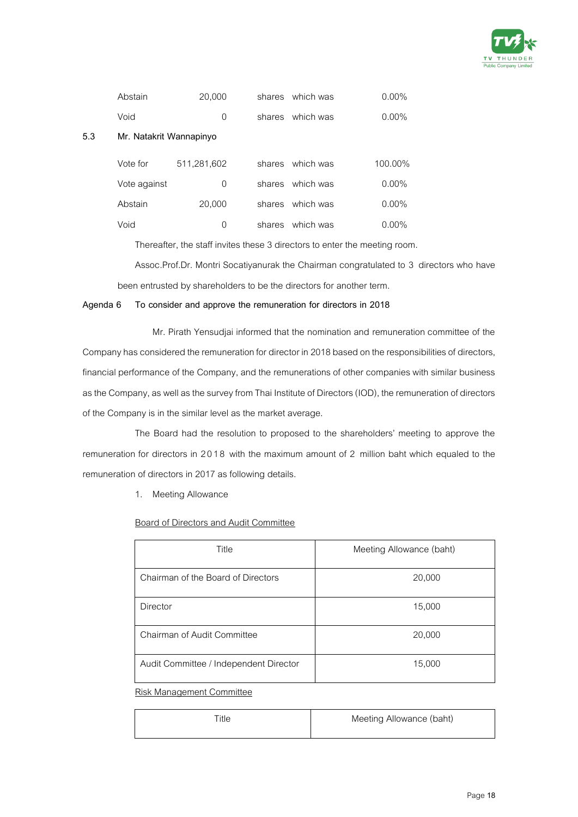

|     | Abstain                 | 20,000      | shares | which was | $0.00\%$ |
|-----|-------------------------|-------------|--------|-----------|----------|
|     | Void                    | 0           | shares | which was | $0.00\%$ |
| 5.3 | Mr. Natakrit Wannapinyo |             |        |           |          |
|     | Vote for                | 511,281,602 | shares | which was | 100.00%  |
|     | Vote against            | 0           | shares | which was | $0.00\%$ |
|     | Abstain                 | 20,000      | shares | which was | $0.00\%$ |
|     | Void                    | 0           | shares | which was | $0.00\%$ |

Thereafter, the staff invites these 3 directors to enter the meeting room.

Assoc.Prof.Dr. Montri Socatiyanurak the Chairman congratulated to 3 directors who have been entrusted by shareholders to be the directors for another term.

### **Agenda 6 To consider and approve the remuneration for directors in 2018**

Mr. Pirath Yensudjai informed that the nomination and remuneration committee of the Company has considered the remuneration for director in 2018 based on the responsibilities of directors, financial performance of the Company, and the remunerations of other companies with similar business as the Company, as well as the survey from Thai Institute of Directors (IOD), the remuneration of directors of the Company is in the similar level as the market average.

The Board had the resolution to proposed to the shareholders' meeting to approve the remuneration for directors in 2018 with the maximum amount of 2 million baht which equaled to the remuneration of directors in 2017 as following details.

1. Meeting Allowance

### Board of Directors and Audit Committee

| Title                                  | Meeting Allowance (baht) |
|----------------------------------------|--------------------------|
| Chairman of the Board of Directors     | 20,000                   |
| Director                               | 15,000                   |
| Chairman of Audit Committee            | 20,000                   |
| Audit Committee / Independent Director | 15,000                   |

Risk Management Committee

| ™itle | Meeting Allowance (baht) |
|-------|--------------------------|
|       |                          |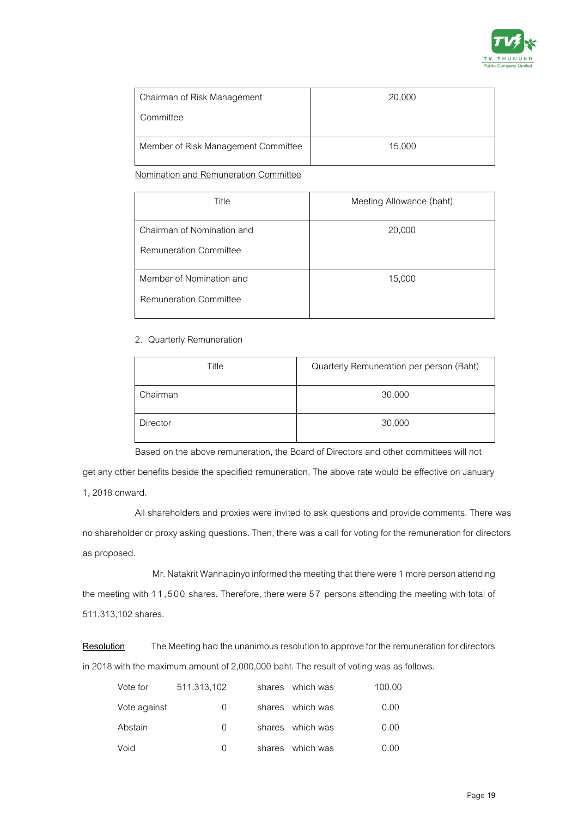

| Chairman of Risk Management         | 20,000 |
|-------------------------------------|--------|
| Committee                           |        |
| Member of Risk Management Committee | 15,000 |

Nomination and Remuneration Committee

| Title                                                       | Meeting Allowance (baht) |
|-------------------------------------------------------------|--------------------------|
| Chairman of Nomination and<br><b>Remuneration Committee</b> | 20,000                   |
| Member of Nomination and<br><b>Remuneration Committee</b>   | 15,000                   |

### 2. Quarterly Remuneration

| Title           | Quarterly Remuneration per person (Baht) |
|-----------------|------------------------------------------|
| Chairman        | 30,000                                   |
| <b>Director</b> | 30,000                                   |

Based on the above remuneration, the Board of Directors and other committees will not

get any other benefits beside the specified remuneration. The above rate would be effective on January 1, 2018 onward.

All shareholders and proxies were invited to ask questions and provide comments. There was no shareholder or proxy asking questions. Then, there was a call for voting for the remuneration for directors as proposed.

Mr. Natakrit Wannapinyo informed the meeting that there were 1 more person attending the meeting with 11,500 shares. Therefore, there were 57 persons attending the meeting with total of 511,313,102 shares.

**Resolution** The Meeting had the unanimous resolution to approve for the remuneration for directors in 2018 with the maximum amount of 2,000,000 baht. The result of voting was as follows.

| Vote for     | 511,313,102 | shares which was | 100.00 |
|--------------|-------------|------------------|--------|
| Vote against | 0           | shares which was | 0.00   |
| Abstain      | 0           | shares which was | 0.00   |
| Void         | 0           | shares which was | 0.00   |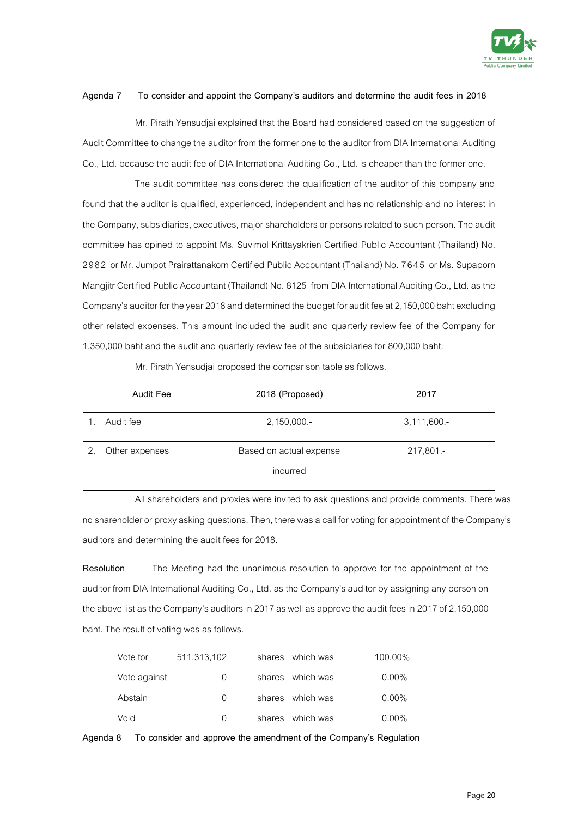

### **Agenda 7 To consider and appoint the Company's auditors and determine the audit fees in 2018**

Mr. Pirath Yensudjai explained that the Board had considered based on the suggestion of Audit Committee to change the auditor from the former one to the auditor from DIA International Auditing Co., Ltd. because the audit fee of DIA International Auditing Co., Ltd. is cheaper than the former one.

The audit committee has considered the qualification of the auditor of this company and found that the auditor is qualified, experienced, independent and has no relationship and no interest in the Company, subsidiaries, executives, major shareholders or persons related to such person. The audit committee has opined to appoint Ms. Suvimol Krittayakrien Certified Public Accountant (Thailand) No. 2982 or Mr. Jumpot Prairattanakorn Certified Public Accountant (Thailand) No. 7645 or Ms. Supaporn Mangjitr Certified Public Accountant (Thailand) No. 8125 from DIA International Auditing Co., Ltd. as the Company's auditor for the year 2018 and determined the budget for audit fee at 2,150,000 baht excluding other related expenses. This amount included the audit and quarterly review fee of the Company for 1,350,000 baht and the audit and quarterly review fee of the subsidiaries for 800,000 baht.

| <b>Audit Fee</b>     | 2018 (Proposed)                     | 2017        |
|----------------------|-------------------------------------|-------------|
| Audit fee            | 2,150,000.-                         | 3,111,600.- |
| Other expenses<br>2. | Based on actual expense<br>incurred | 217,801.-   |

Mr. Pirath Yensudjai proposed the comparison table as follows.

All shareholders and proxies were invited to ask questions and provide comments. There was no shareholder or proxy asking questions. Then, there was a call for voting for appointment of the Company's auditors and determining the audit fees for 2018.

**Resolution** The Meeting had the unanimous resolution to approve for the appointment of the auditor from DIA International Auditing Co., Ltd. as the Company's auditor by assigning any person on the above list as the Company's auditors in 2017 as well as approve the audit fees in 2017 of 2,150,000 baht. The result of voting was as follows.

| Vote for     | 511,313,102      | shares which was | 100.00%  |
|--------------|------------------|------------------|----------|
| Vote against | $\left( \right)$ | shares which was | $0.00\%$ |
| Abstain      | $\Omega$         | shares which was | $0.00\%$ |
| Void         | $\Omega$         | shares which was | $0.00\%$ |

**Agenda 8 To consider and approve the amendment of the Company's Regulation**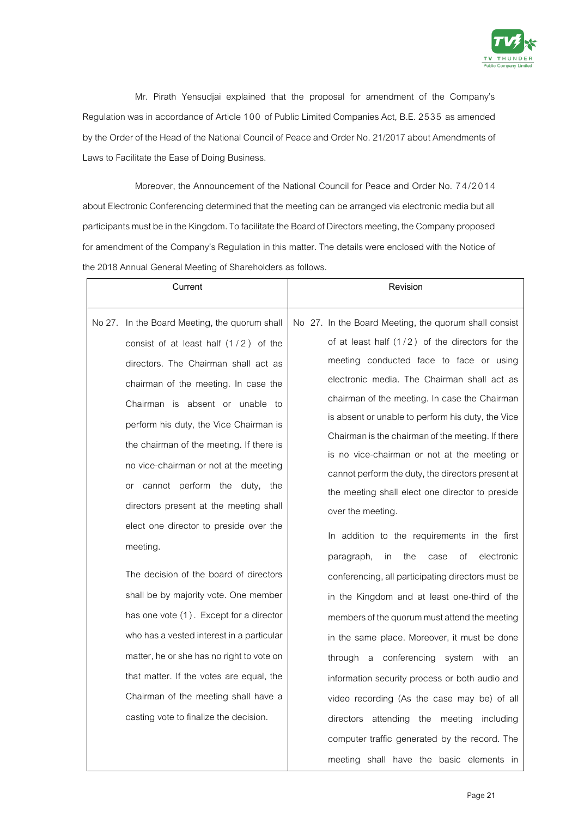

Mr. Pirath Yensudjai explained that the proposal for amendment of the Company's Regulation was in accordance of Article 100 of Public Limited Companies Act, B.E. 2535 as amended by the Order of the Head of the National Council of Peace and Order No. 21/2017 about Amendments of Laws to Facilitate the Ease of Doing Business.

Moreover, the Announcement of the National Council for Peace and Order No. 7 4 /2014 about Electronic Conferencing determined that the meeting can be arranged via electronic media but all participants must be in the Kingdom. To facilitate the Board of Directors meeting, the Company proposed for amendment of the Company's Regulation in this matter. The details were enclosed with the Notice of the 2018 Annual General Meeting of Shareholders as follows.

| Current                                       | Revision                                              |
|-----------------------------------------------|-------------------------------------------------------|
| No 27. In the Board Meeting, the quorum shall | No 27. In the Board Meeting, the quorum shall consist |
| consist of at least half $(1/2)$ of the       | of at least half $(1/2)$ of the directors for the     |
| directors. The Chairman shall act as          | meeting conducted face to face or using               |
| chairman of the meeting. In case the          | electronic media. The Chairman shall act as           |
| Chairman is absent or unable to               | chairman of the meeting. In case the Chairman         |
| perform his duty, the Vice Chairman is        | is absent or unable to perform his duty, the Vice     |
| the chairman of the meeting. If there is      | Chairman is the chairman of the meeting. If there     |
| no vice-chairman or not at the meeting        | is no vice-chairman or not at the meeting or          |
| or cannot perform the duty, the               | cannot perform the duty, the directors present at     |
| directors present at the meeting shall        | the meeting shall elect one director to preside       |
| elect one director to preside over the        | over the meeting.                                     |
| meeting.                                      | In addition to the requirements in the first          |
|                                               | the<br>of<br>electronic<br>paragraph,<br>in<br>case   |
| The decision of the board of directors        | conferencing, all participating directors must be     |
| shall be by majority vote. One member         | in the Kingdom and at least one-third of the          |
| has one vote (1). Except for a director       | members of the quorum must attend the meeting         |
| who has a vested interest in a particular     | in the same place. Moreover, it must be done          |
| matter, he or she has no right to vote on     | through a conferencing system with an                 |
| that matter. If the votes are equal, the      | information security process or both audio and        |
| Chairman of the meeting shall have a          | video recording (As the case may be) of all           |
| casting vote to finalize the decision.        | directors attending<br>the meeting<br>including       |
|                                               | computer traffic generated by the record. The         |
|                                               | meeting shall have the basic elements in              |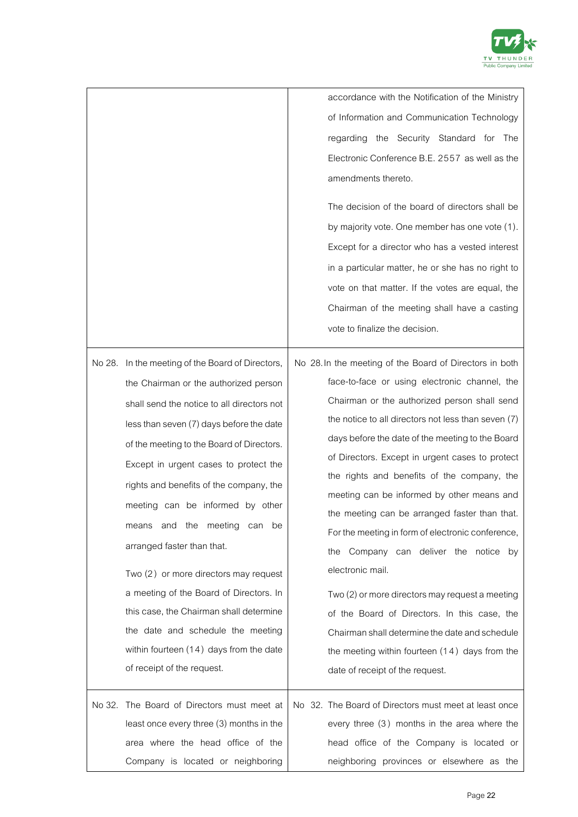

accordance with the Notification of the Ministry of Information and Communication Technology regarding the Security Standard for The Electronic Conference B.E. 2557 as well as the amendments thereto. The decision of the board of directors shall be by majority vote. One member has one vote (1). Except for a director who has a vested interest in a particular matter, he or she has no right to vote on that matter. If the votes are equal, the Chairman of the meeting shall have a casting vote to finalize the decision.

No 28. In the meeting of the Board of Directors, the Chairman or the authorized person shall send the notice to all directors not less than seven (7) days before the date of the meeting to the Board of Directors. Except in urgent cases to protect the rights and benefits of the company, the meeting can be informed by other means and the meeting can be arranged faster than that. Two (2) or more directors may request a meeting of the Board of Directors. In this case, the Chairman shall determine the date and schedule the meeting within fourteen (14) days from the date of receipt of the request. No 28.In the meeting of the Board of Directors in both face-to-face or using electronic channel, the Chairman or the authorized person shall send the notice to all directors not less than seven (7) days before the date of the meeting to the Board of Directors. Except in urgent cases to protect the rights and benefits of the company, the meeting can be informed by other means and the meeting can be arranged faster than that. For the meeting in form of electronic conference, the Company can deliver the notice by electronic mail. Two (2) or more directors may request a meeting of the Board of Directors. In this case, the Chairman shall determine the date and schedule the meeting within fourteen (1 4 ) days from the date of receipt of the request. No 32. The Board of Directors must meet at least once every three (3) months in the area where the head office of the Company is located or neighboring No 32. The Board of Directors must meet at least once every three (3) months in the area where the head office of the Company is located or neighboring provinces or elsewhere as the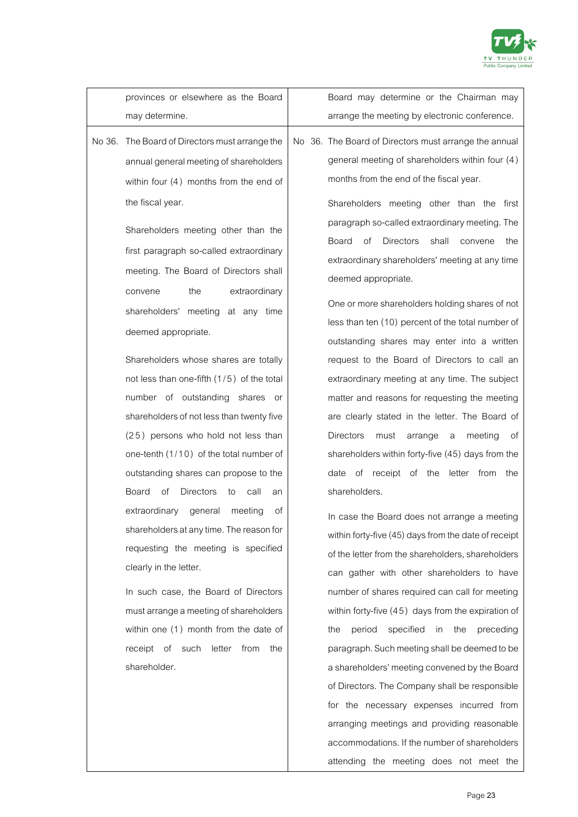

|        | provinces or elsewhere as the Board                                                                                                                                                                                                                                                                                                                                         | Board may determine or the Chairman may                                                                                                                                                                                                                                                                                                                                                                                                                                                                                                          |
|--------|-----------------------------------------------------------------------------------------------------------------------------------------------------------------------------------------------------------------------------------------------------------------------------------------------------------------------------------------------------------------------------|--------------------------------------------------------------------------------------------------------------------------------------------------------------------------------------------------------------------------------------------------------------------------------------------------------------------------------------------------------------------------------------------------------------------------------------------------------------------------------------------------------------------------------------------------|
|        | may determine.                                                                                                                                                                                                                                                                                                                                                              | arrange the meeting by electronic conference.                                                                                                                                                                                                                                                                                                                                                                                                                                                                                                    |
| No 36. | The Board of Directors must arrange the<br>annual general meeting of shareholders<br>within four $(4)$ months from the end of<br>the fiscal year.<br>Shareholders meeting other than the<br>first paragraph so-called extraordinary<br>meeting. The Board of Directors shall<br>extraordinary<br>the<br>convene<br>shareholders' meeting at any time<br>deemed appropriate. | No 36. The Board of Directors must arrange the annual<br>general meeting of shareholders within four (4)<br>months from the end of the fiscal year.<br>Shareholders meeting other than the first<br>paragraph so-called extraordinary meeting. The<br>Board<br>of<br><b>Directors</b><br>shall<br>convene<br>the<br>extraordinary shareholders' meeting at any time<br>deemed appropriate.<br>One or more shareholders holding shares of not<br>less than ten (10) percent of the total number of<br>outstanding shares may enter into a written |
|        | Shareholders whose shares are totally<br>not less than one-fifth (1/5) of the total<br>number of outstanding shares or<br>shareholders of not less than twenty five<br>(25) persons who hold not less than<br>one-tenth (1/10) of the total number of<br>outstanding shares can propose to the<br>Directors<br>Board<br>οf<br>call<br>to<br>an                              | request to the Board of Directors to call an<br>extraordinary meeting at any time. The subject<br>matter and reasons for requesting the meeting<br>are clearly stated in the letter. The Board of<br><b>Directors</b><br>must<br>meeting<br>arrange<br>оf<br>a<br>shareholders within forty-five (45) days from the<br>of receipt of the<br>letter from<br>date<br>the<br>shareholders.                                                                                                                                                          |
|        | extraordinary general meeting<br>оf<br>shareholders at any time. The reason for<br>requesting the meeting is specified<br>clearly in the letter.<br>In such case, the Board of Directors<br>must arrange a meeting of shareholders<br>within one (1) month from the date of<br>receipt of such letter<br>from<br>the<br>shareholder.                                        | In case the Board does not arrange a meeting<br>within forty-five (45) days from the date of receipt<br>of the letter from the shareholders, shareholders<br>can gather with other shareholders to have<br>number of shares required can call for meeting<br>within forty-five (45) days from the expiration of<br>specified<br>period<br>in<br>the<br>preceding<br>the<br>paragraph. Such meeting shall be deemed to be<br>a shareholders' meeting convened by the Board                                                                        |
|        |                                                                                                                                                                                                                                                                                                                                                                             | of Directors. The Company shall be responsible                                                                                                                                                                                                                                                                                                                                                                                                                                                                                                   |

for the necessary expenses incurred from arranging meetings and providing reasonable accommodations. If the number of shareholders attending the meeting does not meet the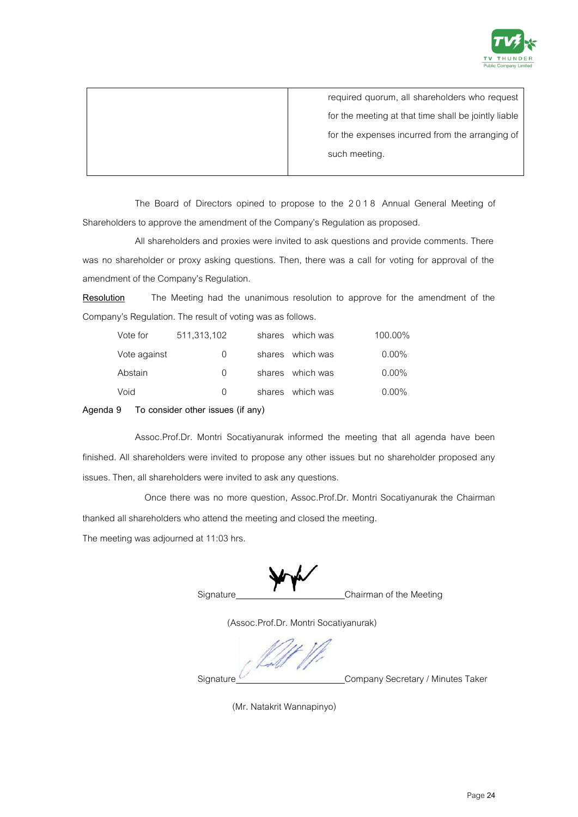

| required quorum, all shareholders who request        |
|------------------------------------------------------|
| for the meeting at that time shall be jointly liable |
| for the expenses incurred from the arranging of      |
| such meeting.                                        |
|                                                      |

The Board of Directors opined to propose to the 2018 Annual General Meeting of Shareholders to approve the amendment of the Company's Regulation as proposed.

All shareholders and proxies were invited to ask questions and provide comments. There was no shareholder or proxy asking questions. Then, there was a call for voting for approval of the amendment of the Company's Regulation.

**Resolution** The Meeting had the unanimous resolution to approve for the amendment of the Company's Regulation. The result of voting was as follows.

| Vote for     | 511,313,102      | shares which was | 100.00%  |
|--------------|------------------|------------------|----------|
| Vote against | $\left( \right)$ | shares which was | $0.00\%$ |
| Abstain      | $\left( \right)$ | shares which was | $0.00\%$ |
| Void         | $\Omega$         | shares which was | $0.00\%$ |

**Agenda 9 To consider other issues (if any)**

Assoc.Prof.Dr. Montri Socatiyanurak informed the meeting that all agenda have been finished. All shareholders were invited to propose any other issues but no shareholder proposed any issues. Then, all shareholders were invited to ask any questions.

Once there was no more question, Assoc.Prof.Dr. Montri Socatiyanurak the Chairman thanked all shareholders who attend the meeting and closed the meeting.

The meeting was adjourned at 11:03 hrs.

Signature Chairman of the Meeting

(Assoc.Prof.Dr. Montri Socatiyanurak)

Signature Company Secretary / Minutes Taker

(Mr. Natakrit Wannapinyo)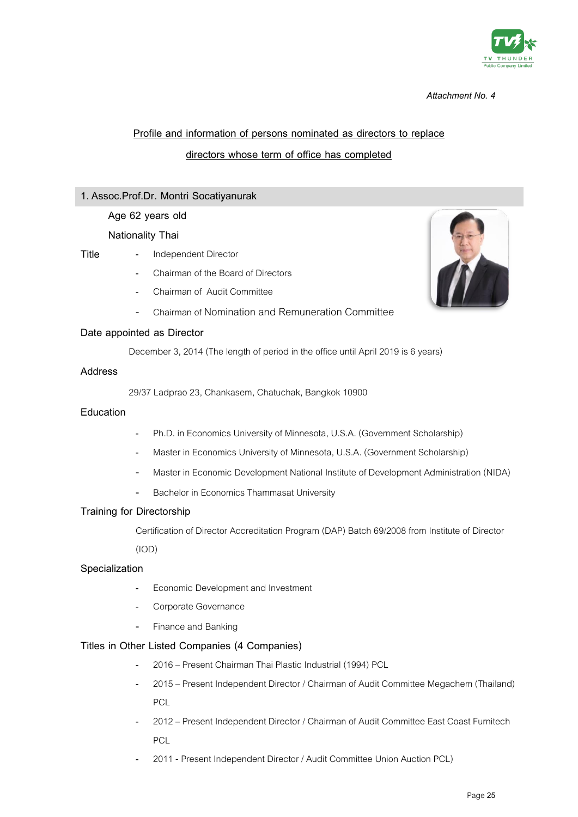

# **Profile and information of persons nominated as directors to replace directors whose term of office has completed**

### **1. Assoc.Prof.Dr. Montri Socatiyanurak**

### **Age 62 years old**

### **Nationality Thai**

- 
- **Title** Independent Director
	- Chairman of the Board of Directors
	- Chairman of Audit Committee
	- Chairman of Nomination and Remuneration Committee

### **Date appointed as Director**

December 3, 2014 (The length of period in the office until April 2019 is 6 years)

### **Address**

29/37 Ladprao 23, Chankasem, Chatuchak, Bangkok 10900

### **Education**

- Ph.D. in Economics University of Minnesota, U.S.A. (Government Scholarship)
- Master in Economics University of Minnesota, U.S.A. (Government Scholarship)
- Master in Economic Development National Institute of Development Administration (NIDA)
- Bachelor in Economics Thammasat University

### **Training for Directorship**

Certification of Director Accreditation Program (DAP) Batch 69/2008 from Institute of Director

(IOD)

### **Specialization**

- Economic Development and Investment
- Corporate Governance
- Finance and Banking

### **Titles in Other Listed Companies (4 Companies)**

- 2016 Present Chairman Thai Plastic Industrial (1994) PCL
- 2015 Present Independent Director / Chairman of Audit Committee Megachem (Thailand) PCL
- 2012 Present Independent Director / Chairman of Audit Committee East Coast Furnitech PCL
- 2011 Present Independent Director / Audit Committee Union Auction PCL)

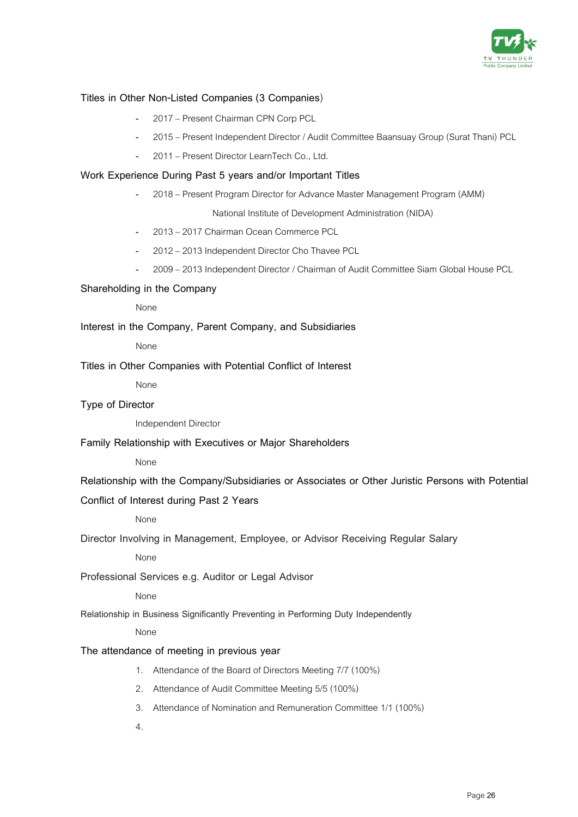

### **Titles in Other Non-Listed Companies (3 Companies**)

- 2017 Present Chairman CPN Corp PCL
- 2015 Present Independent Director / Audit Committee Baansuay Group (Surat Thani) PCL
- 2011 Present Director LearnTech Co., Ltd.

### **Work Experience During Past 5 years and/or Important Titles**

- 2018 – Present Program Director for Advance Master Management Program (AMM)

National Institute of Development Administration (NIDA)

- 2013 –2017 Chairman Ocean Commerce PCL
- 2012 2013 Independent Director Cho Thavee PCL
- 2009 –2013 Independent Director / Chairman of Audit Committee Siam Global House PCL

### **Shareholding in the Company**

None

**Interest in the Company, Parent Company, and Subsidiaries** 

None

**Titles in Other Companies with Potential Conflict of Interest** 

None

### **Type of Director**

Independent Director

**Family Relationship with Executives or Major Shareholders** 

None

**Relationship with the Company/Subsidiaries or Associates or Other Juristic Persons with Potential** 

### **Conflict of Interest during Past 2 Years**

None

**Director Involving in Management, Employee, or Advisor Receiving Regular Salary**

None

**Professional Services e.g. Auditor or Legal Advisor**

None

**Relationship in Business Significantly Preventing in Performing Duty Independently**

None

### **The attendance of meeting in previous year**

- 1. Attendance of the Board of Directors Meeting 7/7 (100%)
- 2. Attendance of Audit Committee Meeting 5/5 (100%)
- 3. Attendance of Nomination and Remuneration Committee 1/1 (100%)
- 4.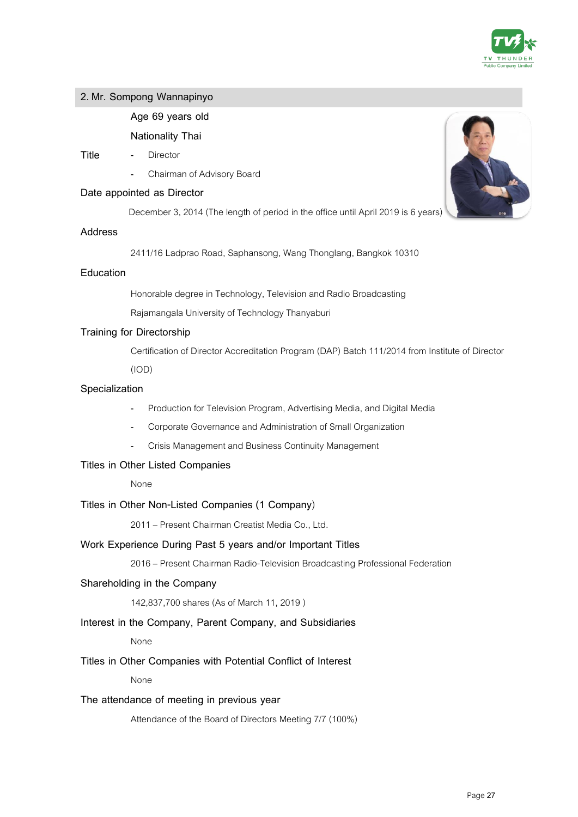

### **2. Mr. Sompong Wannapinyo**

### **Age 69 years old**

**Nationality Thai**

- **Title** Director
	- Chairman of Advisory Board

### **Date appointed as Director**

December 3, 2014 (The length of period in the office until April 2019 is 6 years)

### **Address**

2411/16 Ladprao Road, Saphansong, Wang Thonglang, Bangkok 10310

### **Education**

Honorable degree in Technology, Television and Radio Broadcasting

Rajamangala University of Technology Thanyaburi

### **Training for Directorship**

Certification of Director Accreditation Program (DAP) Batch 111/2014 from Institute of Director

(IOD)

### **Specialization**

- Production for Television Program, Advertising Media, and Digital Media
- Corporate Governance and Administration of Small Organization
- Crisis Management and Business Continuity Management

### **Titles in Other Listed Companies**

None

### **Titles in Other Non-Listed Companies (1 Company**)

2011 – Present Chairman Creatist Media Co., Ltd.

### **Work Experience During Past 5 years and/or Important Titles**

2016 – Present Chairman Radio-Television Broadcasting Professional Federation

### **Shareholding in the Company**

142,837,700 shares (As of March 11, 2019 )

### **Interest in the Company, Parent Company, and Subsidiaries**

None

### **Titles in Other Companies with Potential Conflict of Interest**

None

### **The attendance of meeting in previous year**

Attendance of the Board of Directors Meeting 7/7 (100%)

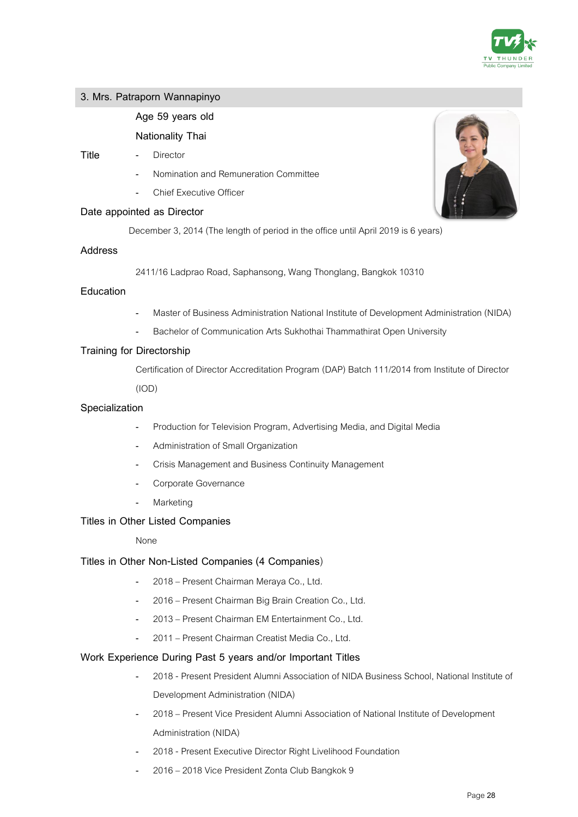

### **3. Mrs. Patraporn Wannapinyo**

### **Age 59 years old**

### **Nationality Thai**

#### **Title** - Director

- Nomination and Remuneration Committee
- Chief Executive Officer

### **Date appointed as Director**

December 3, 2014 (The length of period in the office until April 2019 is 6 years)

### **Address**

2411/16 Ladprao Road, Saphansong, Wang Thonglang, Bangkok 10310

### **Education**

- Master of Business Administration National Institute of Development Administration (NIDA)
- Bachelor of Communication Arts Sukhothai Thammathirat Open University

### **Training for Directorship**

Certification of Director Accreditation Program (DAP) Batch 111/2014 from Institute of Director

(IOD)

### **Specialization**

- Production for Television Program, Advertising Media, and Digital Media
- Administration of Small Organization
- Crisis Management and Business Continuity Management
- Corporate Governance
- **Marketing**

### **Titles in Other Listed Companies**

### None

### **Titles in Other Non-Listed Companies (4 Companies**)

- 2018 Present Chairman Meraya Co., Ltd.
- 2016 Present Chairman Big Brain Creation Co., Ltd.
- 2013 Present Chairman EM Entertainment Co., Ltd.
- 2011 Present Chairman Creatist Media Co., Ltd.

### **Work Experience During Past 5 years and/or Important Titles**

- 2018 Present President Alumni Association of NIDA Business School, National Institute of Development Administration (NIDA)
- 2018 Present Vice President Alumni Association of National Institute of Development Administration (NIDA)
- 2018 Present Executive Director Right Livelihood Foundation
- 2016 –2018 Vice President Zonta Club Bangkok 9

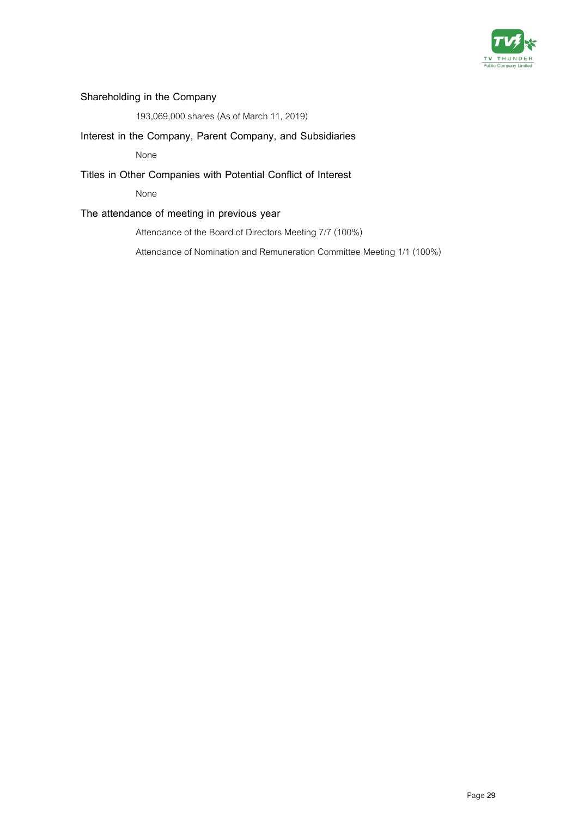

# **Shareholding in the Company**

193,069,000 shares (As of March 11, 2019)

### **Interest in the Company, Parent Company, and Subsidiaries**

None

### **Titles in Other Companies with Potential Conflict of Interest**

None

### **The attendance of meeting in previous year**

Attendance of the Board of Directors Meeting 7/7 (100%)

Attendance of Nomination and Remuneration Committee Meeting 1/1 (100%)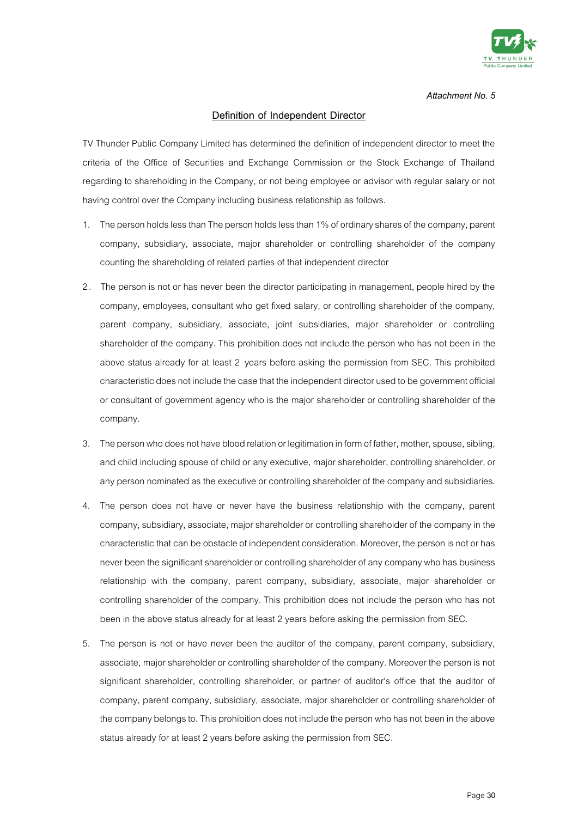

### **Definition of Independent Director**

TV Thunder Public Company Limited has determined the definition of independent director to meet the criteria of the Office of Securities and Exchange Commission or the Stock Exchange of Thailand regarding to shareholding in the Company, or not being employee or advisor with regular salary or not having control over the Company including business relationship as follows.

- 1. The person holds less than The person holds less than 1% of ordinary shares of the company, parent company, subsidiary, associate, major shareholder or controlling shareholder of the company counting the shareholding of related parties of that independent director
- 2 . The person is not or has never been the director participating in management, people hired by the company, employees, consultant who get fixed salary, or controlling shareholder of the company, parent company, subsidiary, associate, joint subsidiaries, major shareholder or controlling shareholder of the company. This prohibition does not include the person who has not been in the above status already for at least 2 years before asking the permission from SEC. This prohibited characteristic does not include the case that the independent director used to be government official or consultant of government agency who is the major shareholder or controlling shareholder of the company.
- 3. The person who does not have blood relation or legitimation in form of father, mother, spouse, sibling, and child including spouse of child or any executive, major shareholder, controlling shareholder, or any person nominated as the executive or controlling shareholder of the company and subsidiaries.
- 4. The person does not have or never have the business relationship with the company, parent company, subsidiary, associate, major shareholder or controlling shareholder of the company in the characteristic that can be obstacle of independent consideration. Moreover, the person is not or has never been the significant shareholder or controlling shareholder of any company who has business relationship with the company, parent company, subsidiary, associate, major shareholder or controlling shareholder of the company. This prohibition does not include the person who has not been in the above status already for at least 2 years before asking the permission from SEC.
- 5. The person is not or have never been the auditor of the company, parent company, subsidiary, associate, major shareholder or controlling shareholder of the company. Moreover the person is not significant shareholder, controlling shareholder, or partner of auditor's office that the auditor of company, parent company, subsidiary, associate, major shareholder or controlling shareholder of the company belongs to. This prohibition does not include the person who has not been in the above status already for at least 2 years before asking the permission from SEC.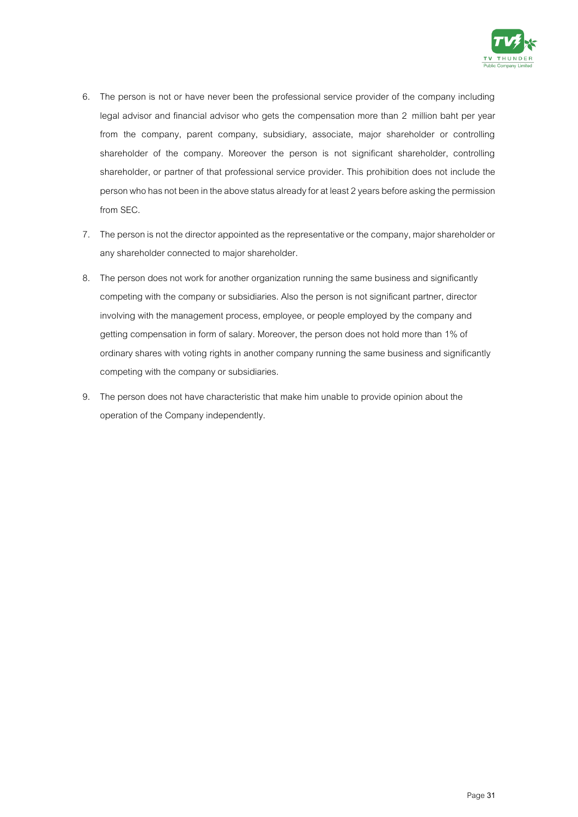

- 6. The person is not or have never been the professional service provider of the company including legal advisor and financial advisor who gets the compensation more than 2 million baht per year from the company, parent company, subsidiary, associate, major shareholder or controlling shareholder of the company. Moreover the person is not significant shareholder, controlling shareholder, or partner of that professional service provider. This prohibition does not include the person who has not been in the above status already for at least 2 years before asking the permission from SEC.
- 7. The person is not the director appointed as the representative or the company, major shareholder or any shareholder connected to major shareholder.
- 8. The person does not work for another organization running the same business and significantly competing with the company or subsidiaries. Also the person is not significant partner, director involving with the management process, employee, or people employed by the company and getting compensation in form of salary. Moreover, the person does not hold more than 1% of ordinary shares with voting rights in another company running the same business and significantly competing with the company or subsidiaries.
- 9. The person does not have characteristic that make him unable to provide opinion about the operation of the Company independently.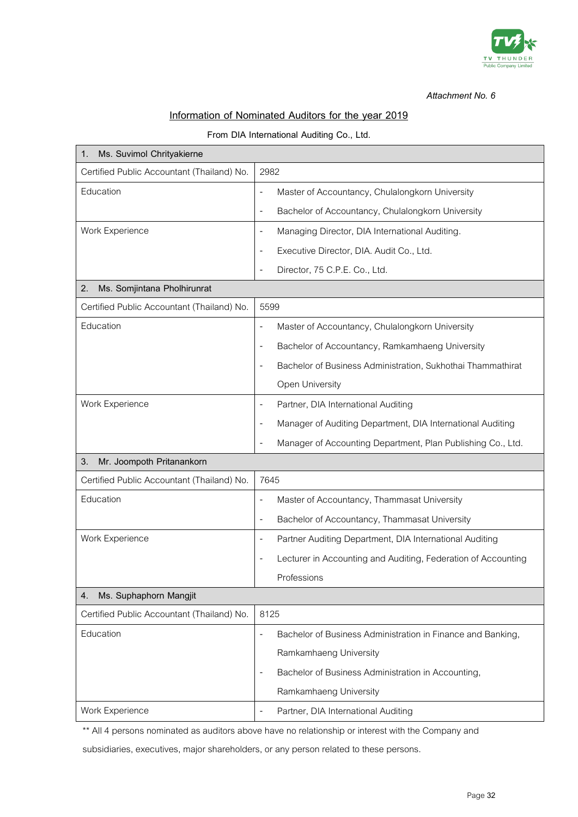

### **Information of Nominated Auditors for the year 2019**

### **From DIA International Auditing Co., Ltd.**

| Ms. Suvimol Chrityakierne<br>1.            |                                                                                         |
|--------------------------------------------|-----------------------------------------------------------------------------------------|
| Certified Public Accountant (Thailand) No. | 2982                                                                                    |
| Education                                  | Master of Accountancy, Chulalongkorn University                                         |
|                                            | Bachelor of Accountancy, Chulalongkorn University<br>$\overline{\phantom{a}}$           |
| Work Experience                            | Managing Director, DIA International Auditing.<br>$\overline{\phantom{a}}$              |
|                                            | Executive Director, DIA. Audit Co., Ltd.                                                |
|                                            | Director, 75 C.P.E. Co., Ltd.<br>$\overline{\phantom{a}}$                               |
| 2.<br>Ms. Somjintana Pholhirunrat          |                                                                                         |
| Certified Public Accountant (Thailand) No. | 5599                                                                                    |
| Education                                  | Master of Accountancy, Chulalongkorn University<br>$\overline{\phantom{a}}$             |
|                                            | Bachelor of Accountancy, Ramkamhaeng University<br>$\overline{\phantom{a}}$             |
|                                            | Bachelor of Business Administration, Sukhothai Thammathirat                             |
|                                            | Open University                                                                         |
| Work Experience                            | Partner, DIA International Auditing<br>$\overline{\phantom{a}}$                         |
|                                            | Manager of Auditing Department, DIA International Auditing                              |
|                                            | Manager of Accounting Department, Plan Publishing Co., Ltd.                             |
| Mr. Joompoth Pritanankorn<br>3.            |                                                                                         |
| Certified Public Accountant (Thailand) No. | 7645                                                                                    |
| Education                                  | Master of Accountancy, Thammasat University<br>$\overline{\phantom{a}}$                 |
|                                            | Bachelor of Accountancy, Thammasat University<br>$\overline{\phantom{a}}$               |
| Work Experience                            | Partner Auditing Department, DIA International Auditing<br>$\overline{\phantom{a}}$     |
|                                            | Lecturer in Accounting and Auditing, Federation of Accounting                           |
|                                            | Professions                                                                             |
| Ms. Suphaphorn Mangjit<br>4.               |                                                                                         |
| Certified Public Accountant (Thailand) No. | 8125                                                                                    |
| Education                                  | Bachelor of Business Administration in Finance and Banking,<br>$\overline{\phantom{a}}$ |
|                                            | Ramkamhaeng University                                                                  |
|                                            | Bachelor of Business Administration in Accounting,<br>$\overline{\phantom{a}}$          |
|                                            | Ramkamhaeng University                                                                  |
| Work Experience                            | Partner, DIA International Auditing                                                     |

\*\* All 4 persons nominated as auditors above have no relationship or interest with the Company and

subsidiaries, executives, major shareholders, or any person related to these persons.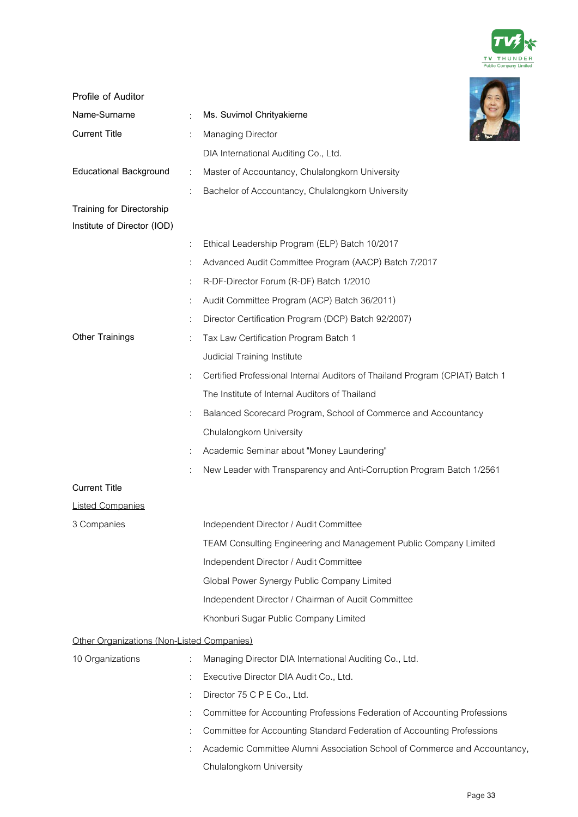

| Profile of Auditor                         |   |                                                                              |
|--------------------------------------------|---|------------------------------------------------------------------------------|
| Name-Surname                               |   | Ms. Suvimol Chrityakierne                                                    |
| <b>Current Title</b>                       |   | Managing Director                                                            |
|                                            |   | DIA International Auditing Co., Ltd.                                         |
| <b>Educational Background</b>              | ÷ | Master of Accountancy, Chulalongkorn University                              |
|                                            |   | Bachelor of Accountancy, Chulalongkorn University                            |
| Training for Directorship                  |   |                                                                              |
| Institute of Director (IOD)                |   |                                                                              |
|                                            | ÷ | Ethical Leadership Program (ELP) Batch 10/2017                               |
|                                            |   | Advanced Audit Committee Program (AACP) Batch 7/2017                         |
|                                            |   | R-DF-Director Forum (R-DF) Batch 1/2010                                      |
|                                            |   | Audit Committee Program (ACP) Batch 36/2011)                                 |
|                                            |   | Director Certification Program (DCP) Batch 92/2007)                          |
| <b>Other Trainings</b>                     |   | Tax Law Certification Program Batch 1                                        |
|                                            |   | Judicial Training Institute                                                  |
|                                            |   | Certified Professional Internal Auditors of Thailand Program (CPIAT) Batch 1 |
|                                            |   | The Institute of Internal Auditors of Thailand                               |
|                                            |   | Balanced Scorecard Program, School of Commerce and Accountancy               |
|                                            |   | Chulalongkorn University                                                     |
|                                            |   | Academic Seminar about "Money Laundering"                                    |
|                                            |   | New Leader with Transparency and Anti-Corruption Program Batch 1/2561        |
| <b>Current Title</b>                       |   |                                                                              |
| <b>Listed Companies</b>                    |   |                                                                              |
| 3 Companies                                |   | Independent Director / Audit Committee                                       |
|                                            |   | TEAM Consulting Engineering and Management Public Company Limited            |
|                                            |   | Independent Director / Audit Committee                                       |
|                                            |   | Global Power Synergy Public Company Limited                                  |
|                                            |   | Independent Director / Chairman of Audit Committee                           |
|                                            |   | Khonburi Sugar Public Company Limited                                        |
| Other Organizations (Non-Listed Companies) |   |                                                                              |
| 10 Organizations                           |   | Managing Director DIA International Auditing Co., Ltd.                       |
|                                            |   | Executive Director DIA Audit Co., Ltd.                                       |
|                                            |   | Director 75 C P E Co., Ltd.                                                  |
|                                            |   | Committee for Accounting Professions Federation of Accounting Professions    |
|                                            | ÷ | Committee for Accounting Standard Federation of Accounting Professions       |
|                                            |   | Academic Committee Alumni Association School of Commerce and Accountancy,    |
|                                            |   | Chulalongkorn University                                                     |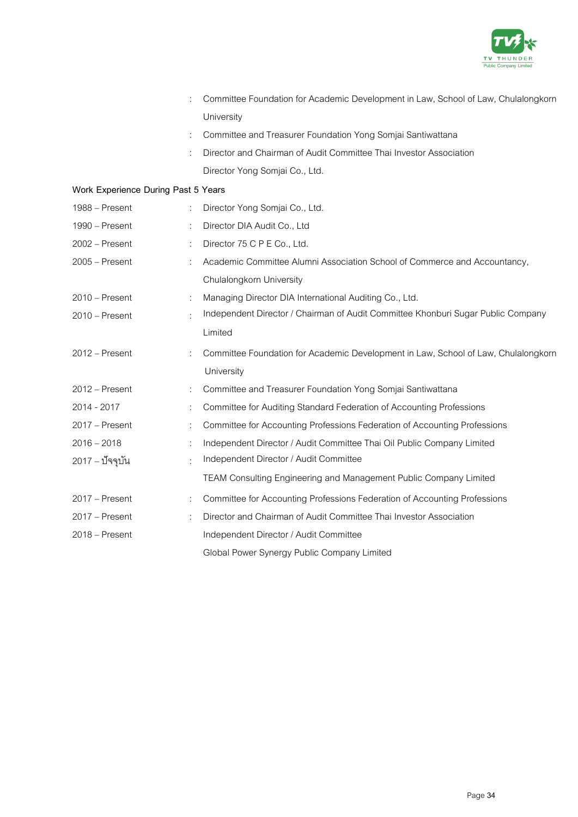

|                                     |                      | Committee Foundation for Academic Development in Law, School of Law, Chulalongkorn |
|-------------------------------------|----------------------|------------------------------------------------------------------------------------|
|                                     |                      | University                                                                         |
|                                     | ÷                    | Committee and Treasurer Foundation Yong Somjai Santiwattana                        |
|                                     |                      | Director and Chairman of Audit Committee Thai Investor Association                 |
|                                     |                      | Director Yong Somjai Co., Ltd.                                                     |
| Work Experience During Past 5 Years |                      |                                                                                    |
| 1988 – Present                      | ÷                    | Director Yong Somjai Co., Ltd.                                                     |
| 1990 - Present                      | ÷                    | Director DIA Audit Co., Ltd                                                        |
| 2002 - Present                      | ÷                    | Director 75 C P E Co., Ltd.                                                        |
| $2005 -$ Present                    |                      | Academic Committee Alumni Association School of Commerce and Accountancy,          |
|                                     |                      | Chulalongkorn University                                                           |
| 2010 - Present                      | ÷                    | Managing Director DIA International Auditing Co., Ltd.                             |
| $2010$ – Present                    | ÷                    | Independent Director / Chairman of Audit Committee Khonburi Sugar Public Company   |
|                                     |                      | Limited                                                                            |
| 2012 - Present                      |                      | Committee Foundation for Academic Development in Law, School of Law, Chulalongkorn |
|                                     |                      | University                                                                         |
| $2012 -$ Present                    | ÷                    | Committee and Treasurer Foundation Yong Somjai Santiwattana                        |
| 2014 - 2017                         | ÷                    | Committee for Auditing Standard Federation of Accounting Professions               |
| 2017 - Present                      | ÷                    | Committee for Accounting Professions Federation of Accounting Professions          |
| $2016 - 2018$                       | ÷                    | Independent Director / Audit Committee Thai Oil Public Company Limited             |
| 2017 – ปัจจุบัน                     | $\ddot{\phantom{a}}$ | Independent Director / Audit Committee                                             |
|                                     |                      | TEAM Consulting Engineering and Management Public Company Limited                  |
| 2017 - Present                      | ÷                    | Committee for Accounting Professions Federation of Accounting Professions          |
| $2017$ – Present                    |                      | Director and Chairman of Audit Committee Thai Investor Association                 |
| 2018 - Present                      |                      | Independent Director / Audit Committee                                             |
|                                     |                      |                                                                                    |

Global Power Synergy Public Company Limited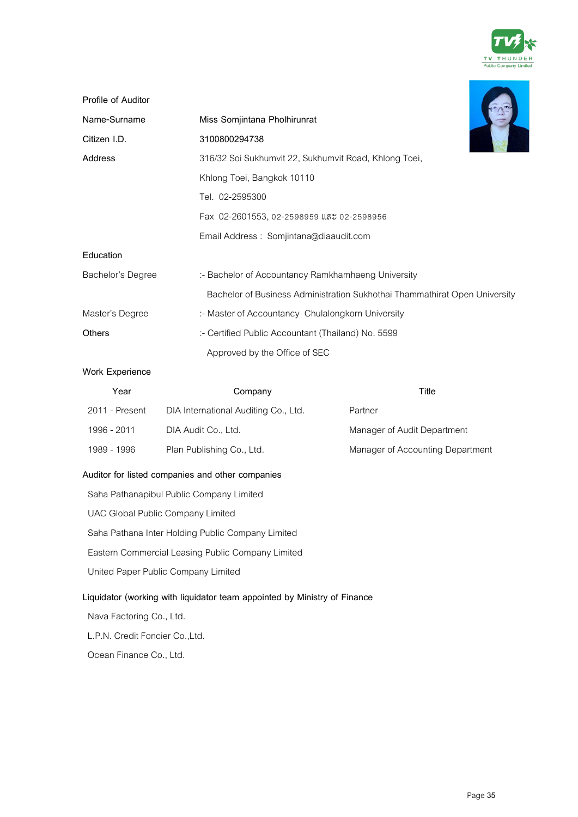

| Profile of Auditor |                                                                            |
|--------------------|----------------------------------------------------------------------------|
| Name-Surname       | Miss Somjintana Pholhirunrat                                               |
| Citizen I.D.       | 3100800294738                                                              |
| Address            | 316/32 Soi Sukhumvit 22, Sukhumvit Road, Khlong Toei,                      |
|                    | Khlong Toei, Bangkok 10110                                                 |
|                    | Tel. 02-2595300                                                            |
|                    | Fax 02-2601553, 02-2598959 และ 02-2598956                                  |
|                    | Email Address: Somjintana@diaaudit.com                                     |
| Education          |                                                                            |
| Bachelor's Degree  | :- Bachelor of Accountancy Ramkhamhaeng University                         |
|                    | Bachelor of Business Administration Sukhothai Thammathirat Open University |
| Master's Degree    | :- Master of Accountancy Chulalongkorn University                          |
| <b>Others</b>      | :- Certified Public Accountant (Thailand) No. 5599                         |
|                    | Approved by the Office of SEC                                              |

### **Work Experience**

| Year           | Company                              | Title                            |
|----------------|--------------------------------------|----------------------------------|
| 2011 - Present | DIA International Auditing Co., Ltd. | Partner                          |
| 1996 - 2011    | DIA Audit Co., Ltd.                  | Manager of Audit Department      |
| 1989 - 1996    | Plan Publishing Co., Ltd.            | Manager of Accounting Department |

### **Auditor for listed companies and other companies**

Saha Pathanapibul Public Company Limited UAC Global Public Company Limited Saha Pathana Inter Holding Public Company Limited Eastern Commercial Leasing Public Company Limited United Paper Public Company Limited **Liquidator (working with liquidator team appointed by Ministry of Finance** Nava Factoring Co., Ltd. L.P.N. Credit Foncier Co.,Ltd.

Ocean Finance Co., Ltd.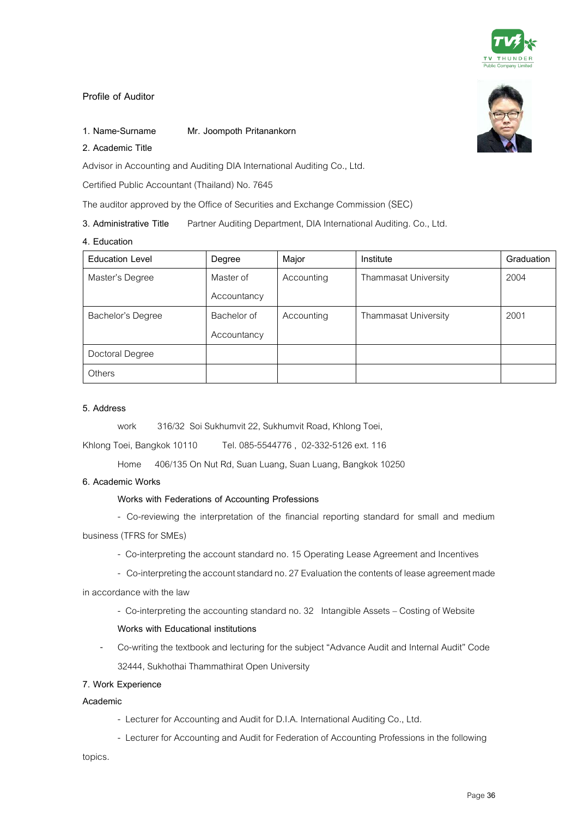

### **Profile of Auditor**

### **1. Name-Surname Mr. Joompoth Pritanankorn**

### **2. Academic Title**

Advisor in Accounting and Auditing DIA International Auditing Co., Ltd.

Certified Public Accountant (Thailand) No. 7645

The auditor approved by the Office of Securities and Exchange Commission (SEC)

**3. Administrative Title** Partner Auditing Department, DIA International Auditing. Co., Ltd.

#### **4. Education**

| <b>Education Level</b> | Degree      | Major      | Institute                   | Graduation |
|------------------------|-------------|------------|-----------------------------|------------|
| Master's Degree        | Master of   | Accounting | <b>Thammasat University</b> | 2004       |
|                        | Accountancy |            |                             |            |
| Bachelor's Degree      | Bachelor of | Accounting | <b>Thammasat University</b> | 2001       |
|                        | Accountancy |            |                             |            |
| Doctoral Degree        |             |            |                             |            |
| Others                 |             |            |                             |            |

#### **5. Address**

work 316/32 Soi Sukhumvit 22, Sukhumvit Road, Khlong Toei,

Khlong Toei, Bangkok 10110 Tel.085-5544776 , 02-332-5126 ext.116

Home 406/135 On Nut Rd, Suan Luang, Suan Luang, Bangkok 10250

#### **6. Academic Works**

### **Works with Federations of Accounting Professions**

- Co-reviewing the interpretation of the financial reporting standard for small and medium
- business (TFRS for SMEs)
	- Co-interpreting the account standard no. 15 Operating Lease Agreement and Incentives
	- Co-interpreting the account standard no. 27 Evaluation the contents of lease agreement made
- in accordance with the law
	- Co-interpreting the accounting standard no. 32 Intangible Assets Costing of Website

#### **Works with Educational institutions**

- Co-writing the textbook and lecturing for the subject "Advance Audit and Internal Audit" Code 32444, Sukhothai Thammathirat Open University

### **7. Work Experience**

### **Academic**

- Lecturer for Accounting and Audit for D.I.A. International Auditing Co., Ltd.
- Lecturer for Accounting and Audit for Federation of Accounting Professions in the following

topics.

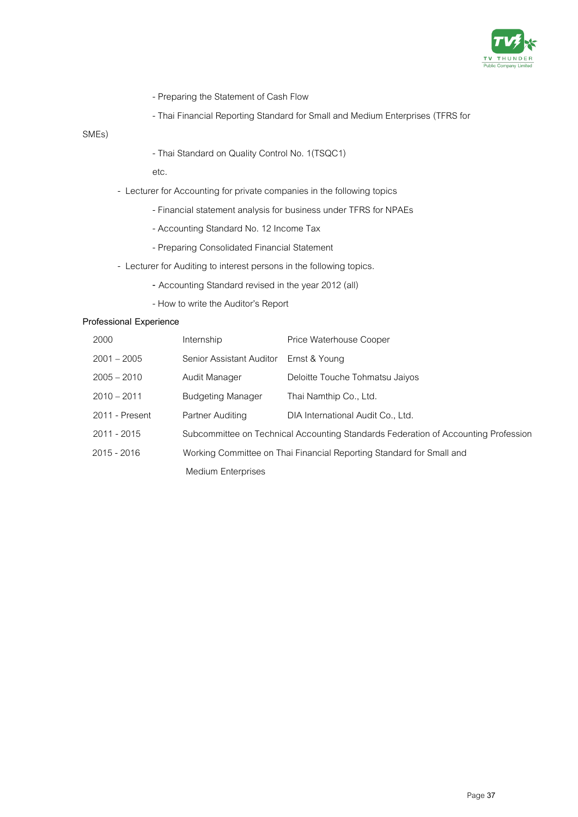

- Preparing the Statement of Cash Flow
- Thai Financial Reporting Standard for Small and Medium Enterprises (TFRS for

SMEs)

- Thai Standard on Quality Control No. 1(TSQC1)

etc.

- Lecturer for Accounting for private companies in the following topics
	- Financial statement analysis for business under TFRS for NPAEs
	- Accounting Standard No. 12 Income Tax
	- Preparing Consolidated Financial Statement
- Lecturer for Auditing to interest persons in the following topics.
	- **-** Accounting Standard revised in the year 2012 (all)
	- How to write the Auditor's Report

### **Professional Experience**

| 2000           | Internship                                                           | Price Waterhouse Cooper                                                            |  |
|----------------|----------------------------------------------------------------------|------------------------------------------------------------------------------------|--|
| $2001 - 2005$  | Senior Assistant Auditor                                             | Ernst & Young                                                                      |  |
| $2005 - 2010$  | Audit Manager                                                        | Deloitte Touche Tohmatsu Jaiyos                                                    |  |
| $2010 - 2011$  | <b>Budgeting Manager</b>                                             | Thai Namthip Co., Ltd.                                                             |  |
| 2011 - Present | Partner Auditing                                                     | DIA International Audit Co., Ltd.                                                  |  |
| $2011 - 2015$  |                                                                      | Subcommittee on Technical Accounting Standards Federation of Accounting Profession |  |
| $2015 - 2016$  | Working Committee on Thai Financial Reporting Standard for Small and |                                                                                    |  |
|                | Medium Enterprises                                                   |                                                                                    |  |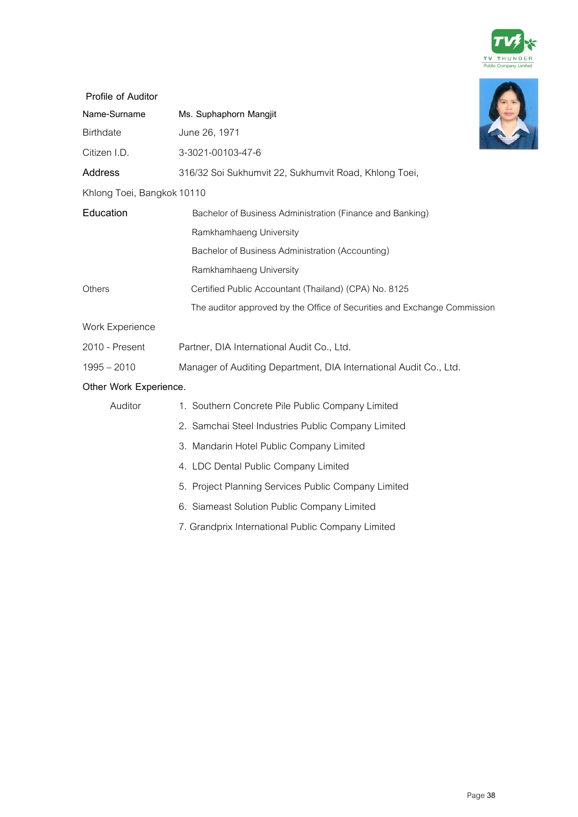

| Profile of Auditor         |                                                                          |
|----------------------------|--------------------------------------------------------------------------|
| Name-Surname               | Ms. Suphaphorn Mangjit                                                   |
| Birthdate                  | June 26, 1971                                                            |
| Citizen I.D.               | 3-3021-00103-47-6                                                        |
| <b>Address</b>             | 316/32 Soi Sukhumvit 22, Sukhumvit Road, Khlong Toei,                    |
| Khlong Toei, Bangkok 10110 |                                                                          |
| Education                  | Bachelor of Business Administration (Finance and Banking)                |
|                            | Ramkhamhaeng University                                                  |
|                            | Bachelor of Business Administration (Accounting)                         |
|                            | Ramkhamhaeng University                                                  |
| Others                     | Certified Public Accountant (Thailand) (CPA) No. 8125                    |
|                            | The auditor approved by the Office of Securities and Exchange Commission |
| Work Experience            |                                                                          |
| 2010 - Present             | Partner, DIA International Audit Co., Ltd.                               |
| $1995 - 2010$              | Manager of Auditing Department, DIA International Audit Co., Ltd.        |
| Other Work Experience.     |                                                                          |
| Auditor                    | 1. Southern Concrete Pile Public Company Limited                         |
|                            | 2. Samchai Steel Industries Public Company Limited                       |
|                            | 3. Mandarin Hotel Public Company Limited                                 |
|                            | 4. LDC Dental Public Company Limited                                     |
|                            | 5. Project Planning Services Public Company Limited                      |
|                            | 6. Siameast Solution Public Company Limited                              |
|                            | 7. Grandprix International Public Company Limited                        |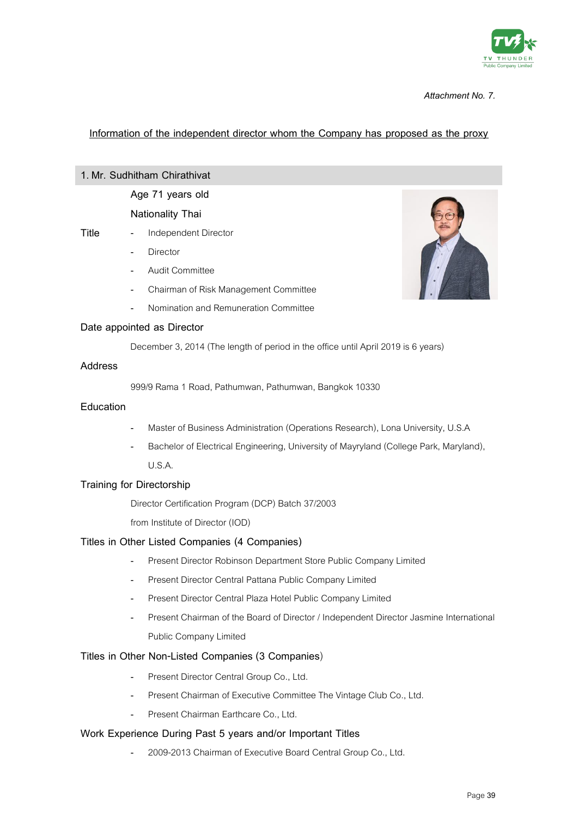

### **Information of the independent director whom the Company has proposed as the proxy**

### **1. Mr. Sudhitham Chirathivat**

### **Age 71 years old**

### **Nationality Thai**

- **Title** Independent Director
	- **Director**
	- Audit Committee
	- Chairman of Risk Management Committee
	- Nomination and Remuneration Committee



### **Date appointed as Director**

December 3, 2014 (The length of period in the office until April 2019 is 6 years)

### **Address**

999/9 Rama 1 Road, Pathumwan, Pathumwan, Bangkok 10330

#### **Education**

- Master of Business Administration (Operations Research), Lona University, U.S.A
- Bachelor of Electrical Engineering, University of Mayryland (College Park, Maryland), U.S.A.

### **Training for Directorship**

Director Certification Program (DCP) Batch 37/2003

from Institute of Director (IOD)

### **Titles in Other Listed Companies (4 Companies)**

- Present Director Robinson Department Store Public Company Limited
- Present Director Central Pattana Public Company Limited
- Present Director Central Plaza Hotel Public Company Limited
- Present Chairman of the Board of Director / Independent Director Jasmine International Public Company Limited

### **Titles in Other Non-Listed Companies (3 Companies**)

- Present Director Central Group Co., Ltd.
- Present Chairman of Executive Committee The Vintage Club Co., Ltd.
- Present Chairman Earthcare Co., Ltd.

### **Work Experience During Past 5 years and/or Important Titles**

- 2009-2013 Chairman of Executive Board Central Group Co., Ltd.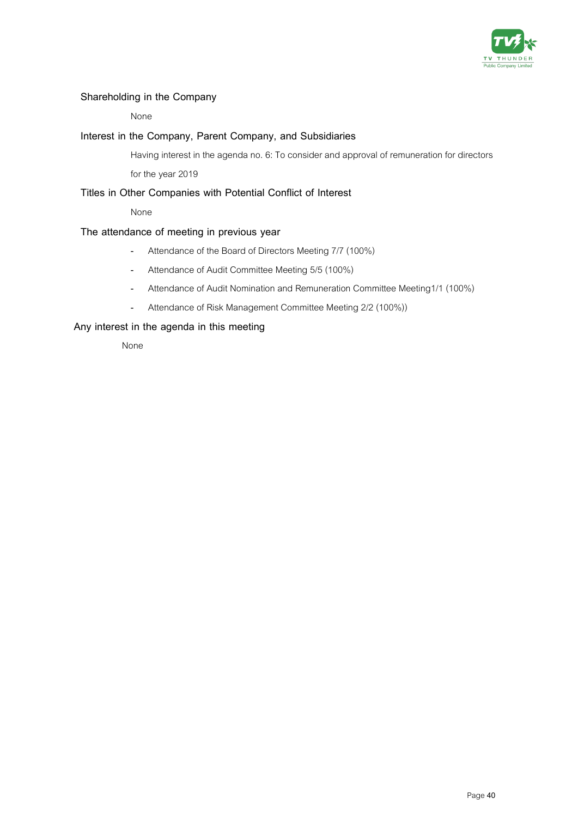

### **Shareholding in the Company**

None

### **Interest in the Company, Parent Company, and Subsidiaries**

Having interest in the agenda no. 6: To consider and approval of remuneration for directors for the year 2019

### **Titles in Other Companies with Potential Conflict of Interest**

None

### **The attendance of meeting in previous year**

- Attendance of the Board of Directors Meeting 7/7 (100%)
- Attendance of Audit Committee Meeting 5/5 (100%)
- Attendance of Audit Nomination and Remuneration Committee Meeting1/1 (100%)
- Attendance of Risk Management Committee Meeting 2/2 (100%))

### **Any interest in the agenda in this meeting**

None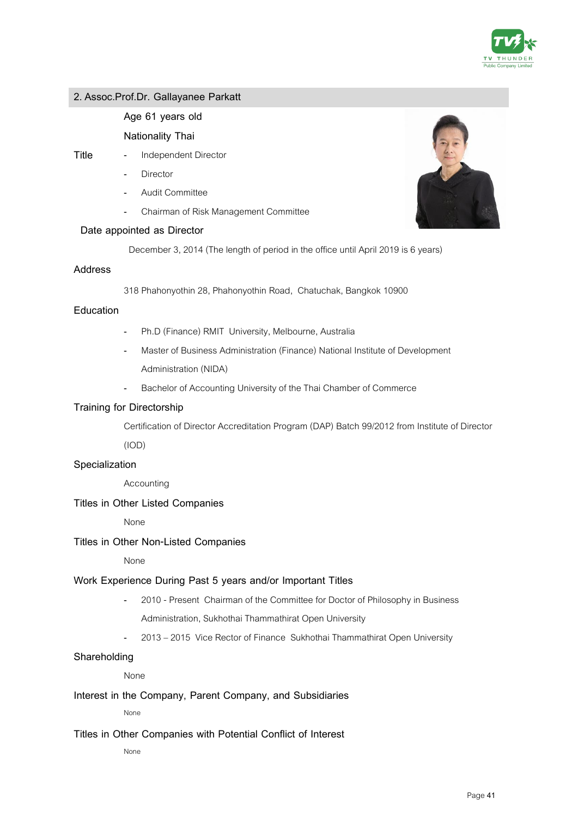

### **2. Assoc.Prof.Dr. Gallayanee Parkatt**

### **Age 61 years old**

### **Nationality Thai**

- **Title** Independent Director
	- **Director**
	- Audit Committee
	- Chairman of Risk Management Committee

### **Date appointed as Director**

December 3, 2014 (The length of period in the office until April 2019 is 6 years)

#### **Address**

318 Phahonyothin 28, Phahonyothin Road, Chatuchak, Bangkok 10900

### **Education**

- Ph.D (Finance) RMIT University, Melbourne, Australia
- Master of Business Administration (Finance) National Institute of Development Administration (NIDA)
- Bachelor of Accounting University of the Thai Chamber of Commerce

### **Training for Directorship**

Certification of Director Accreditation Program (DAP) Batch 99/2012 from Institute of Director

(IOD)

### **Specialization**

Accounting

### **Titles in Other Listed Companies**

None

### **Titles in Other Non-Listed Companies**

None

### **Work Experience During Past 5 years and/or Important Titles**

- 2010 Present Chairman of the Committee for Doctor of Philosophy in Business Administration, Sukhothai Thammathirat Open University
- 2013 –2015 Vice Rector of Finance Sukhothai Thammathirat Open University

### **Shareholding**

None

### **Interest in the Company, Parent Company, and Subsidiaries**

None

### **Titles in Other Companies with Potential Conflict of Interest**

None

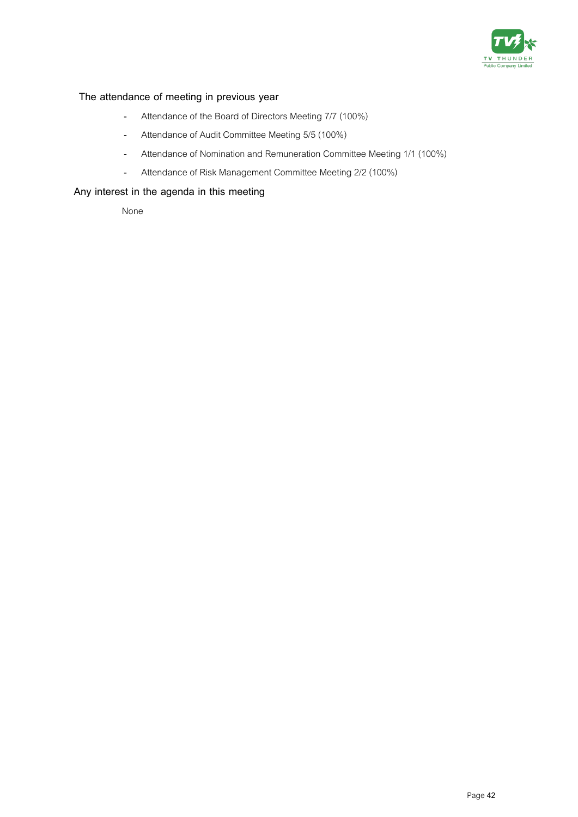

### **The attendance of meeting in previous year**

- Attendance of the Board of Directors Meeting 7/7 (100%)
- Attendance of Audit Committee Meeting 5/5 (100%)
- Attendance of Nomination and Remuneration Committee Meeting 1/1 (100%)
- Attendance of Risk Management Committee Meeting 2/2(100%)

### **Any interest in the agenda in this meeting**

None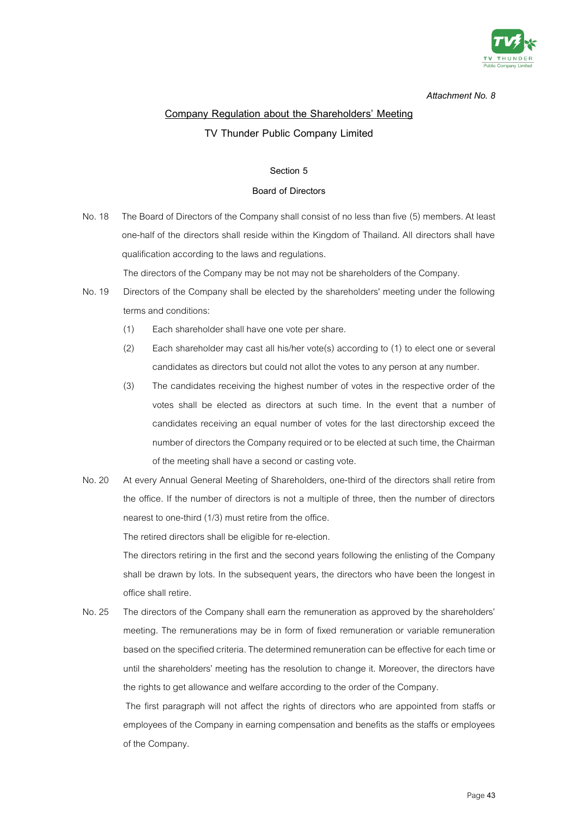

# **Company Regulation about the Shareholders' Meeting TV Thunder Public Company Limited**

#### **Section 5**

#### **Board of Directors**

No.18 The Board of Directors of the Company shall consist of no less than five (5) members. At least one-half of the directors shall reside within the Kingdom of Thailand. All directors shall have qualification according to the laws and regulations.

The directors of the Company may be not may not be shareholders of the Company.

- No. 19 Directors of the Company shall be elected by the shareholders' meeting under the following terms and conditions:
	- (1) Each shareholder shall have one vote per share.
	- (2) Each shareholder may cast all his/her vote(s) according to (1) to elect one or several candidates as directors but could not allot the votes to any person at any number.
	- (3) The candidates receiving the highest number of votes in the respective order of the votes shall be elected as directors at such time. In the event that a number of candidates receiving an equal number of votes for the last directorship exceed the number of directors the Company required or to be elected at such time, the Chairman of the meeting shall have a second or casting vote.
- No. 20 At every Annual General Meeting of Shareholders, one-third of the directors shall retire from the office. If the number of directors is not a multiple of three, then the number of directors nearest to one-third (1/3) must retire from the office.

The retired directors shall be eligible for re-election.

The directors retiring in the first and the second years following the enlisting of the Company shall be drawn by lots. In the subsequent years, the directors who have been the longest in office shall retire.

No. 25 The directors of the Company shall earn the remuneration as approved by the shareholders' meeting. The remunerations may be in form of fixed remuneration or variable remuneration based on the specified criteria. The determined remuneration can be effective for each time or until the shareholders' meeting has the resolution to change it. Moreover, the directors have the rights to get allowance and welfare according to the order of the Company.

The first paragraph will not affect the rights of directors who are appointed from staffs or employees of the Company in earning compensation and benefits as the staffs or employees of the Company.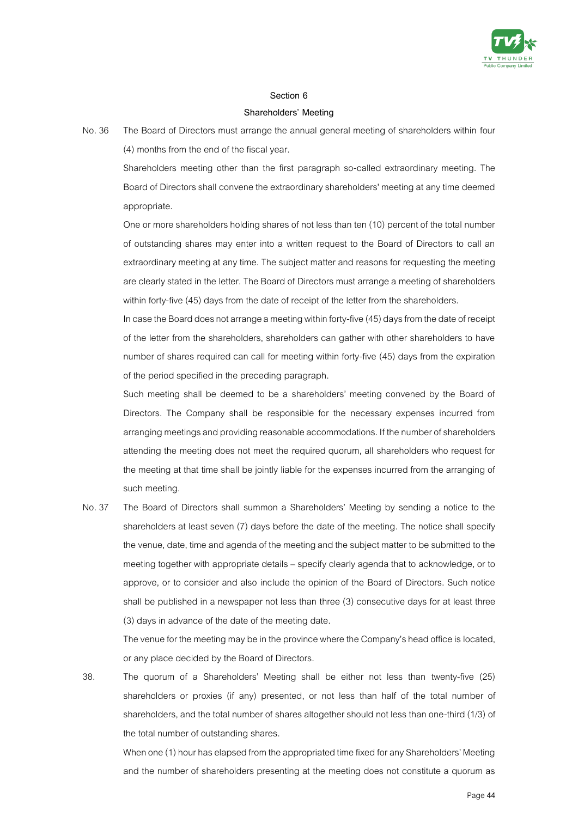

#### **Section 6**

#### **Shareholders' Meeting**

No. 36 The Board of Directors must arrange the annual general meeting of shareholders within four (4) months from the end of the fiscal year.

Shareholders meeting other than the first paragraph so-called extraordinary meeting. The Board of Directors shall convene the extraordinary shareholders' meeting at any time deemed appropriate.

One or more shareholders holding shares of not less than ten (10) percent of the total number of outstanding shares may enter into a written request to the Board of Directors to call an extraordinary meeting at any time. The subject matter and reasons for requesting the meeting are clearly stated in the letter. The Board of Directors must arrange a meeting of shareholders within forty-five (45) days from the date of receipt of the letter from the shareholders.

In case the Board does not arrange a meeting within forty-five (45) days from the date of receipt of the letter from the shareholders, shareholders can gather with other shareholders to have number of shares required can call for meeting within forty-five (45) days from the expiration of the period specified in the preceding paragraph.

Such meeting shall be deemed to be a shareholders' meeting convened by the Board of Directors. The Company shall be responsible for the necessary expenses incurred from arranging meetings and providing reasonable accommodations. If the number of shareholders attending the meeting does not meet the required quorum, all shareholders who request for the meeting at that time shall be jointly liable for the expenses incurred from the arranging of such meeting.

No. 37 The Board of Directors shall summon a Shareholders' Meeting by sending a notice to the shareholders at least seven (7) days before the date of the meeting. The notice shall specify the venue, date, time and agenda of the meeting and the subject matter to be submitted to the meeting together with appropriate details – specify clearly agenda that to acknowledge, or to approve, or to consider and also include the opinion of the Board of Directors. Such notice shall be published in a newspaper not less than three (3) consecutive days for at least three (3) days in advance of the date of the meeting date.

The venue for the meeting may be in the province where the Company's head office is located, or any place decided by the Board of Directors.

38. The quorum of a Shareholders' Meeting shall be either not less than twenty-five (25) shareholders or proxies (if any) presented, or not less than half of the total number of shareholders, and the total number of shares altogether should not less than one-third (1/3) of the total number of outstanding shares.

When one (1) hour has elapsed from the appropriated time fixed for any Shareholders' Meeting and the number of shareholders presenting at the meeting does not constitute a quorum as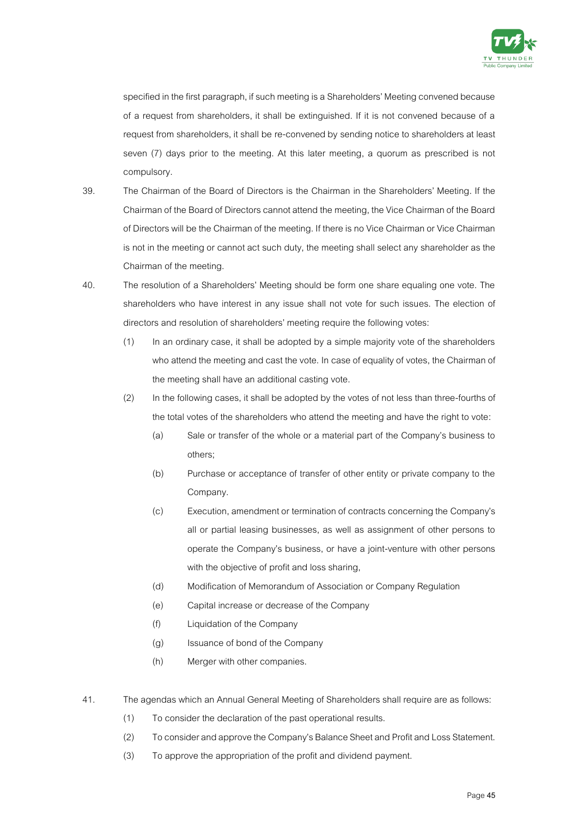

specified in the first paragraph, if such meeting is a Shareholders' Meeting convened because of a request from shareholders, it shall be extinguished. If it is not convened because of a request from shareholders, it shall be re-convened by sending notice to shareholders at least seven (7) days prior to the meeting. At this later meeting, a quorum as prescribed is not compulsory.

- 39. The Chairman of the Board of Directors is the Chairman in the Shareholders' Meeting. If the Chairman of the Board of Directors cannot attend the meeting, the Vice Chairman of the Board of Directors will be the Chairman of the meeting. If there is no Vice Chairman or Vice Chairman is not in the meeting or cannot act such duty, the meeting shall select any shareholder as the Chairman of the meeting.
- 40. The resolution of a Shareholders' Meeting should be form one share equaling one vote. The shareholders who have interest in any issue shall not vote for such issues. The election of directors and resolution of shareholders' meeting require the following votes:
	- (1) In an ordinary case, it shall be adopted by a simple majority vote of the shareholders who attend the meeting and cast the vote. In case of equality of votes, the Chairman of the meeting shall have an additional casting vote.
	- (2) In the following cases, it shall be adopted by the votes of not less than three-fourths of the total votes of the shareholders who attend the meeting and have the right to vote:
		- (a) Sale or transfer of the whole or a material part of the Company's business to others;
		- (b) Purchase or acceptance of transfer of other entity or private company to the Company.
		- (c) Execution, amendment or termination of contracts concerning the Company's all or partial leasing businesses, as well as assignment of other persons to operate the Company's business, or have a joint-venture with other persons with the objective of profit and loss sharing,
		- (d) Modification of Memorandum of Association or Company Regulation
		- (e) Capital increase or decrease of the Company
		- (f) Liquidation of the Company
		- (g) Issuance of bond of the Company
		- (h) Merger with other companies.
- 41. The agendas which an Annual General Meeting of Shareholders shall require are as follows:
	- (1) To consider the declaration of the past operational results.
	- (2) To consider and approve the Company's Balance Sheet and Profit and Loss Statement.
	- (3) To approve the appropriation of the profit and dividend payment.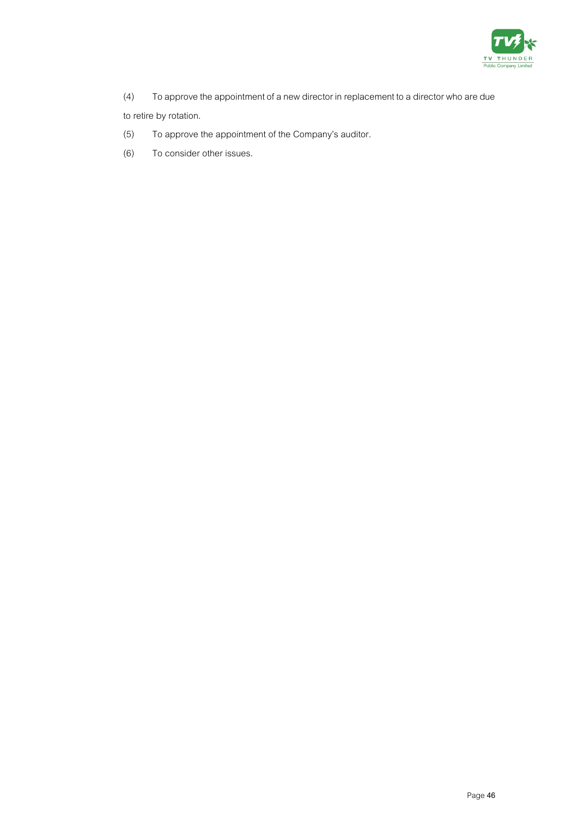

- (4) To approve the appointment of a new director in replacement to a director who are due to retire by rotation.
- (5) To approve the appointment of the Company's auditor.
- (6) To consider other issues.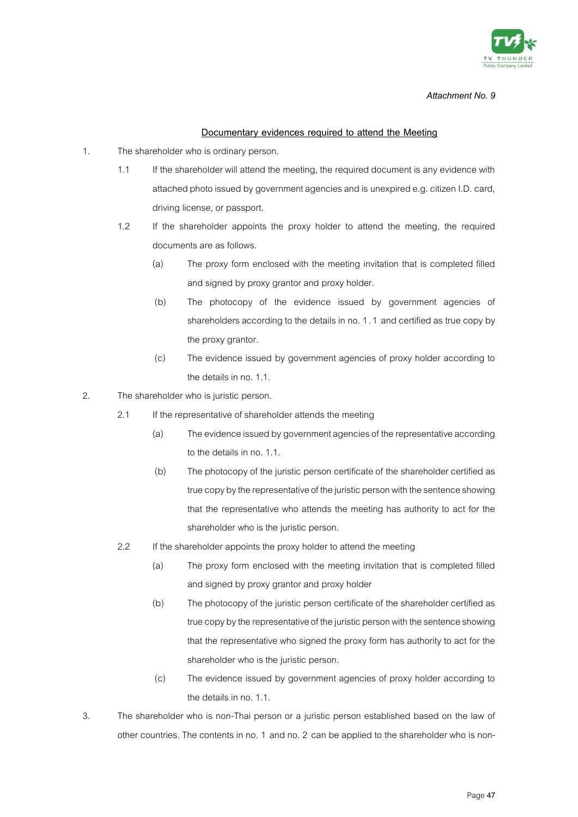

#### **Documentary evidences required to attend the Meeting**

- 1. The shareholder who is ordinary person.
	- 1.1 If the shareholder will attend the meeting, the required document is any evidence with attached photo issued by government agencies and is unexpired e.g. citizen I.D. card, driving license, or passport.
	- 1.2 If the shareholder appoints the proxy holder to attend the meeting, the required documents are as follows.
		- (a) The proxy form enclosed with the meeting invitation that is completed filled and signed by proxy grantor and proxy holder.
		- (b) The photocopy of the evidence issued by government agencies of shareholders according to the details in no. 1.1 and certified as true copy by the proxy grantor.
		- (c) The evidence issued by government agencies of proxy holder according to the details in no. 1.1.
- 2. The shareholder who is juristic person.
	- 2.1 If the representative of shareholder attends the meeting
		- (a) The evidence issued by government agencies of the representative according to the details in no. 1.1.
		- (b) The photocopy of the juristic person certificate of the shareholder certified as true copy by the representative of the juristic person with the sentence showing that the representative who attends the meeting has authority to act for the shareholder who is the juristic person.
	- 2.2 If the shareholder appoints the proxy holder to attend the meeting
		- (a) The proxy form enclosed with the meeting invitation that is completed filled and signed by proxy grantor and proxy holder
		- (b) The photocopy of the juristic person certificate of the shareholder certified as true copy by the representative of the juristic person with the sentence showing that the representative who signed the proxy form has authority to act for the shareholder who is the juristic person.
		- (c) The evidence issued by government agencies of proxy holder according to the details in no. 1.1.
- 3. The shareholder who is non-Thai person or a juristic person established based on the law of other countries. The contents in no. 1 and no. 2 can be applied to the shareholder who is non-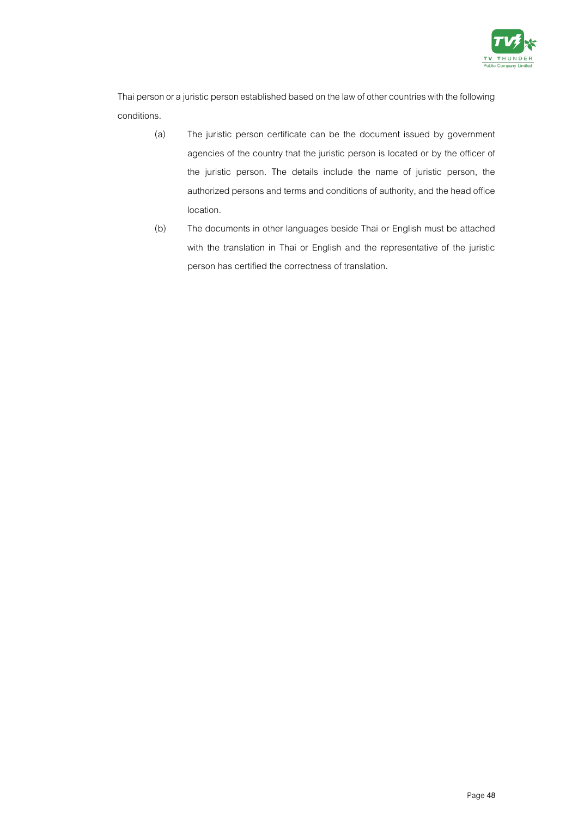

Thai person or a juristic person established based on the law of other countries with the following conditions.

- (a) The juristic person certificate can be the document issued by government agencies of the country that the juristic person is located or by the officer of the juristic person. The details include the name of juristic person, the authorized persons and terms and conditions of authority, and the head office location.
- (b) The documents in other languages beside Thai or English must be attached with the translation in Thai or English and the representative of the juristic person has certified the correctness of translation.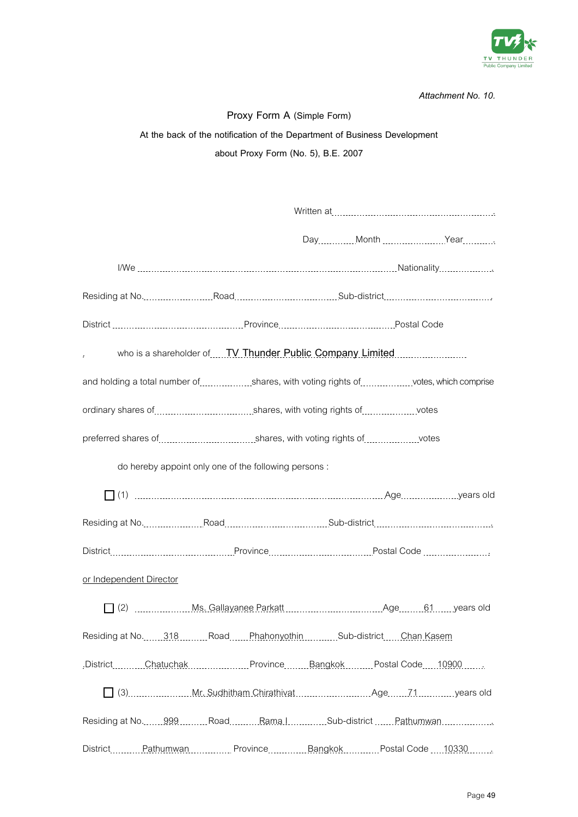

| Proxy Form A (Simple Form)                                   |                                                                                                              |                                                                                   |  |  |
|--------------------------------------------------------------|--------------------------------------------------------------------------------------------------------------|-----------------------------------------------------------------------------------|--|--|
|                                                              | At the back of the notification of the Department of Business Development                                    |                                                                                   |  |  |
|                                                              | about Proxy Form (No. 5), B.E. 2007                                                                          |                                                                                   |  |  |
|                                                              |                                                                                                              |                                                                                   |  |  |
|                                                              |                                                                                                              |                                                                                   |  |  |
|                                                              |                                                                                                              |                                                                                   |  |  |
|                                                              |                                                                                                              |                                                                                   |  |  |
|                                                              |                                                                                                              |                                                                                   |  |  |
|                                                              |                                                                                                              | Residing at No. 1990. Road Road Road Rose Sub-district Processor Communities      |  |  |
|                                                              |                                                                                                              |                                                                                   |  |  |
| $\epsilon$                                                   | who is a shareholder of TV Thunder Public Company Limited                                                    |                                                                                   |  |  |
|                                                              |                                                                                                              | and holding a total number of shares, with voting rights of votes, which comprise |  |  |
|                                                              | ordinary shares of contact contact contact contact and an estate contact contact shares of contact and votes |                                                                                   |  |  |
|                                                              |                                                                                                              |                                                                                   |  |  |
|                                                              | do hereby appoint only one of the following persons:                                                         |                                                                                   |  |  |
|                                                              |                                                                                                              |                                                                                   |  |  |
|                                                              |                                                                                                              |                                                                                   |  |  |
|                                                              |                                                                                                              |                                                                                   |  |  |
| or Independent Director                                      |                                                                                                              |                                                                                   |  |  |
|                                                              |                                                                                                              |                                                                                   |  |  |
| Residing at No.  318 Road PhahonyothinSub-districtChan Kasem |                                                                                                              |                                                                                   |  |  |
|                                                              | .District Chatuchak  Province Bangkok  Postal Code 10900                                                     |                                                                                   |  |  |
|                                                              |                                                                                                              |                                                                                   |  |  |
|                                                              |                                                                                                              | Residing at No.  999 Road Rama.l Sub-district  Pathumwan                          |  |  |
|                                                              |                                                                                                              | District Pathumwan Province Bangkok Postal Code 10330                             |  |  |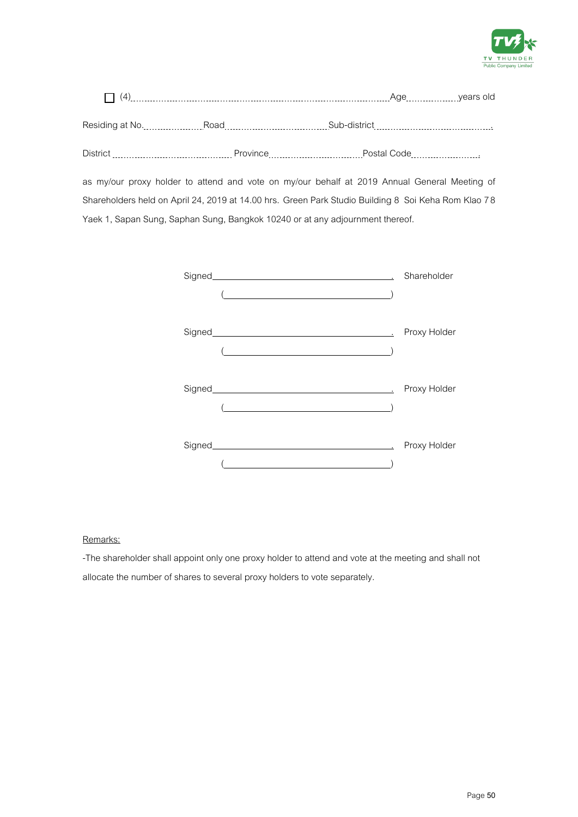

| (4)             |          | Age                                                                                                                 | years old |
|-----------------|----------|---------------------------------------------------------------------------------------------------------------------|-----------|
| Residing at No. | Road     | Sub-district<br>and a series of the contract of the contract of the contract of the contract of the contract of the |           |
| <b>District</b> | Province | Postal Code                                                                                                         |           |

as my/our proxy holder to attend and vote on my/our behalf at 2019 Annual General Meeting of Shareholders held on April 24, 2019 at 14.00 hrs. Green Park Studio Building 8 Soi Keha Rom Klao 78 Yaek 1, Sapan Sung, Saphan Sung, Bangkok 10240 or at any adjournment thereof.

|                                                                    | Shareholder  |
|--------------------------------------------------------------------|--------------|
| $\overline{a}$                                                     |              |
| <u> 1980 - Johann Barbara, martxa amerikan personal (h. 1980).</u> | Proxy Holder |
|                                                                    | Proxy Holder |
|                                                                    | Proxy Holder |

### Remarks:

-The shareholder shall appoint only one proxy holder to attend and vote at the meeting and shall not allocate the number of shares to several proxy holders to vote separately.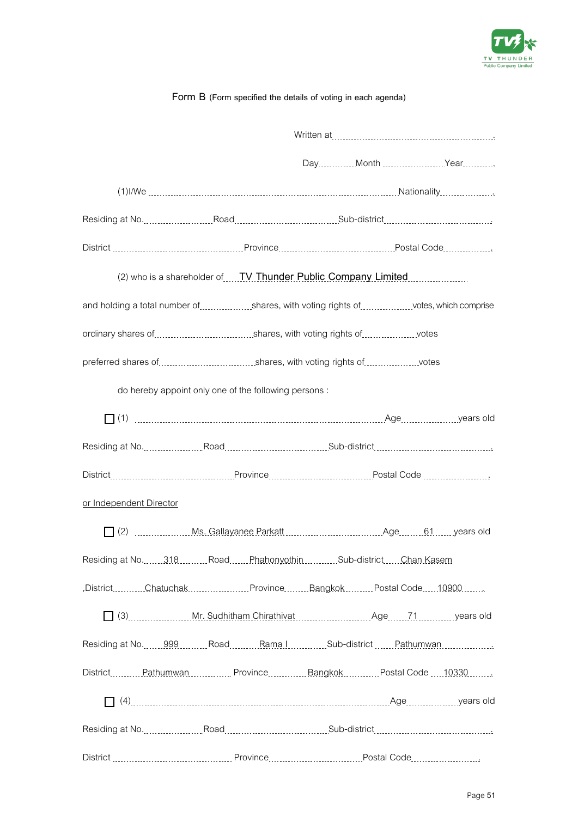

### **Form B (Form specified the details of voting in each agenda)**

| District [111] District [11] District [11] District [11] District [11] District [11] District [11] District [11] District [11] District [11] District [11] District [11] District [11] District [11] District [11] District [1 |                                                                                      |  |  |
|--------------------------------------------------------------------------------------------------------------------------------------------------------------------------------------------------------------------------------|--------------------------------------------------------------------------------------|--|--|
|                                                                                                                                                                                                                                | (2) who is a shareholder of <b>TV Thunder Public Company Limited Company</b> Limited |  |  |
| and holding a total number of shares, with voting rights of votes, which comprise                                                                                                                                              |                                                                                      |  |  |
| ordinary shares of contact contact the control of the control of the control of the votes                                                                                                                                      |                                                                                      |  |  |
| preferred shares of [1, 1, 2010] shares, with voting rights of [1, 2010] works                                                                                                                                                 |                                                                                      |  |  |
|                                                                                                                                                                                                                                | do hereby appoint only one of the following persons:                                 |  |  |
|                                                                                                                                                                                                                                |                                                                                      |  |  |
|                                                                                                                                                                                                                                |                                                                                      |  |  |
|                                                                                                                                                                                                                                |                                                                                      |  |  |
| or Independent Director                                                                                                                                                                                                        |                                                                                      |  |  |
|                                                                                                                                                                                                                                |                                                                                      |  |  |
| Residing at No. 318                                                                                                                                                                                                            | Road Phahonyothin Sub-district Chan Kasem                                            |  |  |
| .DistrictChatuchakProvinceBangkokPostal Code10900                                                                                                                                                                              |                                                                                      |  |  |
| 3) 3) Mr. Sudhitham Chirathivat Mullet 21 Age 71 Manusus Pears old                                                                                                                                                             |                                                                                      |  |  |
| Residing at No. 099 Commun Road Commun Rama Incommun Sub-district Communication Rathumwan                                                                                                                                      |                                                                                      |  |  |
| DistrictPathumwanProvinceBangkokPostal Code 10330                                                                                                                                                                              |                                                                                      |  |  |
|                                                                                                                                                                                                                                |                                                                                      |  |  |
|                                                                                                                                                                                                                                |                                                                                      |  |  |
|                                                                                                                                                                                                                                |                                                                                      |  |  |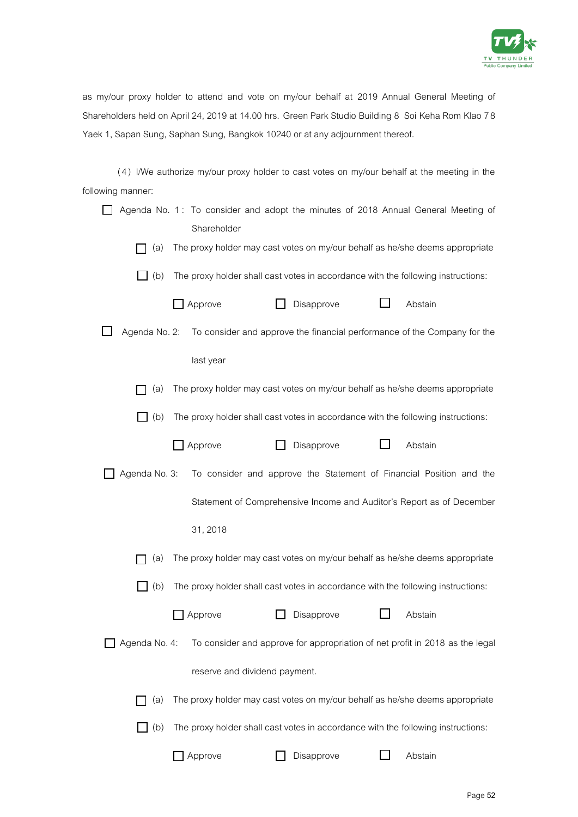

as my/our proxy holder to attend and vote on my/our behalf at 2019 Annual General Meeting of Shareholders held on April 24, 2019 at 14.00 hrs. Green Park Studio Building 8 Soi Keha Rom Klao 78 Yaek 1, Sapan Sung, Saphan Sung, Bangkok 10240 or at any adjournment thereof.

( 4 ) I/We authorize my/our proxy holder to cast votes on my/our behalf at the meeting in the following manner:

|               | Shareholder                   |            | Agenda No. 1: To consider and adopt the minutes of 2018 Annual General Meeting of |
|---------------|-------------------------------|------------|-----------------------------------------------------------------------------------|
| (a)           |                               |            | The proxy holder may cast votes on my/our behalf as he/she deems appropriate      |
| $\Box$ (b)    |                               |            | The proxy holder shall cast votes in accordance with the following instructions:  |
|               | Approve                       | Disapprove | Abstain                                                                           |
| Agenda No. 2: |                               |            | To consider and approve the financial performance of the Company for the          |
|               | last year                     |            |                                                                                   |
| (a)           |                               |            | The proxy holder may cast votes on my/our behalf as he/she deems appropriate      |
| (b)           |                               |            | The proxy holder shall cast votes in accordance with the following instructions:  |
|               | Approve                       | Disapprove | Abstain                                                                           |
| Agenda No. 3: |                               |            | To consider and approve the Statement of Financial Position and the               |
|               |                               |            | Statement of Comprehensive Income and Auditor's Report as of December             |
|               | 31, 2018                      |            |                                                                                   |
| (a)           |                               |            | The proxy holder may cast votes on my/our behalf as he/she deems appropriate      |
| (b)           |                               |            | The proxy holder shall cast votes in accordance with the following instructions:  |
|               | Approve                       | Disapprove | Abstain                                                                           |
| Agenda No. 4: |                               |            | To consider and approve for appropriation of net profit in 2018 as the legal      |
|               | reserve and dividend payment. |            |                                                                                   |
| (a)           |                               |            | The proxy holder may cast votes on my/our behalf as he/she deems appropriate      |
| (b)           |                               |            | The proxy holder shall cast votes in accordance with the following instructions:  |
|               | Approve                       | Disapprove | Abstain                                                                           |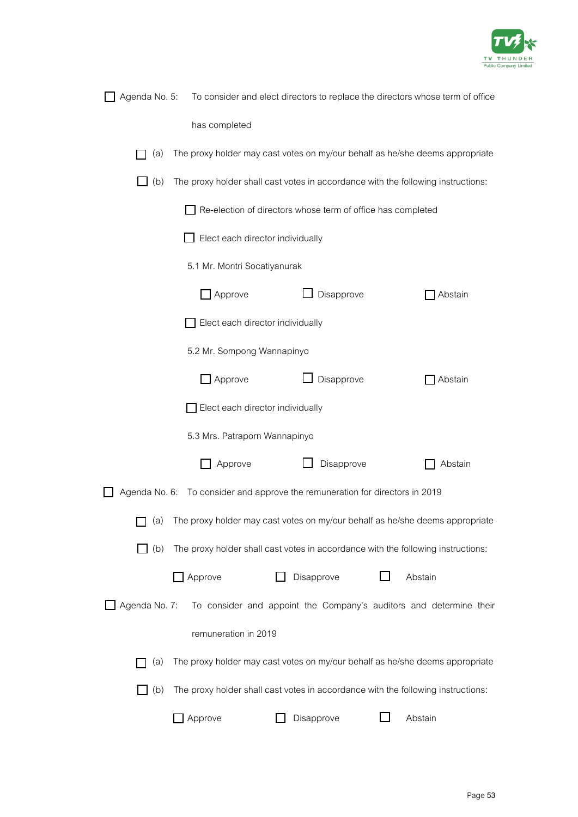

|               |                                  |                                                                              | Agenda No. 5: To consider and elect directors to replace the directors whose term of office |
|---------------|----------------------------------|------------------------------------------------------------------------------|---------------------------------------------------------------------------------------------|
|               | has completed                    |                                                                              |                                                                                             |
| (a)           |                                  |                                                                              | The proxy holder may cast votes on my/our behalf as he/she deems appropriate                |
| (b)           |                                  |                                                                              | The proxy holder shall cast votes in accordance with the following instructions:            |
|               |                                  | Re-election of directors whose term of office has completed                  |                                                                                             |
|               | Elect each director individually |                                                                              |                                                                                             |
|               | 5.1 Mr. Montri Socatiyanurak     |                                                                              |                                                                                             |
|               | $\Box$ Approve                   | Disapprove                                                                   | Abstain                                                                                     |
|               | Elect each director individually |                                                                              |                                                                                             |
|               | 5.2 Mr. Sompong Wannapinyo       |                                                                              |                                                                                             |
|               | Approve                          | Disapprove                                                                   | Abstain                                                                                     |
|               | Elect each director individually |                                                                              |                                                                                             |
|               | 5.3 Mrs. Patraporn Wannapinyo    |                                                                              |                                                                                             |
|               | Approve                          | Disapprove                                                                   | Abstain                                                                                     |
|               |                                  | Agenda No. 6: To consider and approve the remuneration for directors in 2019 |                                                                                             |
|               |                                  |                                                                              | (a) The proxy holder may cast votes on my/our behalf as he/she deems appropriate            |
| (b)           |                                  |                                                                              | The proxy holder shall cast votes in accordance with the following instructions:            |
|               | Approve                          | Disapprove                                                                   | Abstain                                                                                     |
| Agenda No. 7: |                                  |                                                                              | To consider and appoint the Company's auditors and determine their                          |
|               | remuneration in 2019             |                                                                              |                                                                                             |
| (a)           |                                  |                                                                              | The proxy holder may cast votes on my/our behalf as he/she deems appropriate                |
| (b)           |                                  |                                                                              | The proxy holder shall cast votes in accordance with the following instructions:            |
|               | Approve                          | Disapprove                                                                   | Abstain                                                                                     |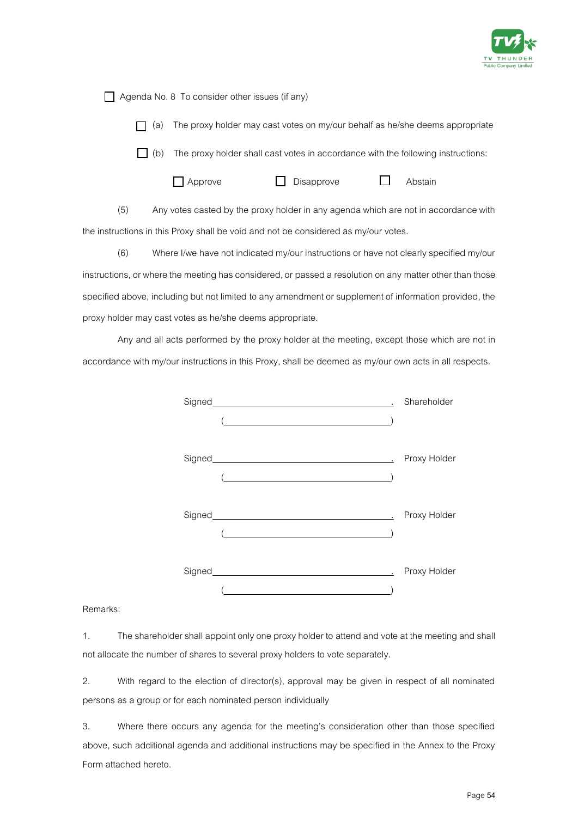

 $\Box$  Agenda No. 8 To consider other issues (if any)

 $\Box$  (a) The proxy holder may cast votes on my/our behalf as he/she deems appropriate

 $\Box$  (b) The proxy holder shall cast votes in accordance with the following instructions:

Approve Disapprove D Abstain

(5) Any votes casted by the proxy holder in any agenda which are not in accordance with the instructions in this Proxy shall be void and not be considered as my/our votes.

(6) Where I/we have not indicated my/our instructions or have not clearly specified my/our instructions, or where the meeting has considered, or passed a resolution on any matter other than those specified above, including but not limited to any amendment or supplement of information provided, the proxy holder may cast votes as he/she deems appropriate.

Any and all acts performed by the proxy holder at the meeting, except those which are not in accordance with my/our instructions in this Proxy, shall be deemed as my/our own acts in all respects.

| Signed Signed Signed Signed Communication of the Signed Communication of the Signed Communication of the Signed        | Shareholder  |
|------------------------------------------------------------------------------------------------------------------------|--------------|
|                                                                                                                        |              |
|                                                                                                                        |              |
|                                                                                                                        | Proxy Holder |
| <u> 1989 - Johann Stoff, deutscher Stoffen und der Stoffen und der Stoffen und der Stoffen und der Stoffen und der</u> |              |
|                                                                                                                        |              |
|                                                                                                                        | Proxy Holder |
|                                                                                                                        |              |
|                                                                                                                        |              |
|                                                                                                                        | Proxy Holder |
|                                                                                                                        |              |

Remarks:

1. The shareholder shall appoint only one proxy holder to attend and vote at the meeting and shall not allocate the number of shares to several proxy holders to vote separately.

2. With regard to the election of director(s), approval may be given in respect of all nominated persons as a group or for each nominated person individually

3. Where there occurs any agenda for the meeting's consideration other than those specified above, such additional agenda and additional instructions may be specified in the Annex to the Proxy Form attached hereto.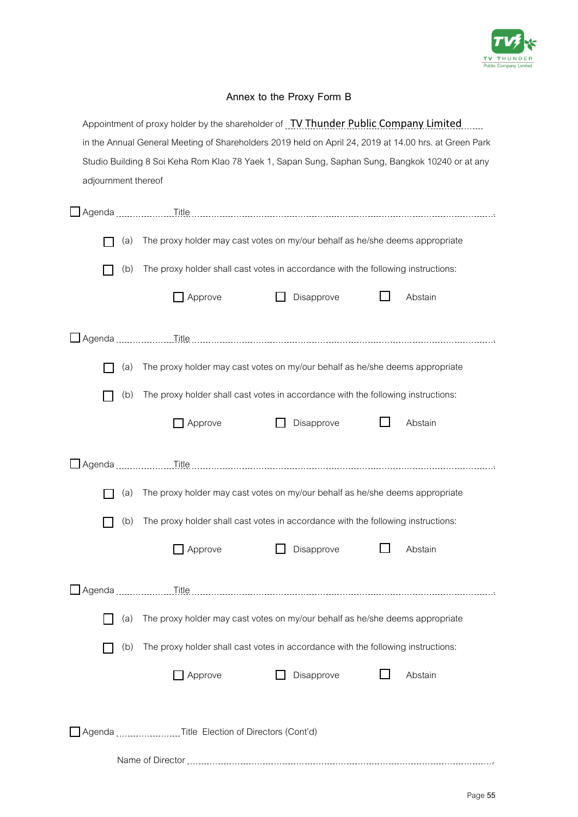

### **Annex to the Proxy Form B**

|                                                                                                       |     | Appointment of proxy holder by the shareholder of TV Thunder Public Company Limited             |                                                                                  |  |         |
|-------------------------------------------------------------------------------------------------------|-----|-------------------------------------------------------------------------------------------------|----------------------------------------------------------------------------------|--|---------|
| in the Annual General Meeting of Shareholders 2019 held on April 24, 2019 at 14.00 hrs. at Green Park |     |                                                                                                 |                                                                                  |  |         |
|                                                                                                       |     | Studio Building 8 Soi Keha Rom Klao 78 Yaek 1, Sapan Sung, Saphan Sung, Bangkok 10240 or at any |                                                                                  |  |         |
| adjournment thereof                                                                                   |     |                                                                                                 |                                                                                  |  |         |
|                                                                                                       |     |                                                                                                 |                                                                                  |  |         |
|                                                                                                       | (a) |                                                                                                 | The proxy holder may cast votes on my/our behalf as he/she deems appropriate     |  |         |
|                                                                                                       | (b) |                                                                                                 | The proxy holder shall cast votes in accordance with the following instructions: |  |         |
|                                                                                                       |     | Approve                                                                                         | Disapprove                                                                       |  | Abstain |
| Agenda                                                                                                |     |                                                                                                 |                                                                                  |  |         |
|                                                                                                       | (a) |                                                                                                 | The proxy holder may cast votes on my/our behalf as he/she deems appropriate     |  |         |
|                                                                                                       | (b) |                                                                                                 | The proxy holder shall cast votes in accordance with the following instructions: |  |         |
|                                                                                                       |     | Approve                                                                                         | Disapprove                                                                       |  | Abstain |
| Agenda                                                                                                |     |                                                                                                 |                                                                                  |  |         |
|                                                                                                       | (a) |                                                                                                 | The proxy holder may cast votes on my/our behalf as he/she deems appropriate     |  |         |
|                                                                                                       | (b) |                                                                                                 | The proxy holder shall cast votes in accordance with the following instructions: |  |         |
|                                                                                                       |     | $\Box$ Approve                                                                                  | Disapprove                                                                       |  | Abstain |
|                                                                                                       |     |                                                                                                 |                                                                                  |  |         |
|                                                                                                       | (a) |                                                                                                 | The proxy holder may cast votes on my/our behalf as he/she deems appropriate     |  |         |
|                                                                                                       | (b) |                                                                                                 | The proxy holder shall cast votes in accordance with the following instructions: |  |         |
|                                                                                                       |     | Approve                                                                                         | Disapprove                                                                       |  | Abstain |
|                                                                                                       |     | Agenda Title Election of Directors (Cont'd)                                                     |                                                                                  |  |         |
|                                                                                                       |     |                                                                                                 |                                                                                  |  |         |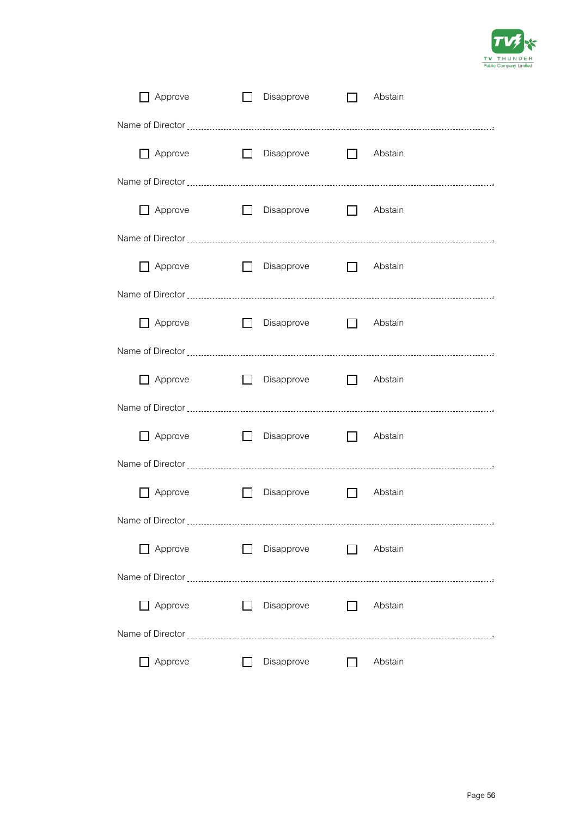

| Approve                                                                                                                                                                                                                       | $\Box$            | Disapprove        |              | Abstain        |
|-------------------------------------------------------------------------------------------------------------------------------------------------------------------------------------------------------------------------------|-------------------|-------------------|--------------|----------------|
|                                                                                                                                                                                                                               |                   |                   |              |                |
| $\Box$ Approve                                                                                                                                                                                                                |                   | $\Box$ Disapprove |              | Abstain        |
|                                                                                                                                                                                                                               |                   |                   |              |                |
|                                                                                                                                                                                                                               | $\Box$<br>Approve | Disapprove        |              | $\Box$ Abstain |
|                                                                                                                                                                                                                               |                   |                   |              |                |
|                                                                                                                                                                                                                               | Approve<br>$\Box$ | Disapprove        | $\Box$       | Abstain        |
|                                                                                                                                                                                                                               |                   |                   |              |                |
| $\Box$ Approve                                                                                                                                                                                                                | П                 | Disapprove        | $\Box$       | Abstain        |
|                                                                                                                                                                                                                               |                   |                   |              |                |
|                                                                                                                                                                                                                               | Approve<br>$\Box$ | Disapprove        | $\Box$       | Abstain        |
|                                                                                                                                                                                                                               |                   |                   |              |                |
| Approve                                                                                                                                                                                                                       | $\Box$            | Disapprove        | $\Box$       | Abstain        |
|                                                                                                                                                                                                                               |                   |                   |              |                |
| Approve                                                                                                                                                                                                                       | $\perp$           | Disapprove        | $\mathbf{L}$ | Abstain        |
| Name of Director                                                                                                                                                                                                              |                   |                   |              |                |
| Approve                                                                                                                                                                                                                       |                   | Disapprove        |              | Abstain        |
| Name of Director [111] [12] Name of Director [12] Mame of Director [12] Mame of Director [12] Mame and the Mame of Director [12] Mame of Director [12] Mame of Director [12] Mame of Director [12] Mame of Director [12] Mame |                   |                   |              |                |
| Approve                                                                                                                                                                                                                       |                   | Disapprove        |              | Abstain        |
|                                                                                                                                                                                                                               |                   |                   |              |                |
| Approve                                                                                                                                                                                                                       |                   | Disapprove        |              | Abstain        |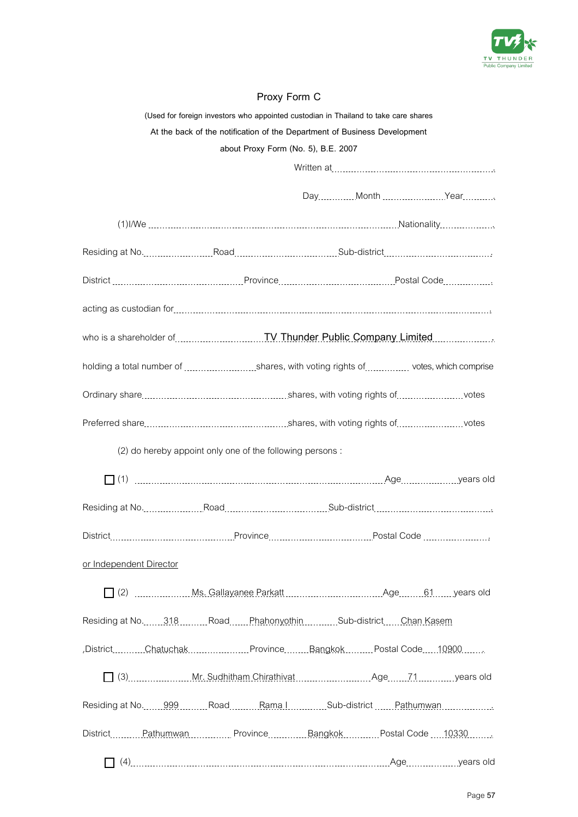

# **Proxy Form C**

|                                                                                                                   | (Used for foreign investors who appointed custodian in Thailand to take care shares |  |  |  |  |
|-------------------------------------------------------------------------------------------------------------------|-------------------------------------------------------------------------------------|--|--|--|--|
| At the back of the notification of the Department of Business Development                                         |                                                                                     |  |  |  |  |
| about Proxy Form (No. 5), B.E. 2007                                                                               |                                                                                     |  |  |  |  |
|                                                                                                                   |                                                                                     |  |  |  |  |
|                                                                                                                   |                                                                                     |  |  |  |  |
|                                                                                                                   |                                                                                     |  |  |  |  |
| Residing at No. 2000 Million Road Residing Sub-district Million Andrew Monday Residing at No. 2010 Million Real   |                                                                                     |  |  |  |  |
|                                                                                                                   |                                                                                     |  |  |  |  |
|                                                                                                                   |                                                                                     |  |  |  |  |
|                                                                                                                   |                                                                                     |  |  |  |  |
| holding a total number of shares, with voting rights of  votes, which comprise                                    |                                                                                     |  |  |  |  |
|                                                                                                                   |                                                                                     |  |  |  |  |
|                                                                                                                   |                                                                                     |  |  |  |  |
|                                                                                                                   | (2) do hereby appoint only one of the following persons:                            |  |  |  |  |
|                                                                                                                   |                                                                                     |  |  |  |  |
|                                                                                                                   |                                                                                     |  |  |  |  |
|                                                                                                                   |                                                                                     |  |  |  |  |
| or Independent Director                                                                                           |                                                                                     |  |  |  |  |
|                                                                                                                   |                                                                                     |  |  |  |  |
| Residing at No.  318  Road  Phahonyothin  Sub-district  Chan Kasem                                                |                                                                                     |  |  |  |  |
| .DistrictChatuchakProvinceBangkokPostal Code10900                                                                 |                                                                                     |  |  |  |  |
| [C] (3) Mr. Sudhitham Chirathivat Mr. Sudhitham Chirathivat Muslim Chirathivat Muslim Age Mr. 71 Muslim years old |                                                                                     |  |  |  |  |
|                                                                                                                   |                                                                                     |  |  |  |  |
| District Mathumwan Museum Province Museum Bangkok Museum Postal Code (19330 Museum)                               |                                                                                     |  |  |  |  |
|                                                                                                                   |                                                                                     |  |  |  |  |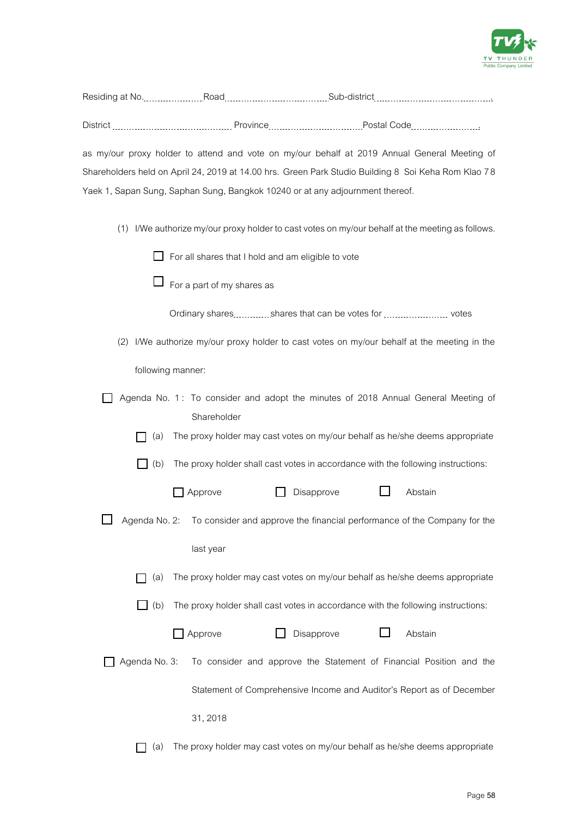

| as my/our proxy holder to attend and vote on my/our behalf at 2019 Annual General Meeting of |                                                                               |                                                                                                     |  |  |
|----------------------------------------------------------------------------------------------|-------------------------------------------------------------------------------|-----------------------------------------------------------------------------------------------------|--|--|
|                                                                                              |                                                                               | Shareholders held on April 24, 2019 at 14.00 hrs. Green Park Studio Building 8 Soi Keha Rom Klao 78 |  |  |
|                                                                                              | Yaek 1, Sapan Sung, Saphan Sung, Bangkok 10240 or at any adjournment thereof. |                                                                                                     |  |  |
|                                                                                              |                                                                               |                                                                                                     |  |  |
|                                                                                              |                                                                               | (1) I/We authorize my/our proxy holder to cast votes on my/our behalf at the meeting as follows.    |  |  |
|                                                                                              | For all shares that I hold and am eligible to vote                            |                                                                                                     |  |  |
|                                                                                              | For a part of my shares as                                                    |                                                                                                     |  |  |
|                                                                                              |                                                                               |                                                                                                     |  |  |
|                                                                                              |                                                                               | (2) I/We authorize my/our proxy holder to cast votes on my/our behalf at the meeting in the         |  |  |
| following manner:                                                                            |                                                                               |                                                                                                     |  |  |
|                                                                                              |                                                                               | Agenda No. 1: To consider and adopt the minutes of 2018 Annual General Meeting of                   |  |  |
|                                                                                              | Shareholder                                                                   |                                                                                                     |  |  |
| (a)                                                                                          |                                                                               | The proxy holder may cast votes on my/our behalf as he/she deems appropriate                        |  |  |
| (b)                                                                                          |                                                                               | The proxy holder shall cast votes in accordance with the following instructions:                    |  |  |
|                                                                                              | Disapprove<br>Approve                                                         | Abstain                                                                                             |  |  |
| Agenda No. 2:                                                                                |                                                                               | To consider and approve the financial performance of the Company for the                            |  |  |
|                                                                                              | last year                                                                     |                                                                                                     |  |  |
| (a)                                                                                          |                                                                               | The proxy holder may cast votes on my/our behalf as he/she deems appropriate                        |  |  |
| (b)                                                                                          |                                                                               | The proxy holder shall cast votes in accordance with the following instructions:                    |  |  |
|                                                                                              | Approve<br>Disapprove                                                         | Abstain                                                                                             |  |  |
| Agenda No. 3:                                                                                |                                                                               | To consider and approve the Statement of Financial Position and the                                 |  |  |
|                                                                                              |                                                                               | Statement of Comprehensive Income and Auditor's Report as of December                               |  |  |
|                                                                                              | 31, 2018                                                                      |                                                                                                     |  |  |
| (a)                                                                                          |                                                                               | The proxy holder may cast votes on my/our behalf as he/she deems appropriate                        |  |  |

Residing at No. 2000 ... Road Road Residing at No. 2004 ... Road Road Road Museum ... Road Residing Sub-district ... Annual Contract at No. 2016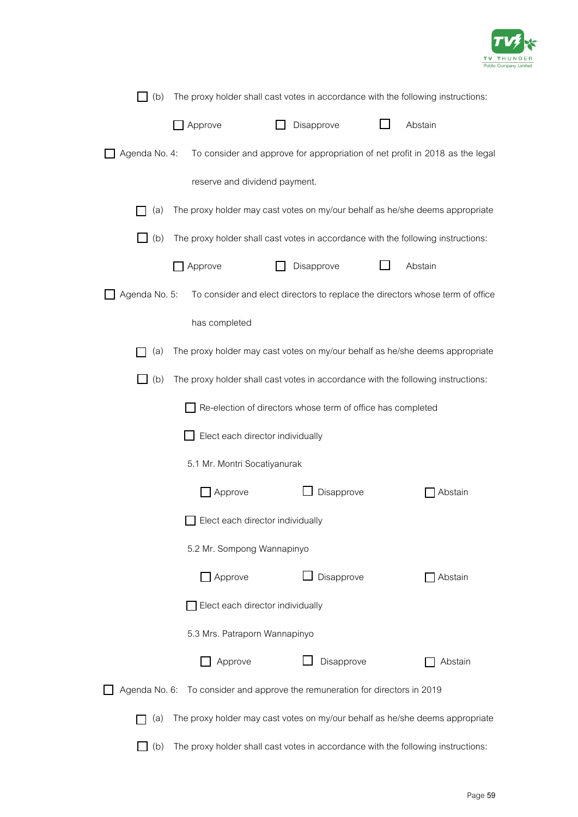

| (b)                                                         | The proxy holder shall cast votes in accordance with the following instructions: |                                                                |                                                                                  |  |  |
|-------------------------------------------------------------|----------------------------------------------------------------------------------|----------------------------------------------------------------|----------------------------------------------------------------------------------|--|--|
|                                                             | Approve                                                                          | Disapprove                                                     | Abstain                                                                          |  |  |
| Agenda No. 4:                                               |                                                                                  |                                                                | To consider and approve for appropriation of net profit in 2018 as the legal     |  |  |
|                                                             | reserve and dividend payment.                                                    |                                                                |                                                                                  |  |  |
| (a)                                                         |                                                                                  |                                                                | The proxy holder may cast votes on my/our behalf as he/she deems appropriate     |  |  |
| (b)                                                         |                                                                                  |                                                                | The proxy holder shall cast votes in accordance with the following instructions: |  |  |
|                                                             | Approve                                                                          | Disapprove                                                     | Abstain                                                                          |  |  |
| Agenda No. 5:                                               |                                                                                  |                                                                | To consider and elect directors to replace the directors whose term of office    |  |  |
|                                                             | has completed                                                                    |                                                                |                                                                                  |  |  |
| (a)                                                         |                                                                                  |                                                                | The proxy holder may cast votes on my/our behalf as he/she deems appropriate     |  |  |
| (b)                                                         |                                                                                  |                                                                | The proxy holder shall cast votes in accordance with the following instructions: |  |  |
| Re-election of directors whose term of office has completed |                                                                                  |                                                                |                                                                                  |  |  |
|                                                             | Elect each director individually                                                 |                                                                |                                                                                  |  |  |
|                                                             | 5.1 Mr. Montri Socatiyanurak                                                     |                                                                |                                                                                  |  |  |
|                                                             | Approve                                                                          | Disapprove                                                     | Abstain                                                                          |  |  |
|                                                             | Elect each director individually                                                 |                                                                |                                                                                  |  |  |
|                                                             | 5.2 Mr. Sompong Wannapinyo                                                       |                                                                |                                                                                  |  |  |
|                                                             | Approve                                                                          | Disapprove                                                     | Abstain                                                                          |  |  |
|                                                             | Elect each director individually                                                 |                                                                |                                                                                  |  |  |
|                                                             | 5.3 Mrs. Patraporn Wannapinyo                                                    |                                                                |                                                                                  |  |  |
|                                                             | Approve                                                                          | Disapprove                                                     | Abstain                                                                          |  |  |
| Agenda No. 6:                                               |                                                                                  | To consider and approve the remuneration for directors in 2019 |                                                                                  |  |  |
| (a)                                                         |                                                                                  |                                                                | The proxy holder may cast votes on my/our behalf as he/she deems appropriate     |  |  |
| (b)                                                         |                                                                                  |                                                                | The proxy holder shall cast votes in accordance with the following instructions: |  |  |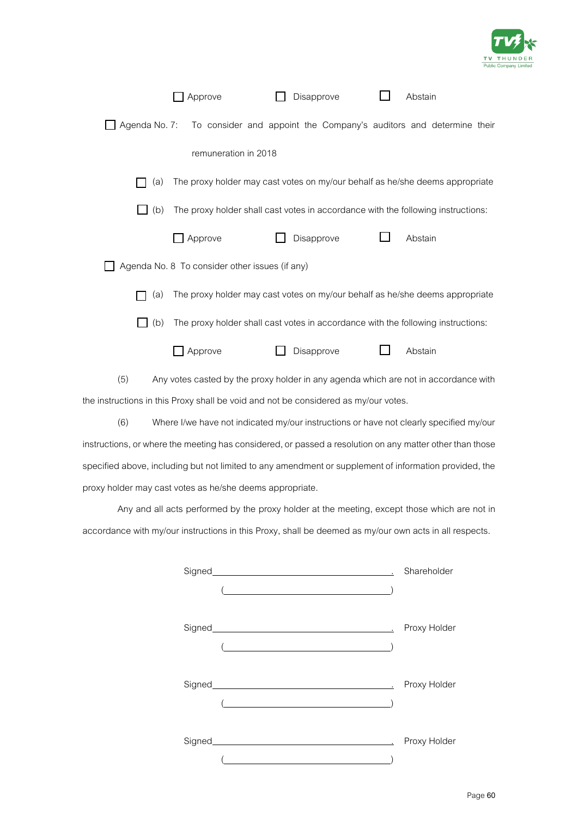

|            | Approve                                        | Disapprove                                                                       | Abstain |
|------------|------------------------------------------------|----------------------------------------------------------------------------------|---------|
|            |                                                | Agenda No. 7: To consider and appoint the Company's auditors and determine their |         |
|            | remuneration in 2018                           |                                                                                  |         |
| (a)        |                                                | The proxy holder may cast votes on my/our behalf as he/she deems appropriate     |         |
| $\Box$ (b) |                                                | The proxy holder shall cast votes in accordance with the following instructions: |         |
|            | Approve                                        | Disapprove                                                                       | Abstain |
|            | Agenda No. 8 To consider other issues (if any) |                                                                                  |         |
| (a)        |                                                | The proxy holder may cast votes on my/our behalf as he/she deems appropriate     |         |
| (b)        |                                                | The proxy holder shall cast votes in accordance with the following instructions: |         |
|            | Approve                                        | Disapprove                                                                       | Abstain |
|            |                                                |                                                                                  |         |

(5) Any votes casted by the proxy holder in any agenda which are not in accordance with the instructions in this Proxy shall be void and not be considered as my/our votes.

(6) Where I/we have not indicated my/our instructions or have not clearly specified my/our instructions, or where the meeting has considered, or passed a resolution on any matter other than those specified above, including but not limited to any amendment or supplement of information provided, the proxy holder may cast votes as he/she deems appropriate.

Any and all acts performed by the proxy holder at the meeting, except those which are not in accordance with my/our instructions in this Proxy, shall be deemed as my/our own acts in all respects.

| Proxy Holder |
|--------------|
|              |
|              |
| Proxy Holder |
|              |
|              |
| Proxy Holder |
|              |
|              |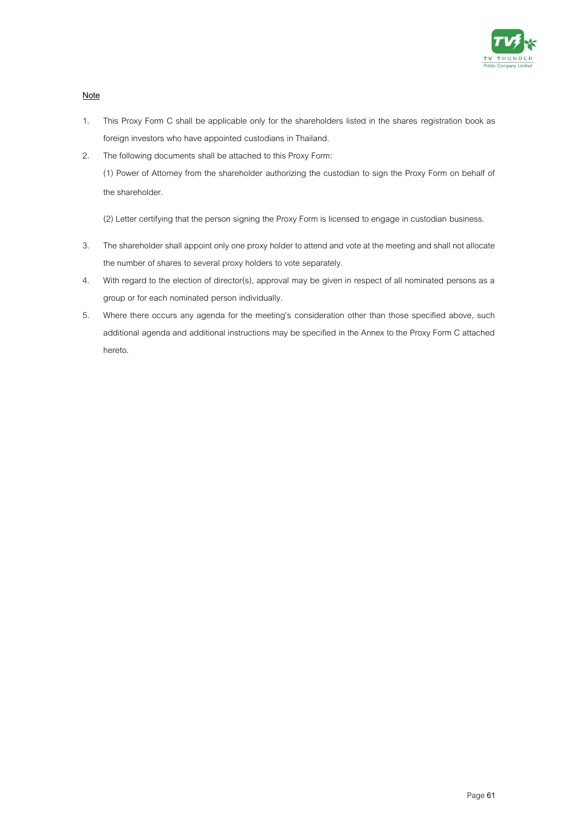

**Note**

- 1. This Proxy Form C shall be applicable only for the shareholders listed in the shares registration book as foreign investors who have appointed custodians in Thailand.
- 2. The following documents shall be attached to this Proxy Form: (1) Power of Attorney from the shareholder authorizing the custodian to sign the Proxy Form on behalf of the shareholder.

(2) Letter certifying that the person signing the Proxy Form is licensed to engage in custodian business.

- 3. The shareholder shall appoint only one proxy holder to attend and vote at the meeting and shall not allocate the number of shares to several proxy holders to vote separately.
- 4. With regard to the election of director(s), approval may be given in respect of all nominated persons as a group or for each nominated person individually.
- 5. Where there occurs any agenda for the meeting's consideration other than those specified above, such additional agenda and additional instructions may be specified in the Annex to the Proxy Form C attached hereto.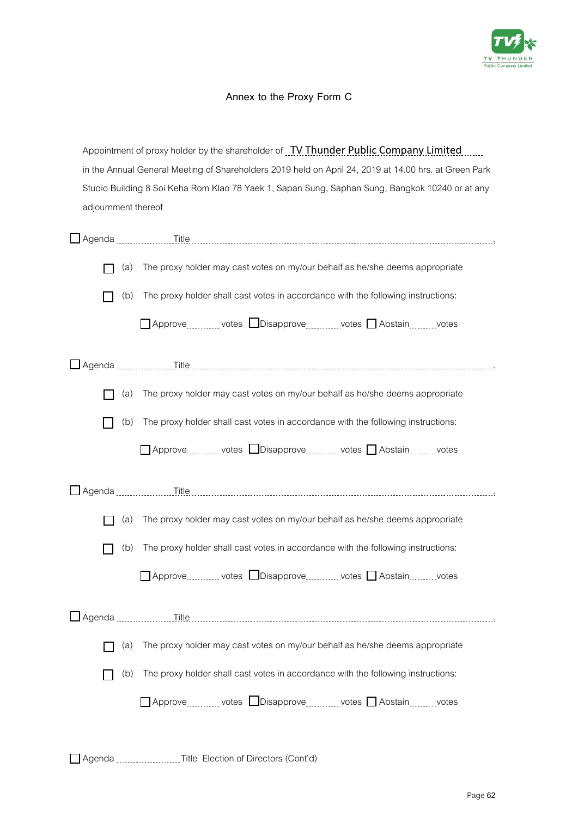

# **Annex to the Proxy Form C**

| Appointment of proxy holder by the shareholder of TV Thunder Public Company Limited                   |                                                                                                 |                                                                                              |  |  |  |
|-------------------------------------------------------------------------------------------------------|-------------------------------------------------------------------------------------------------|----------------------------------------------------------------------------------------------|--|--|--|
| in the Annual General Meeting of Shareholders 2019 held on April 24, 2019 at 14.00 hrs. at Green Park |                                                                                                 |                                                                                              |  |  |  |
|                                                                                                       | Studio Building 8 Soi Keha Rom Klao 78 Yaek 1, Sapan Sung, Saphan Sung, Bangkok 10240 or at any |                                                                                              |  |  |  |
| adjournment thereof                                                                                   |                                                                                                 |                                                                                              |  |  |  |
|                                                                                                       |                                                                                                 |                                                                                              |  |  |  |
|                                                                                                       | (a)                                                                                             | The proxy holder may cast votes on my/our behalf as he/she deems appropriate                 |  |  |  |
|                                                                                                       | (b)                                                                                             | The proxy holder shall cast votes in accordance with the following instructions:             |  |  |  |
|                                                                                                       |                                                                                                 | □ Approvevotes □ Disapprovevotes □ Abstainvotes                                              |  |  |  |
|                                                                                                       |                                                                                                 |                                                                                              |  |  |  |
|                                                                                                       | (a)                                                                                             | The proxy holder may cast votes on my/our behalf as he/she deems appropriate                 |  |  |  |
|                                                                                                       | (b)                                                                                             | The proxy holder shall cast votes in accordance with the following instructions:             |  |  |  |
|                                                                                                       |                                                                                                 | $\Box$ Approve electron votes $\Box$ Disapprove electron votes $\Box$ Abstain electron votes |  |  |  |
| <b>□ Agenda</b>                                                                                       |                                                                                                 |                                                                                              |  |  |  |
|                                                                                                       | (a)                                                                                             | The proxy holder may cast votes on my/our behalf as he/she deems appropriate                 |  |  |  |
|                                                                                                       | (b)                                                                                             | The proxy holder shall cast votes in accordance with the following instructions:             |  |  |  |
|                                                                                                       |                                                                                                 | □ Approve votes □ Disapprove votes □ Abstain votes                                           |  |  |  |
|                                                                                                       |                                                                                                 |                                                                                              |  |  |  |
|                                                                                                       | (a)                                                                                             | The proxy holder may cast votes on my/our behalf as he/she deems appropriate                 |  |  |  |
|                                                                                                       | (b)                                                                                             | The proxy holder shall cast votes in accordance with the following instructions:             |  |  |  |
|                                                                                                       |                                                                                                 | □ Approvevotes □ Disapprovevotes □ Abstainvotes                                              |  |  |  |

Agenda ............................Title Election of Directors (Cont'd)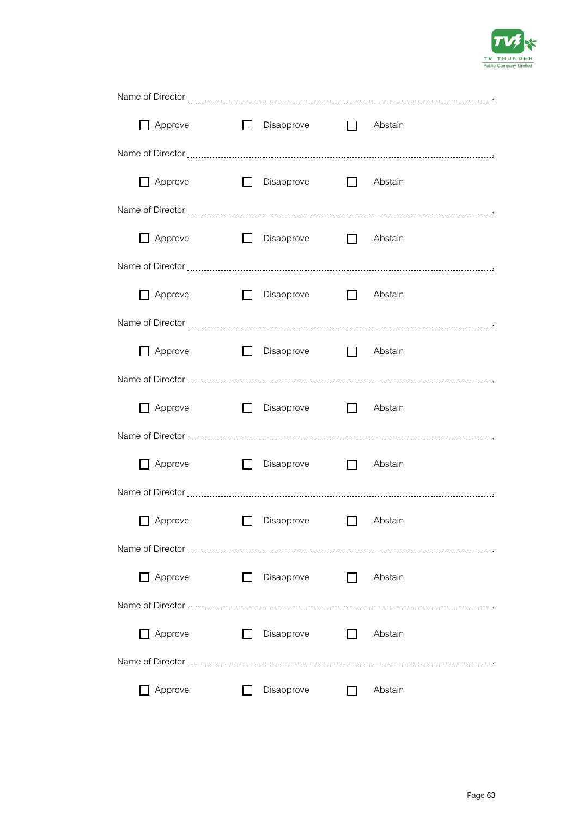

| Approve        | $\Box$<br>Disapprove        | $\Box$ Abstain          |
|----------------|-----------------------------|-------------------------|
|                |                             |                         |
| Approve        | П<br>Disapprove             | $\Box$<br>Abstain       |
|                |                             |                         |
| $\Box$ Approve | $\Box$ Disapprove           | $\Box$ Abstain          |
|                |                             |                         |
| $\Box$ Approve | $\Box$<br><b>Disapprove</b> | $\Box$ Abstain          |
|                |                             |                         |
| Approve        | $\Box$<br>Disapprove        | $\Box$<br>Abstain       |
|                |                             |                         |
| Approve        | $\Box$<br>Disapprove        | $\Box$<br>Abstain       |
|                |                             |                         |
| Approve        | $\Box$<br>Disapprove        | $\Box$<br>Abstain       |
|                |                             |                         |
| Approve        | Disapprove                  | Abstain                 |
|                |                             |                         |
| Approve        | Disapprove                  | Abstain<br>$\Box$       |
|                |                             |                         |
| Approve        | Disapprove                  | Abstain<br>$\mathbf{L}$ |
|                |                             |                         |
| Approve        | Disapprove                  | Abstain                 |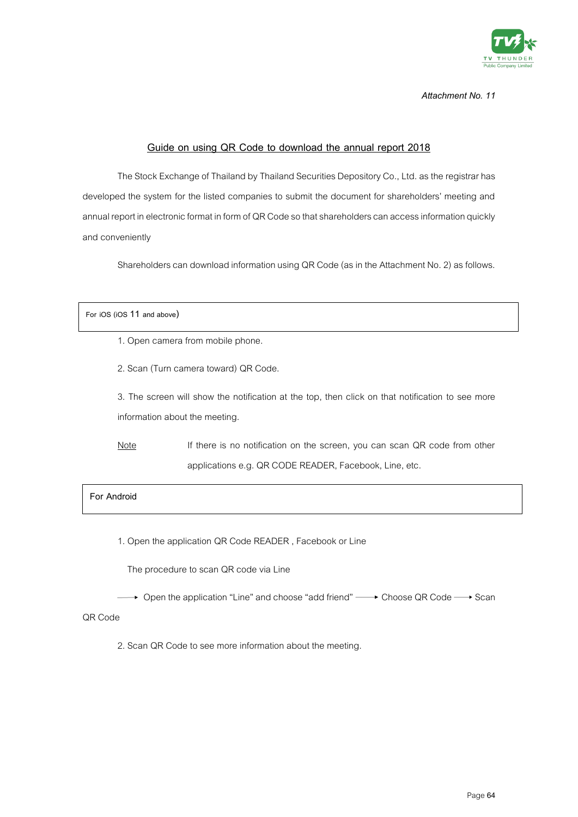

### **Guide on using QR Code to download the annual report 2018**

The Stock Exchange of Thailand by Thailand Securities Depository Co., Ltd. as the registrar has developed the system for the listed companies to submit the document for shareholders' meeting and annual report in electronic format in form of QR Code so that shareholders can access information quickly and conveniently

Shareholders can download information using QR Code (as in the Attachment No. 2) as follows.

#### **For iOS (iOS 11 and above)**

- 1. Open camera from mobile phone.
- 2. Scan (Turn camera toward) QR Code.

3. The screen will show the notification at the top, then click on that notification to see more information about the meeting.

Note If there is no notification on the screen, you can scan QR code from other applications e.g. QR CODE READER, Facebook, Line, etc.

### **For Android**

1. Open the application QR Code READER , Facebook or Line

The procedure to scan QR code via Line

→ Open the application "Line" and choose "add friend" → Choose QR Code → Scan

QR Code

2. Scan QR Code to see more information about the meeting.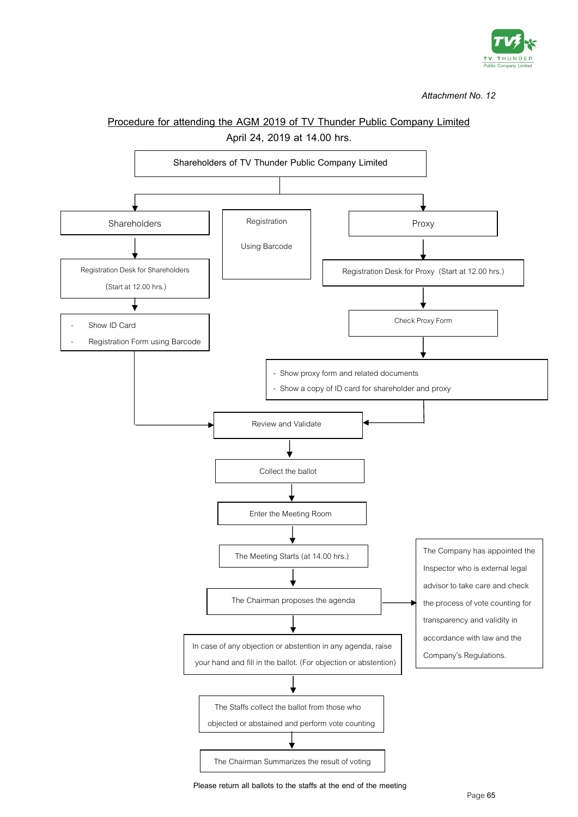

# **Procedure for attending the AGM 2019 of TV Thunder Public Company Limited April 24, 2019 at 14.00 hrs. Shareholders of TV Thunder Public Company Limited** Shareholders | Registration | Proxy Registration Desk for Shareholders (Start at 12.00 hrs.) Show ID Card Registration Form using Barcode Registration Desk for Proxy (Start at 12.00 hrs.) Check Proxy Form - Show proxy form and related documents - Show a copy of ID card for shareholder and proxy Review and Validate Collect the ballot Enter the Meeting Room The Meeting Starts (at 14.00 hrs.) The Chairman proposes the agenda In case of any objection or abstention in any agenda, raise your hand and fill in the ballot. (For objection or abstention) The Staffs collect the ballot from those who objected or abstained and perform vote counting Registration Using Barcode The Company has appointed the Inspector who is external legal advisor to take care and check the process of vote counting for transparency and validity in accordance with law and the Company's Regulations.

**Please return all ballots to the staffs at the end of the meeting** 

The Chairman Summarizes the result of voting